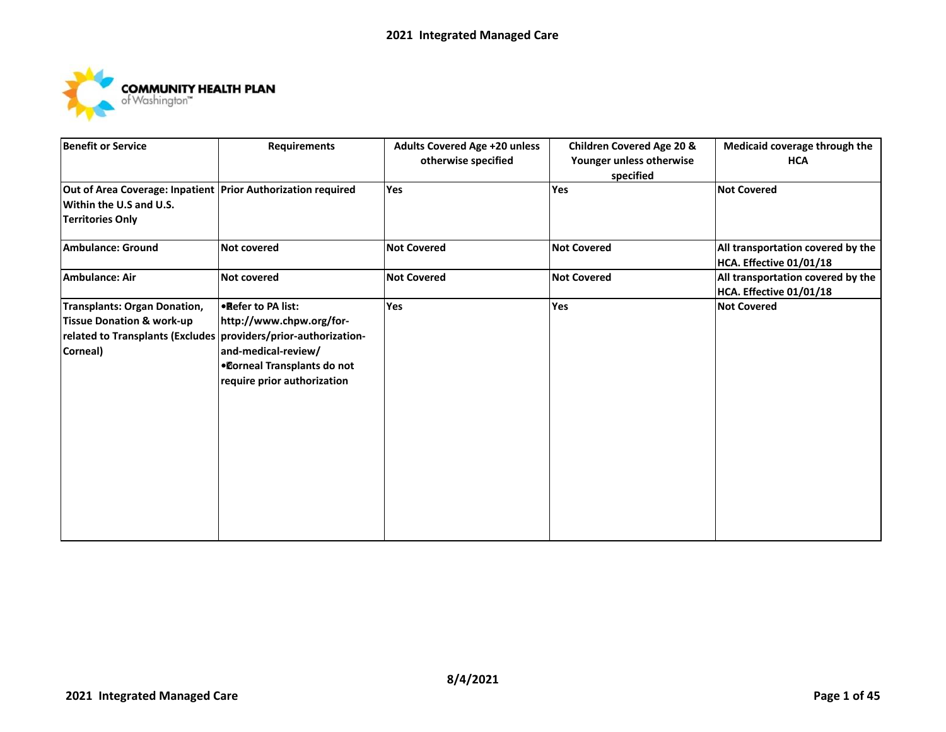

| <b>Benefit or Service</b>                                                                                                                           | <b>Requirements</b>                                                                                                                   | <b>Adults Covered Age +20 unless</b><br>otherwise specified | <b>Children Covered Age 20 &amp;</b><br>Younger unless otherwise<br>specified | Medicaid coverage through the<br><b>HCA</b>                  |
|-----------------------------------------------------------------------------------------------------------------------------------------------------|---------------------------------------------------------------------------------------------------------------------------------------|-------------------------------------------------------------|-------------------------------------------------------------------------------|--------------------------------------------------------------|
| Out of Area Coverage: Inpatient Prior Authorization required<br>Within the U.S and U.S.<br><b>Territories Only</b>                                  |                                                                                                                                       | Yes                                                         | Yes                                                                           | <b>Not Covered</b>                                           |
| Ambulance: Ground                                                                                                                                   | <b>Not covered</b>                                                                                                                    | <b>Not Covered</b>                                          | <b>Not Covered</b>                                                            | All transportation covered by the<br>HCA. Effective 01/01/18 |
| Ambulance: Air                                                                                                                                      | <b>Not covered</b>                                                                                                                    | <b>Not Covered</b>                                          | <b>Not Covered</b>                                                            | All transportation covered by the<br>HCA. Effective 01/01/18 |
| Transplants: Organ Donation,<br><b>Tissue Donation &amp; work-up</b><br>related to Transplants (Excludes providers/prior-authorization-<br>Corneal) | . Refer to PA list:<br>http://www.chpw.org/for-<br>and-medical-review/<br>. Corneal Transplants do not<br>require prior authorization | Yes                                                         | Yes                                                                           | <b>Not Covered</b>                                           |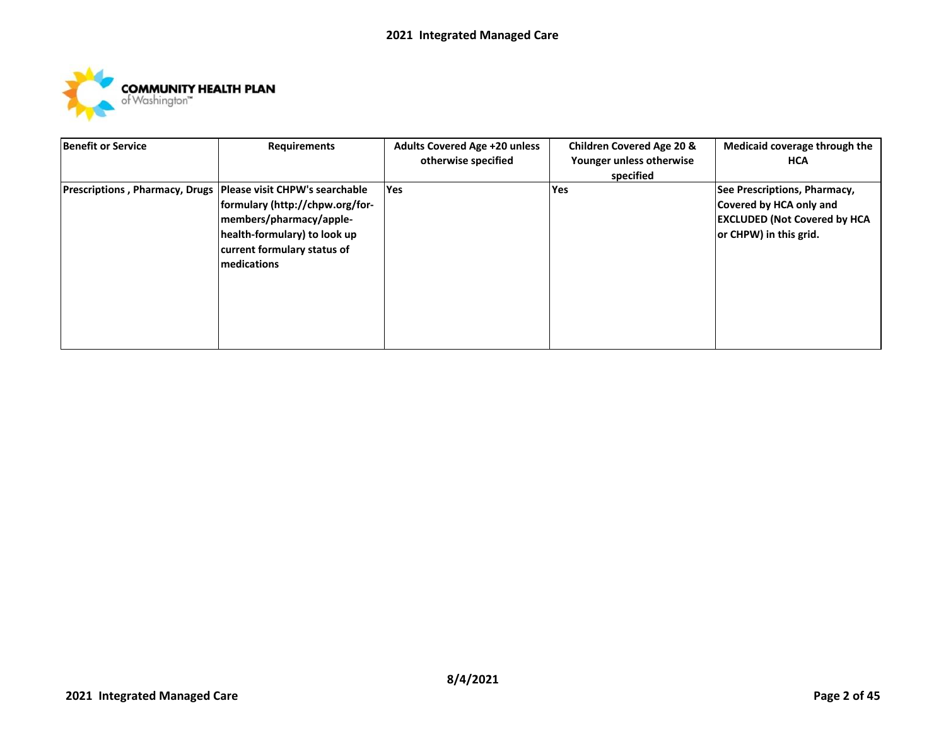

| <b>Benefit or Service</b>                                       | <b>Requirements</b>                                                                                                                      | <b>Adults Covered Age +20 unless</b><br>otherwise specified | <b>Children Covered Age 20 &amp;</b><br>Younger unless otherwise<br>specified | Medicaid coverage through the<br><b>HCA</b>                                                                               |
|-----------------------------------------------------------------|------------------------------------------------------------------------------------------------------------------------------------------|-------------------------------------------------------------|-------------------------------------------------------------------------------|---------------------------------------------------------------------------------------------------------------------------|
| Prescriptions, Pharmacy, Drugs   Please visit CHPW's searchable | formulary (http://chpw.org/for-<br>members/pharmacy/apple-<br>health-formulary) to look up<br>current formulary status of<br>medications | <b>Yes</b>                                                  | Yes                                                                           | See Prescriptions, Pharmacy,<br>Covered by HCA only and<br><b>EXCLUDED (Not Covered by HCA)</b><br>or CHPW) in this grid. |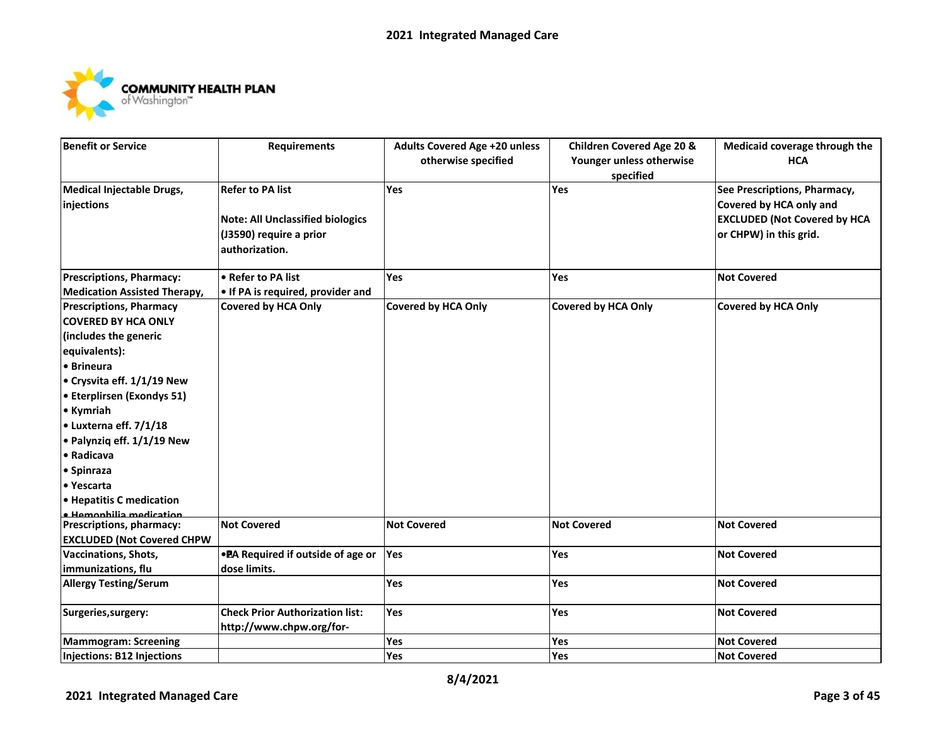

| <b>Benefit or Service</b>           | <b>Requirements</b>                     | <b>Adults Covered Age +20 unless</b> | <b>Children Covered Age 20 &amp;</b> | Medicaid coverage through the       |
|-------------------------------------|-----------------------------------------|--------------------------------------|--------------------------------------|-------------------------------------|
|                                     |                                         | otherwise specified                  | Younger unless otherwise             | <b>HCA</b>                          |
|                                     |                                         |                                      | specified                            |                                     |
| Medical Injectable Drugs,           | <b>Refer to PA list</b>                 | Yes                                  | Yes                                  | See Prescriptions, Pharmacy,        |
| injections                          |                                         |                                      |                                      | Covered by HCA only and             |
|                                     | <b>Note: All Unclassified biologics</b> |                                      |                                      | <b>EXCLUDED (Not Covered by HCA</b> |
|                                     | (J3590) require a prior                 |                                      |                                      | or CHPW) in this grid.              |
|                                     | authorization.                          |                                      |                                      |                                     |
|                                     |                                         |                                      |                                      |                                     |
| <b>Prescriptions, Pharmacy:</b>     | • Refer to PA list                      | Yes                                  | Yes                                  | <b>Not Covered</b>                  |
| <b>Medication Assisted Therapy,</b> | . If PA is required, provider and       |                                      |                                      |                                     |
| <b>Prescriptions, Pharmacy</b>      | <b>Covered by HCA Only</b>              | Covered by HCA Only                  | <b>Covered by HCA Only</b>           | <b>Covered by HCA Only</b>          |
| <b>COVERED BY HCA ONLY</b>          |                                         |                                      |                                      |                                     |
| (includes the generic               |                                         |                                      |                                      |                                     |
| equivalents):                       |                                         |                                      |                                      |                                     |
| • Brineura                          |                                         |                                      |                                      |                                     |
| • Crysvita eff. 1/1/19 New          |                                         |                                      |                                      |                                     |
| • Eterplirsen (Exondys 51)          |                                         |                                      |                                      |                                     |
| • Kymriah                           |                                         |                                      |                                      |                                     |
| • Luxterna eff. 7/1/18              |                                         |                                      |                                      |                                     |
| • Palynziq eff. 1/1/19 New          |                                         |                                      |                                      |                                     |
| • Radicava                          |                                         |                                      |                                      |                                     |
| • Spinraza                          |                                         |                                      |                                      |                                     |
| • Yescarta                          |                                         |                                      |                                      |                                     |
| • Hepatitis C medication            |                                         |                                      |                                      |                                     |
| · Hemophilia medication             |                                         |                                      |                                      |                                     |
| Prescriptions, pharmacy:            | <b>Not Covered</b>                      | <b>Not Covered</b>                   | <b>Not Covered</b>                   | <b>Not Covered</b>                  |
| <b>EXCLUDED (Not Covered CHPW</b>   |                                         |                                      |                                      |                                     |
| Vaccinations, Shots,                | . PA Required if outside of age or      | Yes                                  | Yes                                  | <b>Not Covered</b>                  |
| immunizations, flu                  | dose limits.                            |                                      |                                      |                                     |
| <b>Allergy Testing/Serum</b>        |                                         | Yes                                  | Yes                                  | <b>Not Covered</b>                  |
| Surgeries, surgery:                 | <b>Check Prior Authorization list:</b>  | Yes                                  | Yes                                  | <b>Not Covered</b>                  |
|                                     | http://www.chpw.org/for-                |                                      |                                      |                                     |
| <b>Mammogram: Screening</b>         |                                         | Yes                                  | Yes                                  | <b>Not Covered</b>                  |
| Injections: B12 Injections          |                                         | Yes                                  | Yes                                  | <b>Not Covered</b>                  |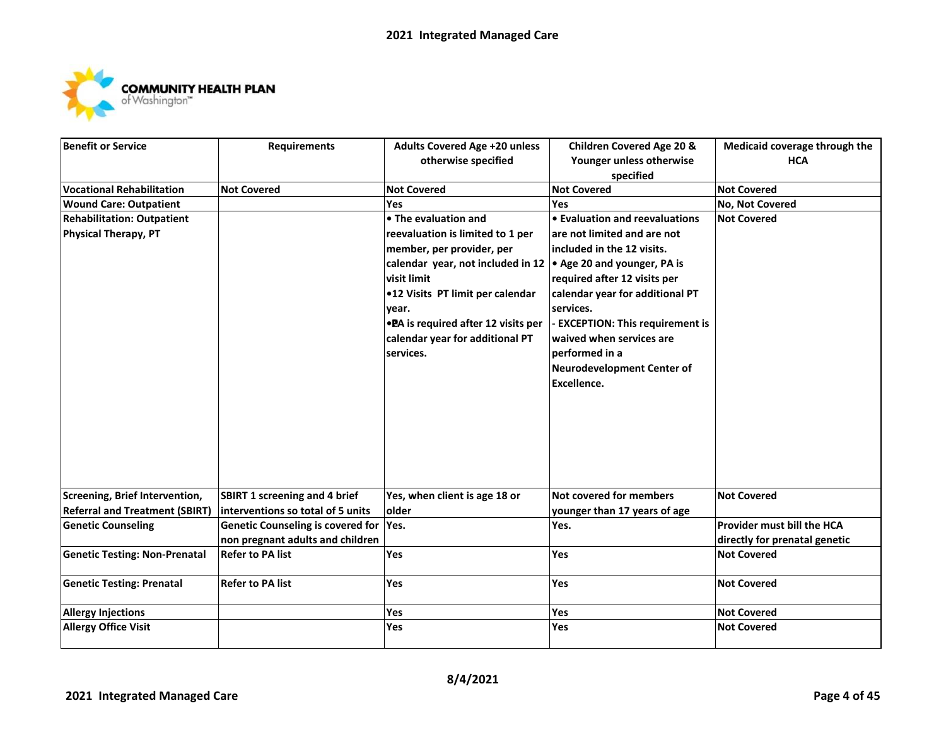

| <b>Benefit or Service</b>             | <b>Requirements</b>                     | <b>Adults Covered Age +20 unless</b> | <b>Children Covered Age 20 &amp;</b> | Medicaid coverage through the |
|---------------------------------------|-----------------------------------------|--------------------------------------|--------------------------------------|-------------------------------|
|                                       |                                         | otherwise specified                  | Younger unless otherwise             | <b>HCA</b>                    |
|                                       |                                         |                                      | specified                            |                               |
| <b>Vocational Rehabilitation</b>      | <b>Not Covered</b>                      | <b>Not Covered</b>                   | <b>Not Covered</b>                   | <b>Not Covered</b>            |
| <b>Wound Care: Outpatient</b>         |                                         | Yes                                  | Yes                                  | No, Not Covered               |
| <b>Rehabilitation: Outpatient</b>     |                                         | • The evaluation and                 | • Evaluation and reevaluations       | <b>Not Covered</b>            |
| <b>Physical Therapy, PT</b>           |                                         | reevaluation is limited to 1 per     | are not limited and are not          |                               |
|                                       |                                         | member, per provider, per            | included in the 12 visits.           |                               |
|                                       |                                         | calendar year, not included in 12    | • Age 20 and younger, PA is          |                               |
|                                       |                                         | visit limit                          | required after 12 visits per         |                               |
|                                       |                                         | .12 Visits PT limit per calendar     | calendar year for additional PT      |                               |
|                                       |                                         | year.                                | services.                            |                               |
|                                       |                                         | • PA is required after 12 visits per | - EXCEPTION: This requirement is     |                               |
|                                       |                                         | calendar year for additional PT      | waived when services are             |                               |
|                                       |                                         | services.                            | performed in a                       |                               |
|                                       |                                         |                                      | <b>Neurodevelopment Center of</b>    |                               |
|                                       |                                         |                                      | Excellence.                          |                               |
|                                       |                                         |                                      |                                      |                               |
|                                       |                                         |                                      |                                      |                               |
|                                       |                                         |                                      |                                      |                               |
|                                       |                                         |                                      |                                      |                               |
|                                       |                                         |                                      |                                      |                               |
|                                       |                                         |                                      |                                      |                               |
|                                       |                                         |                                      |                                      |                               |
| Screening, Brief Intervention,        | <b>SBIRT 1 screening and 4 brief</b>    | Yes, when client is age 18 or        | Not covered for members              | <b>Not Covered</b>            |
| <b>Referral and Treatment (SBIRT)</b> | interventions so total of 5 units       | older                                | younger than 17 years of age         |                               |
| <b>Genetic Counseling</b>             | Genetic Counseling is covered for  Yes. |                                      | Yes.                                 | Provider must bill the HCA    |
|                                       | non pregnant adults and children        |                                      |                                      | directly for prenatal genetic |
| <b>Genetic Testing: Non-Prenatal</b>  | <b>Refer to PA list</b>                 | Yes                                  | Yes                                  | <b>Not Covered</b>            |
| <b>Genetic Testing: Prenatal</b>      | <b>Refer to PA list</b>                 | Yes                                  | Yes                                  | <b>Not Covered</b>            |
|                                       |                                         |                                      |                                      |                               |
| <b>Allergy Injections</b>             |                                         | Yes                                  | <b>Yes</b>                           | <b>Not Covered</b>            |
| <b>Allergy Office Visit</b>           |                                         | Yes                                  | Yes                                  | <b>Not Covered</b>            |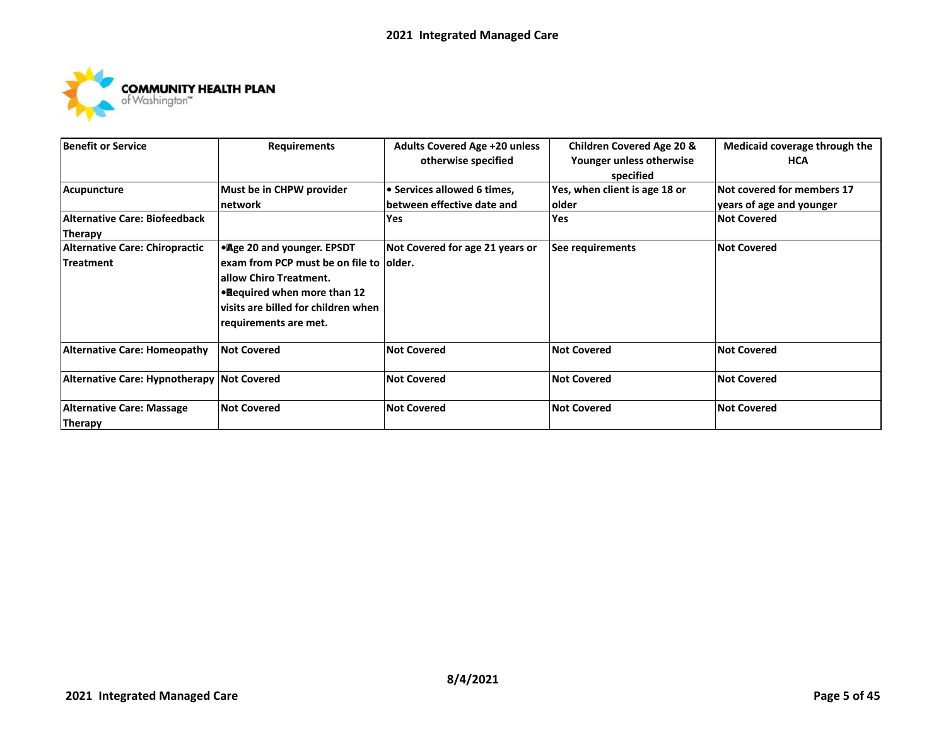

| <b>Benefit or Service</b>                  | <b>Requirements</b>                       | <b>Adults Covered Age +20 unless</b><br>otherwise specified | <b>Children Covered Age 20 &amp;</b><br>Younger unless otherwise<br>specified | Medicaid coverage through the<br><b>HCA</b> |
|--------------------------------------------|-------------------------------------------|-------------------------------------------------------------|-------------------------------------------------------------------------------|---------------------------------------------|
| Acupuncture                                | Must be in CHPW provider                  | • Services allowed 6 times,                                 | Yes, when client is age 18 or                                                 | Not covered for members 17                  |
|                                            | Inetwork                                  | between effective date and                                  | older                                                                         | years of age and younger                    |
| Alternative Care: Biofeedback              |                                           | Yes                                                         | <b>Yes</b>                                                                    | <b>Not Covered</b>                          |
| <b>Therapy</b>                             |                                           |                                                             |                                                                               |                                             |
| <b>Alternative Care: Chiropractic</b>      | • Age 20 and younger. EPSDT               | Not Covered for age 21 years or                             | See requirements                                                              | <b>Not Covered</b>                          |
| <b>Treatment</b>                           | lexam from PCP must be on file to lolder. |                                                             |                                                                               |                                             |
|                                            | lallow Chiro Treatment.                   |                                                             |                                                                               |                                             |
|                                            | <b>•Required when more than 12</b>        |                                                             |                                                                               |                                             |
|                                            | lvisits are billed for children when      |                                                             |                                                                               |                                             |
|                                            | requirements are met.                     |                                                             |                                                                               |                                             |
| <b>Alternative Care: Homeopathy</b>        | <b>Not Covered</b>                        | <b>Not Covered</b>                                          | <b>Not Covered</b>                                                            | <b>Not Covered</b>                          |
| Alternative Care: Hypnotherapy Not Covered |                                           | <b>Not Covered</b>                                          | <b>Not Covered</b>                                                            | <b>Not Covered</b>                          |
| <b>Alternative Care: Massage</b>           | <b>Not Covered</b>                        | <b>Not Covered</b>                                          | <b>Not Covered</b>                                                            | <b>Not Covered</b>                          |
| Therapy                                    |                                           |                                                             |                                                                               |                                             |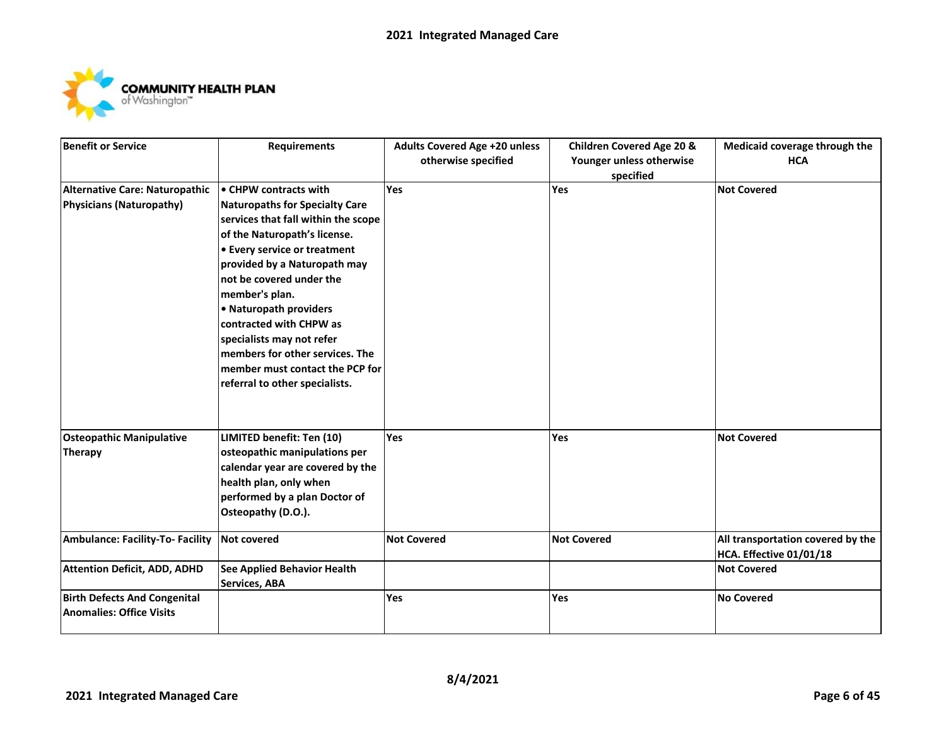

| <b>Benefit or Service</b>           | <b>Requirements</b>                   | <b>Adults Covered Age +20 unless</b> | <b>Children Covered Age 20 &amp;</b> | Medicaid coverage through the     |
|-------------------------------------|---------------------------------------|--------------------------------------|--------------------------------------|-----------------------------------|
|                                     |                                       | otherwise specified                  | Younger unless otherwise             | <b>HCA</b>                        |
|                                     |                                       |                                      | specified                            |                                   |
| Alternative Care: Naturopathic      | • CHPW contracts with                 | Yes                                  | Yes                                  | <b>Not Covered</b>                |
| <b>Physicians (Naturopathy)</b>     | <b>Naturopaths for Specialty Care</b> |                                      |                                      |                                   |
|                                     | services that fall within the scope   |                                      |                                      |                                   |
|                                     | of the Naturopath's license.          |                                      |                                      |                                   |
|                                     | <b>• Every service or treatment</b>   |                                      |                                      |                                   |
|                                     | provided by a Naturopath may          |                                      |                                      |                                   |
|                                     | not be covered under the              |                                      |                                      |                                   |
|                                     | member's plan.                        |                                      |                                      |                                   |
|                                     | • Naturopath providers                |                                      |                                      |                                   |
|                                     | contracted with CHPW as               |                                      |                                      |                                   |
|                                     | specialists may not refer             |                                      |                                      |                                   |
|                                     | members for other services. The       |                                      |                                      |                                   |
|                                     | member must contact the PCP for       |                                      |                                      |                                   |
|                                     | referral to other specialists.        |                                      |                                      |                                   |
|                                     |                                       |                                      |                                      |                                   |
|                                     |                                       |                                      |                                      |                                   |
| <b>Osteopathic Manipulative</b>     | LIMITED benefit: Ten (10)             | Yes                                  | Yes                                  | <b>Not Covered</b>                |
| <b>Therapy</b>                      | osteopathic manipulations per         |                                      |                                      |                                   |
|                                     | calendar year are covered by the      |                                      |                                      |                                   |
|                                     | health plan, only when                |                                      |                                      |                                   |
|                                     | performed by a plan Doctor of         |                                      |                                      |                                   |
|                                     | Osteopathy (D.O.).                    |                                      |                                      |                                   |
| Ambulance: Facility-To- Facility    | <b>Not covered</b>                    | <b>Not Covered</b>                   | <b>Not Covered</b>                   | All transportation covered by the |
|                                     |                                       |                                      |                                      | HCA. Effective 01/01/18           |
| <b>Attention Deficit, ADD, ADHD</b> | <b>See Applied Behavior Health</b>    |                                      |                                      | <b>Not Covered</b>                |
|                                     | <b>Services, ABA</b>                  |                                      |                                      |                                   |
| <b>Birth Defects And Congenital</b> |                                       | Yes                                  | Yes                                  | <b>No Covered</b>                 |
| <b>Anomalies: Office Visits</b>     |                                       |                                      |                                      |                                   |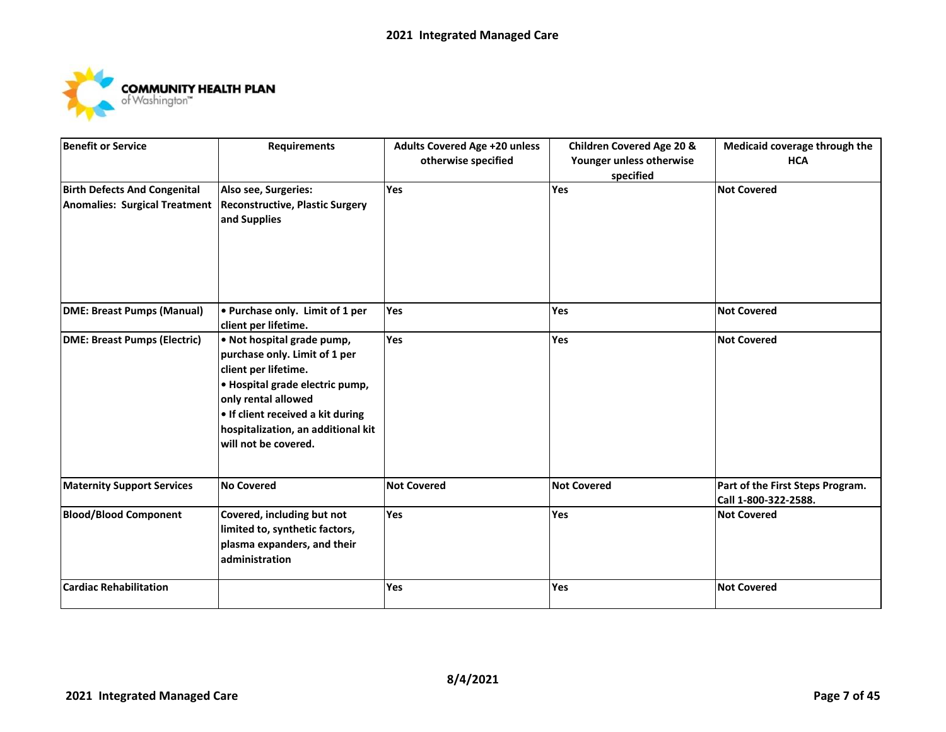

| <b>Benefit or Service</b>           | <b>Requirements</b>                                | <b>Adults Covered Age +20 unless</b> | <b>Children Covered Age 20 &amp;</b> | Medicaid coverage through the    |
|-------------------------------------|----------------------------------------------------|--------------------------------------|--------------------------------------|----------------------------------|
|                                     |                                                    | otherwise specified                  | Younger unless otherwise             | <b>HCA</b>                       |
|                                     |                                                    |                                      | specified                            |                                  |
| <b>Birth Defects And Congenital</b> | Also see, Surgeries:                               | Yes                                  | Yes                                  | <b>Not Covered</b>               |
| Anomalies: Surgical Treatment       | <b>Reconstructive, Plastic Surgery</b>             |                                      |                                      |                                  |
|                                     | and Supplies                                       |                                      |                                      |                                  |
|                                     |                                                    |                                      |                                      |                                  |
|                                     |                                                    |                                      |                                      |                                  |
|                                     |                                                    |                                      |                                      |                                  |
|                                     |                                                    |                                      |                                      |                                  |
|                                     |                                                    |                                      | Yes                                  |                                  |
| <b>DME: Breast Pumps (Manual)</b>   | • Purchase only. Limit of 1 per                    | Yes                                  |                                      | <b>Not Covered</b>               |
| <b>DME: Breast Pumps (Electric)</b> | client per lifetime.<br>. Not hospital grade pump, | Yes                                  | Yes                                  | <b>Not Covered</b>               |
|                                     | purchase only. Limit of 1 per                      |                                      |                                      |                                  |
|                                     | client per lifetime.                               |                                      |                                      |                                  |
|                                     | · Hospital grade electric pump,                    |                                      |                                      |                                  |
|                                     | only rental allowed                                |                                      |                                      |                                  |
|                                     | . If client received a kit during                  |                                      |                                      |                                  |
|                                     | hospitalization, an additional kit                 |                                      |                                      |                                  |
|                                     | will not be covered.                               |                                      |                                      |                                  |
|                                     |                                                    |                                      |                                      |                                  |
|                                     |                                                    |                                      |                                      |                                  |
| <b>Maternity Support Services</b>   | <b>No Covered</b>                                  | <b>Not Covered</b>                   | <b>Not Covered</b>                   | Part of the First Steps Program. |
|                                     |                                                    |                                      |                                      | Call 1-800-322-2588.             |
| <b>Blood/Blood Component</b>        | Covered, including but not                         | Yes                                  | Yes                                  | <b>Not Covered</b>               |
|                                     | limited to, synthetic factors,                     |                                      |                                      |                                  |
|                                     | plasma expanders, and their                        |                                      |                                      |                                  |
|                                     | administration                                     |                                      |                                      |                                  |
| <b>Cardiac Rehabilitation</b>       |                                                    | Yes                                  | Yes                                  | <b>Not Covered</b>               |
|                                     |                                                    |                                      |                                      |                                  |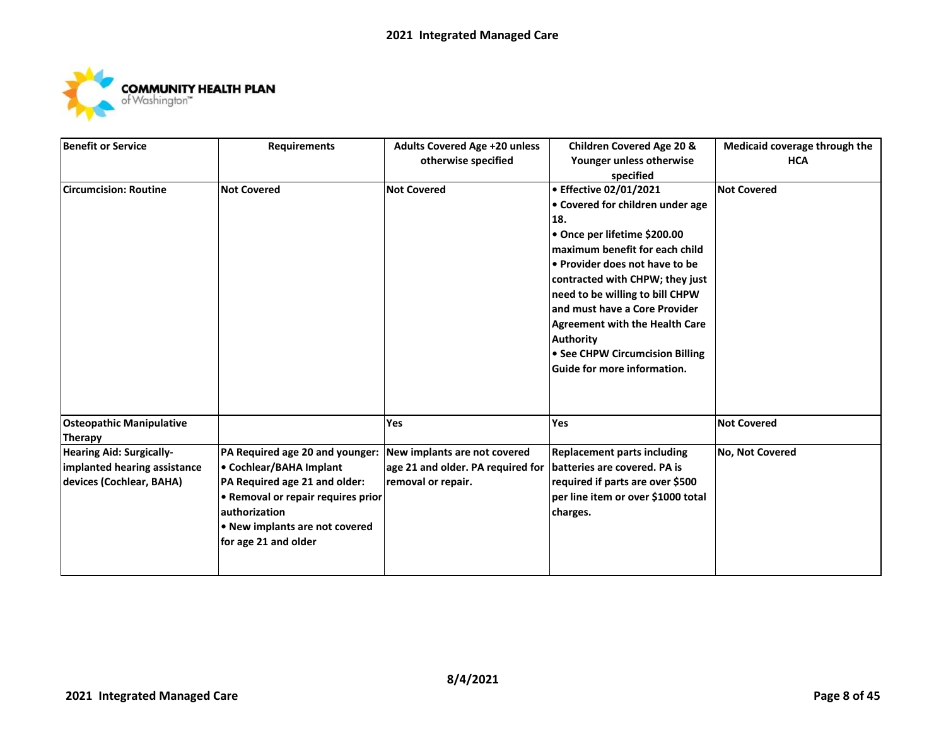

| <b>Benefit or Service</b>       | <b>Requirements</b>                | <b>Adults Covered Age +20 unless</b> | <b>Children Covered Age 20 &amp;</b>  | Medicaid coverage through the |
|---------------------------------|------------------------------------|--------------------------------------|---------------------------------------|-------------------------------|
|                                 |                                    | otherwise specified                  | Younger unless otherwise              | <b>HCA</b>                    |
|                                 |                                    |                                      | specified                             |                               |
| <b>Circumcision: Routine</b>    | <b>Not Covered</b>                 | <b>Not Covered</b>                   | • Effective 02/01/2021                | <b>Not Covered</b>            |
|                                 |                                    |                                      | • Covered for children under age      |                               |
|                                 |                                    |                                      | 18.                                   |                               |
|                                 |                                    |                                      | • Once per lifetime \$200.00          |                               |
|                                 |                                    |                                      | maximum benefit for each child        |                               |
|                                 |                                    |                                      | • Provider does not have to be        |                               |
|                                 |                                    |                                      | contracted with CHPW; they just       |                               |
|                                 |                                    |                                      | need to be willing to bill CHPW       |                               |
|                                 |                                    |                                      | and must have a Core Provider         |                               |
|                                 |                                    |                                      | <b>Agreement with the Health Care</b> |                               |
|                                 |                                    |                                      | <b>Authority</b>                      |                               |
|                                 |                                    |                                      | • See CHPW Circumcision Billing       |                               |
|                                 |                                    |                                      | Guide for more information.           |                               |
|                                 |                                    |                                      |                                       |                               |
|                                 |                                    |                                      |                                       |                               |
| <b>Osteopathic Manipulative</b> |                                    | Yes                                  | Yes                                   | <b>Not Covered</b>            |
| <b>Therapy</b>                  |                                    |                                      |                                       |                               |
| <b>Hearing Aid: Surgically-</b> | PA Required age 20 and younger:    | New implants are not covered         | <b>Replacement parts including</b>    | No, Not Covered               |
| implanted hearing assistance    | • Cochlear/BAHA Implant            | age 21 and older. PA required for    | batteries are covered. PA is          |                               |
| devices (Cochlear, BAHA)        | PA Required age 21 and older:      | removal or repair.                   | required if parts are over \$500      |                               |
|                                 | • Removal or repair requires prior |                                      | per line item or over \$1000 total    |                               |
|                                 | authorization                      |                                      | charges.                              |                               |
|                                 | • New implants are not covered     |                                      |                                       |                               |
|                                 | for age 21 and older               |                                      |                                       |                               |
|                                 |                                    |                                      |                                       |                               |
|                                 |                                    |                                      |                                       |                               |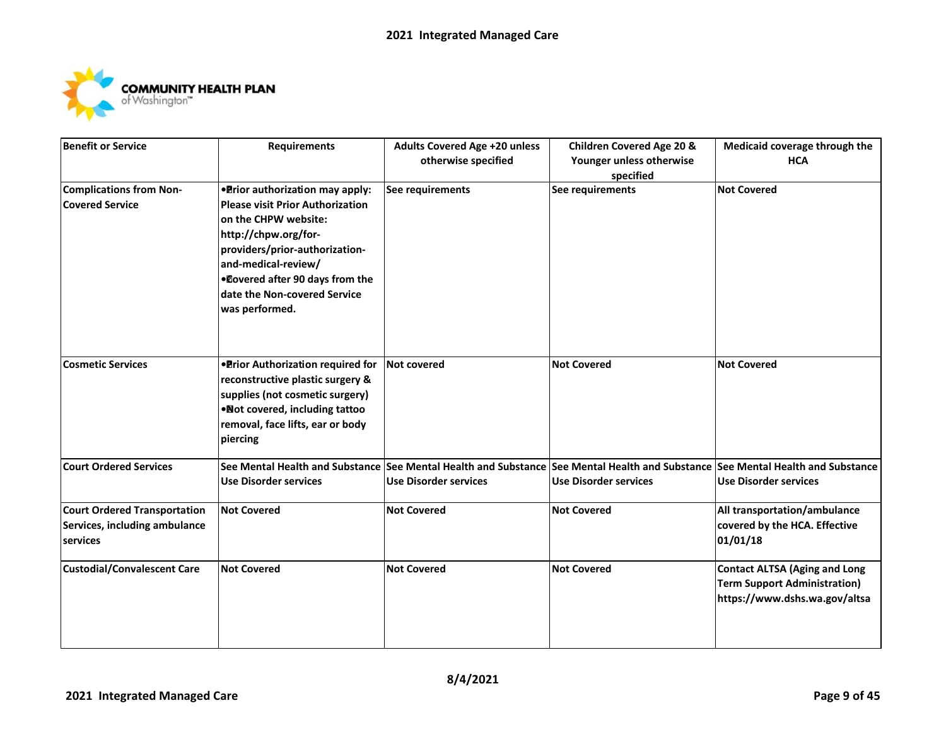

| <b>Benefit or Service</b>           | <b>Requirements</b>                     | <b>Adults Covered Age +20 unless</b> | <b>Children Covered Age 20 &amp;</b> | Medicaid coverage through the                                                                                                   |
|-------------------------------------|-----------------------------------------|--------------------------------------|--------------------------------------|---------------------------------------------------------------------------------------------------------------------------------|
|                                     |                                         | otherwise specified                  | Younger unless otherwise             | <b>HCA</b>                                                                                                                      |
|                                     |                                         |                                      | specified                            |                                                                                                                                 |
| <b>Complications from Non-</b>      | • Prior authorization may apply:        | See requirements                     | See requirements                     | <b>Not Covered</b>                                                                                                              |
| <b>Covered Service</b>              | <b>Please visit Prior Authorization</b> |                                      |                                      |                                                                                                                                 |
|                                     | on the CHPW website:                    |                                      |                                      |                                                                                                                                 |
|                                     | http://chpw.org/for-                    |                                      |                                      |                                                                                                                                 |
|                                     | providers/prior-authorization-          |                                      |                                      |                                                                                                                                 |
|                                     | and-medical-review/                     |                                      |                                      |                                                                                                                                 |
|                                     | .Dovered after 90 days from the         |                                      |                                      |                                                                                                                                 |
|                                     | date the Non-covered Service            |                                      |                                      |                                                                                                                                 |
|                                     | was performed.                          |                                      |                                      |                                                                                                                                 |
|                                     |                                         |                                      |                                      |                                                                                                                                 |
|                                     |                                         |                                      |                                      |                                                                                                                                 |
|                                     |                                         |                                      |                                      |                                                                                                                                 |
| <b>Cosmetic Services</b>            | . Prior Authorization required for      | <b>Not covered</b>                   | <b>Not Covered</b>                   | <b>Not Covered</b>                                                                                                              |
|                                     | reconstructive plastic surgery &        |                                      |                                      |                                                                                                                                 |
|                                     | supplies (not cosmetic surgery)         |                                      |                                      |                                                                                                                                 |
|                                     | . Not covered, including tattoo         |                                      |                                      |                                                                                                                                 |
|                                     | removal, face lifts, ear or body        |                                      |                                      |                                                                                                                                 |
|                                     | piercing                                |                                      |                                      |                                                                                                                                 |
| <b>Court Ordered Services</b>       |                                         |                                      |                                      | See Mental Health and Substance See Mental Health and Substance See Mental Health and Substance See Mental Health and Substance |
|                                     | <b>Use Disorder services</b>            | <b>Use Disorder services</b>         | <b>Use Disorder services</b>         | <b>Use Disorder services</b>                                                                                                    |
|                                     |                                         |                                      |                                      |                                                                                                                                 |
| <b>Court Ordered Transportation</b> | <b>Not Covered</b>                      | <b>Not Covered</b>                   | <b>Not Covered</b>                   | All transportation/ambulance                                                                                                    |
| Services, including ambulance       |                                         |                                      |                                      | covered by the HCA. Effective                                                                                                   |
| services                            |                                         |                                      |                                      | 01/01/18                                                                                                                        |
|                                     |                                         |                                      |                                      |                                                                                                                                 |
| <b>Custodial/Convalescent Care</b>  | <b>Not Covered</b>                      | <b>Not Covered</b>                   | <b>Not Covered</b>                   | <b>Contact ALTSA (Aging and Long</b>                                                                                            |
|                                     |                                         |                                      |                                      | <b>Term Support Administration)</b>                                                                                             |
|                                     |                                         |                                      |                                      | https://www.dshs.wa.gov/altsa                                                                                                   |
|                                     |                                         |                                      |                                      |                                                                                                                                 |
|                                     |                                         |                                      |                                      |                                                                                                                                 |
|                                     |                                         |                                      |                                      |                                                                                                                                 |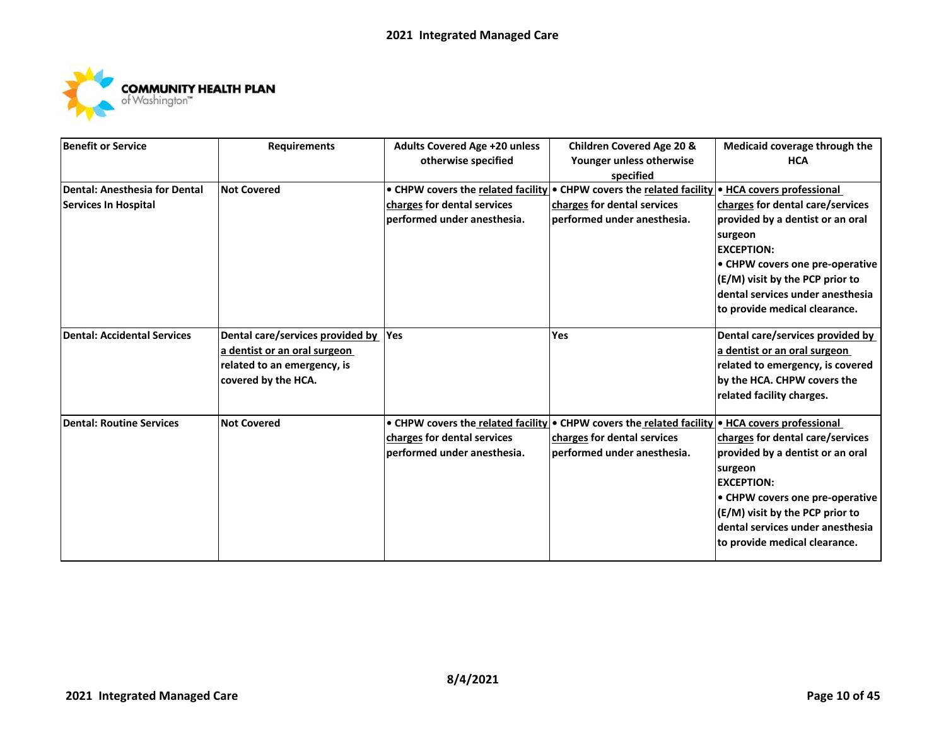

| <b>Benefit or Service</b>       | <b>Requirements</b>              | <b>Adults Covered Age +20 unless</b> | <b>Children Covered Age 20 &amp;</b>                                                            | Medicaid coverage through the    |
|---------------------------------|----------------------------------|--------------------------------------|-------------------------------------------------------------------------------------------------|----------------------------------|
|                                 |                                  | otherwise specified                  | Younger unless otherwise                                                                        | <b>HCA</b>                       |
|                                 |                                  |                                      | specified                                                                                       |                                  |
| Dental: Anesthesia for Dental   | <b>Not Covered</b>               |                                      | • CHPW covers the related facility • CHPW covers the related facility • HCA covers professional |                                  |
| <b>Services In Hospital</b>     |                                  | charges for dental services          | charges for dental services                                                                     | charges for dental care/services |
|                                 |                                  | performed under anesthesia.          | performed under anesthesia.                                                                     | provided by a dentist or an oral |
|                                 |                                  |                                      |                                                                                                 | surgeon                          |
|                                 |                                  |                                      |                                                                                                 | <b>EXCEPTION:</b>                |
|                                 |                                  |                                      |                                                                                                 | • CHPW covers one pre-operative  |
|                                 |                                  |                                      |                                                                                                 | (E/M) visit by the PCP prior to  |
|                                 |                                  |                                      |                                                                                                 | dental services under anesthesia |
|                                 |                                  |                                      |                                                                                                 | to provide medical clearance.    |
| Dental: Accidental Services     | Dental care/services provided by | Yes                                  | Yes                                                                                             | Dental care/services provided by |
|                                 | a dentist or an oral surgeon     |                                      |                                                                                                 | a dentist or an oral surgeon     |
|                                 | related to an emergency, is      |                                      |                                                                                                 | related to emergency, is covered |
|                                 | covered by the HCA.              |                                      |                                                                                                 | by the HCA. CHPW covers the      |
|                                 |                                  |                                      |                                                                                                 | related facility charges.        |
| <b>Dental: Routine Services</b> | <b>Not Covered</b>               |                                      | • CHPW covers the related facility • CHPW covers the related facility • HCA covers professional |                                  |
|                                 |                                  | charges for dental services          | charges for dental services                                                                     | charges for dental care/services |
|                                 |                                  | lperformed under anesthesia.         | performed under anesthesia.                                                                     | provided by a dentist or an oral |
|                                 |                                  |                                      |                                                                                                 | surgeon                          |
|                                 |                                  |                                      |                                                                                                 | <b>EXCEPTION:</b>                |
|                                 |                                  |                                      |                                                                                                 | • CHPW covers one pre-operative  |
|                                 |                                  |                                      |                                                                                                 | (E/M) visit by the PCP prior to  |
|                                 |                                  |                                      |                                                                                                 | dental services under anesthesia |
|                                 |                                  |                                      |                                                                                                 | to provide medical clearance.    |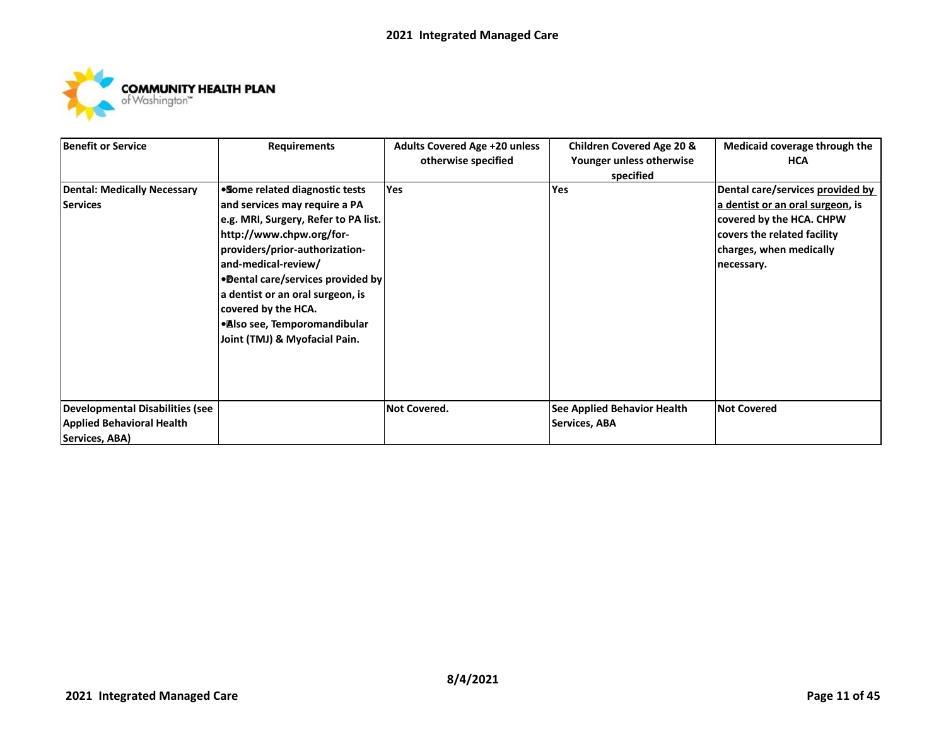

| Benefit or Service                     | <b>Requirements</b>                  | <b>Adults Covered Age +20 unless</b> | <b>Children Covered Age 20 &amp;</b> | Medicaid coverage through the    |
|----------------------------------------|--------------------------------------|--------------------------------------|--------------------------------------|----------------------------------|
|                                        |                                      | otherwise specified                  | Younger unless otherwise             | <b>HCA</b>                       |
|                                        |                                      |                                      | specified                            |                                  |
| <b>Dental: Medically Necessary</b>     | . Some related diagnostic tests      | <b>Yes</b>                           | Yes                                  | Dental care/services provided by |
| Services                               | and services may require a PA        |                                      |                                      | a dentist or an oral surgeon, is |
|                                        | e.g. MRI, Surgery, Refer to PA list. |                                      |                                      | covered by the HCA. CHPW         |
|                                        | http://www.chpw.org/for-             |                                      |                                      | covers the related facility      |
|                                        | providers/prior-authorization-       |                                      |                                      | charges, when medically          |
|                                        | and-medical-review/                  |                                      |                                      | necessary.                       |
|                                        | •Dental care/services provided by    |                                      |                                      |                                  |
|                                        | a dentist or an oral surgeon, is     |                                      |                                      |                                  |
|                                        | covered by the HCA.                  |                                      |                                      |                                  |
|                                        | • Also see, Temporomandibular        |                                      |                                      |                                  |
|                                        | Joint (TMJ) & Myofacial Pain.        |                                      |                                      |                                  |
|                                        |                                      |                                      |                                      |                                  |
|                                        |                                      |                                      |                                      |                                  |
|                                        |                                      |                                      |                                      |                                  |
|                                        |                                      |                                      |                                      |                                  |
| <b>Developmental Disabilities (see</b> |                                      | Not Covered.                         | See Applied Behavior Health          | <b>Not Covered</b>               |
| <b>Applied Behavioral Health</b>       |                                      |                                      | Services, ABA                        |                                  |
| Services, ABA)                         |                                      |                                      |                                      |                                  |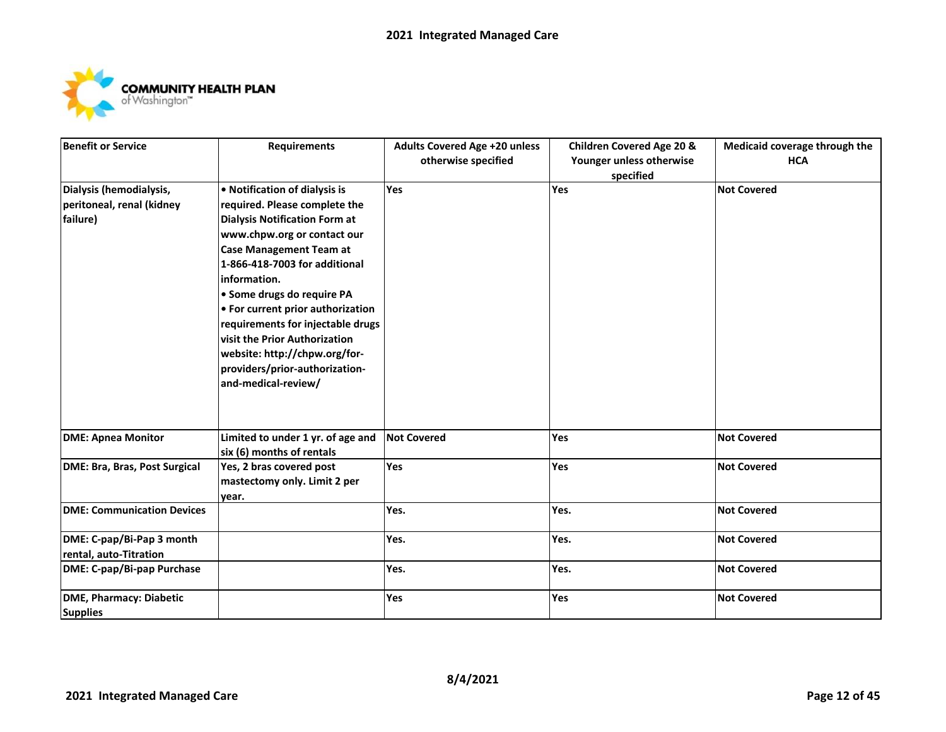

| <b>Benefit or Service</b>         | <b>Requirements</b>                  | Adults Covered Age +20 unless | <b>Children Covered Age 20 &amp;</b> | Medicaid coverage through the |
|-----------------------------------|--------------------------------------|-------------------------------|--------------------------------------|-------------------------------|
|                                   |                                      | otherwise specified           | Younger unless otherwise             | <b>HCA</b>                    |
|                                   |                                      |                               | specified                            |                               |
| Dialysis (hemodialysis,           | • Notification of dialysis is        | Yes                           | Yes                                  | <b>Not Covered</b>            |
| peritoneal, renal (kidney         | required. Please complete the        |                               |                                      |                               |
| failure)                          | <b>Dialysis Notification Form at</b> |                               |                                      |                               |
|                                   | www.chpw.org or contact our          |                               |                                      |                               |
|                                   | <b>Case Management Team at</b>       |                               |                                      |                               |
|                                   | 1-866-418-7003 for additional        |                               |                                      |                               |
|                                   | information.                         |                               |                                      |                               |
|                                   | · Some drugs do require PA           |                               |                                      |                               |
|                                   | • For current prior authorization    |                               |                                      |                               |
|                                   | requirements for injectable drugs    |                               |                                      |                               |
|                                   | visit the Prior Authorization        |                               |                                      |                               |
|                                   | website: http://chpw.org/for-        |                               |                                      |                               |
|                                   | providers/prior-authorization-       |                               |                                      |                               |
|                                   | and-medical-review/                  |                               |                                      |                               |
|                                   |                                      |                               |                                      |                               |
|                                   |                                      |                               |                                      |                               |
|                                   |                                      |                               |                                      |                               |
| <b>DME: Apnea Monitor</b>         | Limited to under 1 yr. of age and    | <b>Not Covered</b>            | Yes                                  | <b>Not Covered</b>            |
|                                   | six (6) months of rentals            |                               |                                      |                               |
| DME: Bra, Bras, Post Surgical     | Yes, 2 bras covered post             | Yes                           | Yes                                  | <b>Not Covered</b>            |
|                                   | mastectomy only. Limit 2 per         |                               |                                      |                               |
|                                   | year.                                |                               |                                      |                               |
| <b>DME: Communication Devices</b> |                                      | Yes.                          | Yes.                                 | <b>Not Covered</b>            |
| DME: C-pap/Bi-Pap 3 month         |                                      | Yes.                          | Yes.                                 | <b>Not Covered</b>            |
| rental, auto-Titration            |                                      |                               |                                      |                               |
| DME: C-pap/Bi-pap Purchase        |                                      | Yes.                          | Yes.                                 | <b>Not Covered</b>            |
| <b>DME, Pharmacy: Diabetic</b>    |                                      | Yes                           | Yes                                  | <b>Not Covered</b>            |
| <b>Supplies</b>                   |                                      |                               |                                      |                               |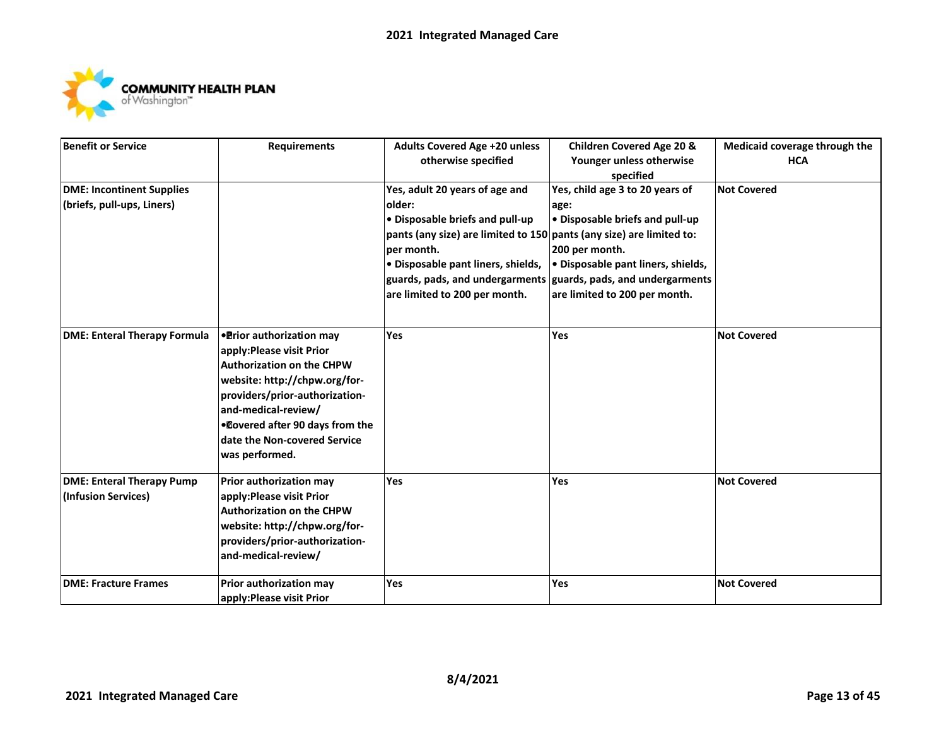

| <b>Benefit or Service</b>           | <b>Requirements</b>              | <b>Adults Covered Age +20 unless</b>                                 | <b>Children Covered Age 20 &amp;</b> | Medicaid coverage through the |
|-------------------------------------|----------------------------------|----------------------------------------------------------------------|--------------------------------------|-------------------------------|
|                                     |                                  | otherwise specified                                                  | Younger unless otherwise             | <b>HCA</b>                    |
|                                     |                                  |                                                                      | specified                            |                               |
| <b>DME: Incontinent Supplies</b>    |                                  | Yes, adult 20 years of age and                                       | Yes, child age 3 to 20 years of      | <b>Not Covered</b>            |
| (briefs, pull-ups, Liners)          |                                  | older:                                                               | age:                                 |                               |
|                                     |                                  | · Disposable briefs and pull-up                                      | . Disposable briefs and pull-up      |                               |
|                                     |                                  | pants (any size) are limited to 150 pants (any size) are limited to: |                                      |                               |
|                                     |                                  | per month.                                                           | 200 per month.                       |                               |
|                                     |                                  | · Disposable pant liners, shields,                                   | · Disposable pant liners, shields,   |                               |
|                                     |                                  | guards, pads, and undergarments                                      | guards, pads, and undergarments      |                               |
|                                     |                                  | are limited to 200 per month.                                        | are limited to 200 per month.        |                               |
|                                     |                                  |                                                                      |                                      |                               |
|                                     |                                  |                                                                      |                                      |                               |
| <b>DME: Enteral Therapy Formula</b> | • Prior authorization may        | Yes                                                                  | Yes                                  | <b>Not Covered</b>            |
|                                     | apply: Please visit Prior        |                                                                      |                                      |                               |
|                                     | <b>Authorization on the CHPW</b> |                                                                      |                                      |                               |
|                                     | website: http://chpw.org/for-    |                                                                      |                                      |                               |
|                                     | providers/prior-authorization-   |                                                                      |                                      |                               |
|                                     | and-medical-review/              |                                                                      |                                      |                               |
|                                     | .Dovered after 90 days from the  |                                                                      |                                      |                               |
|                                     | date the Non-covered Service     |                                                                      |                                      |                               |
|                                     | was performed.                   |                                                                      |                                      |                               |
|                                     |                                  |                                                                      |                                      |                               |
| <b>DME: Enteral Therapy Pump</b>    | Prior authorization may          | Yes                                                                  | Yes                                  | <b>Not Covered</b>            |
| (Infusion Services)                 | apply: Please visit Prior        |                                                                      |                                      |                               |
|                                     | <b>Authorization on the CHPW</b> |                                                                      |                                      |                               |
|                                     | website: http://chpw.org/for-    |                                                                      |                                      |                               |
|                                     | providers/prior-authorization-   |                                                                      |                                      |                               |
|                                     | and-medical-review/              |                                                                      |                                      |                               |
|                                     |                                  |                                                                      |                                      |                               |
| <b>DME: Fracture Frames</b>         | Prior authorization may          | Yes                                                                  | Yes                                  | <b>Not Covered</b>            |
|                                     | apply: Please visit Prior        |                                                                      |                                      |                               |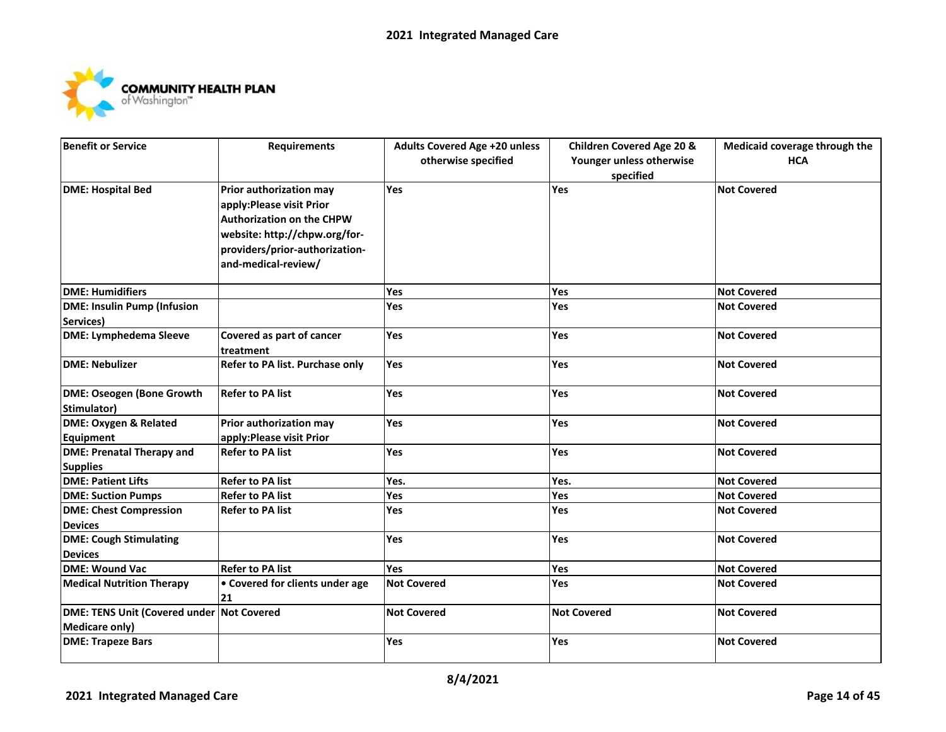

| <b>Benefit or Service</b>                 | <b>Requirements</b>                            | <b>Adults Covered Age +20 unless</b> | <b>Children Covered Age 20 &amp;</b>  | Medicaid coverage through the |
|-------------------------------------------|------------------------------------------------|--------------------------------------|---------------------------------------|-------------------------------|
|                                           |                                                | otherwise specified                  | Younger unless otherwise<br>specified | <b>HCA</b>                    |
| <b>DME: Hospital Bed</b>                  | Prior authorization may                        | Yes                                  | Yes                                   | <b>Not Covered</b>            |
|                                           | apply: Please visit Prior                      |                                      |                                       |                               |
|                                           | <b>Authorization on the CHPW</b>               |                                      |                                       |                               |
|                                           | website: http://chpw.org/for-                  |                                      |                                       |                               |
|                                           | providers/prior-authorization-                 |                                      |                                       |                               |
|                                           | and-medical-review/                            |                                      |                                       |                               |
| <b>DME: Humidifiers</b>                   |                                                | Yes                                  | Yes                                   | <b>Not Covered</b>            |
| <b>DME: Insulin Pump (Infusion</b>        |                                                | Yes                                  | Yes                                   | <b>Not Covered</b>            |
| Services)                                 |                                                |                                      |                                       |                               |
| <b>DME: Lymphedema Sleeve</b>             | Covered as part of cancer<br><b>Itreatment</b> | <b>Yes</b>                           | <b>Yes</b>                            | <b>Not Covered</b>            |
| DME: Nebulizer                            | <b>Refer to PA list. Purchase only</b>         | Yes                                  | Yes                                   | <b>Not Covered</b>            |
| <b>DME: Oseogen (Bone Growth</b>          | <b>Refer to PA list</b>                        | Yes                                  | <b>Yes</b>                            | <b>Not Covered</b>            |
| Stimulator)                               |                                                |                                      |                                       |                               |
| <b>DME: Oxygen &amp; Related</b>          | Prior authorization may                        | Yes                                  | Yes                                   | <b>Not Covered</b>            |
| Equipment                                 | apply: Please visit Prior                      |                                      |                                       |                               |
| <b>DME: Prenatal Therapy and</b>          | <b>Refer to PA list</b>                        | Yes                                  | Yes                                   | <b>Not Covered</b>            |
| <b>Supplies</b>                           |                                                |                                      |                                       |                               |
| <b>DME: Patient Lifts</b>                 | <b>Refer to PA list</b>                        | Yes.                                 | Yes.                                  | <b>Not Covered</b>            |
| <b>DME: Suction Pumps</b>                 | <b>Refer to PA list</b>                        | Yes                                  | Yes                                   | <b>Not Covered</b>            |
| <b>DME: Chest Compression</b>             | Refer to PA list                               | <b>Yes</b>                           | <b>Yes</b>                            | <b>Not Covered</b>            |
| <b>Devices</b>                            |                                                |                                      |                                       |                               |
| <b>DME: Cough Stimulating</b>             |                                                | Yes                                  | Yes                                   | <b>Not Covered</b>            |
| <b>Devices</b>                            |                                                |                                      |                                       |                               |
| <b>DME: Wound Vac</b>                     | <b>Refer to PA list</b>                        | Yes                                  | Yes                                   | <b>Not Covered</b>            |
| <b>Medical Nutrition Therapy</b>          | • Covered for clients under age<br>21          | <b>Not Covered</b>                   | <b>Yes</b>                            | <b>Not Covered</b>            |
| DME: TENS Unit (Covered under Not Covered |                                                | <b>Not Covered</b>                   | <b>Not Covered</b>                    | <b>Not Covered</b>            |
| <b>Medicare only)</b>                     |                                                |                                      |                                       |                               |
| <b>DME: Trapeze Bars</b>                  |                                                | <b>Yes</b>                           | <b>Yes</b>                            | <b>Not Covered</b>            |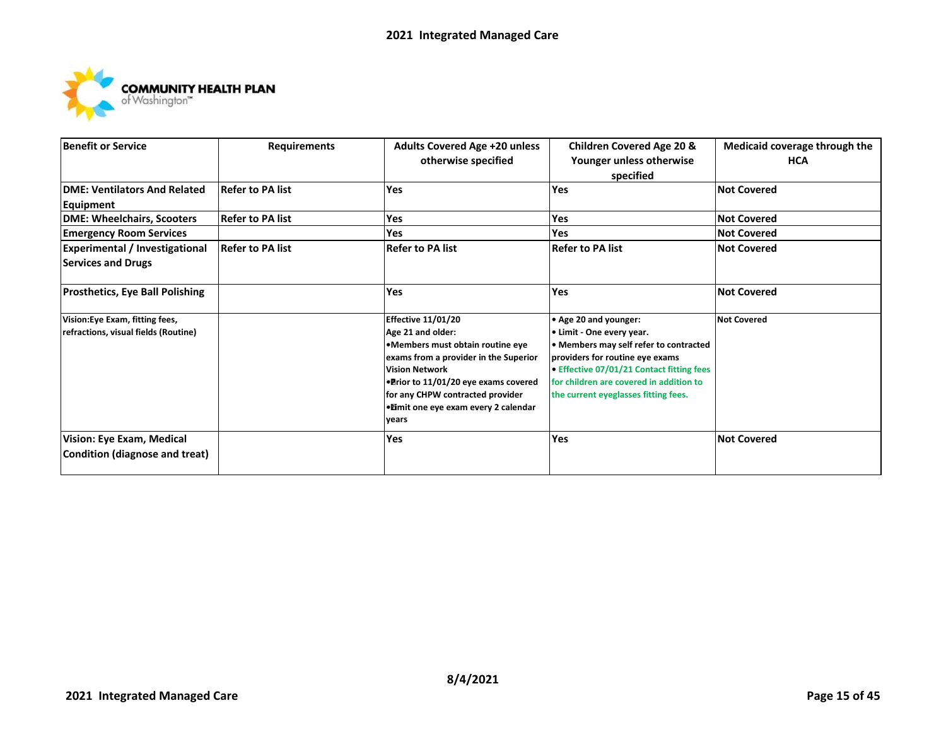

| <b>Benefit or Service</b>                                               | <b>Requirements</b>     | <b>Adults Covered Age +20 unless</b><br>otherwise specified                                                                                                                                                                                                                        | <b>Children Covered Age 20 &amp;</b><br>Younger unless otherwise<br>specified                                                                                                                                                                                   | Medicaid coverage through the<br><b>HCA</b> |
|-------------------------------------------------------------------------|-------------------------|------------------------------------------------------------------------------------------------------------------------------------------------------------------------------------------------------------------------------------------------------------------------------------|-----------------------------------------------------------------------------------------------------------------------------------------------------------------------------------------------------------------------------------------------------------------|---------------------------------------------|
| <b>DME: Ventilators And Related</b><br>Equipment                        | <b>Refer to PA list</b> | <b>Yes</b>                                                                                                                                                                                                                                                                         | <b>Yes</b>                                                                                                                                                                                                                                                      | <b>Not Covered</b>                          |
| DME: Wheelchairs, Scooters                                              | <b>Refer to PA list</b> | Yes                                                                                                                                                                                                                                                                                | Yes                                                                                                                                                                                                                                                             | <b>Not Covered</b>                          |
| <b>Emergency Room Services</b>                                          |                         | <b>Yes</b>                                                                                                                                                                                                                                                                         | <b>Yes</b>                                                                                                                                                                                                                                                      | <b>Not Covered</b>                          |
| <b>Experimental / Investigational</b><br><b>Services and Drugs</b>      | <b>Refer to PA list</b> | <b>Refer to PA list</b>                                                                                                                                                                                                                                                            | <b>Refer to PA list</b>                                                                                                                                                                                                                                         | <b>Not Covered</b>                          |
| <b>Prosthetics, Eye Ball Polishing</b>                                  |                         | <b>Yes</b>                                                                                                                                                                                                                                                                         | Yes                                                                                                                                                                                                                                                             | <b>Not Covered</b>                          |
| Vision: Eye Exam, fitting fees,<br>refractions, visual fields (Routine) |                         | <b>Effective 11/01/20</b><br>Age 21 and older:<br>•Members must obtain routine eye<br>exams from a provider in the Superior<br><b>Vision Network</b><br>. Prior to 11/01/20 eye exams covered<br>for any CHPW contracted provider<br>•Eimit one eye exam every 2 calendar<br>years | • Age 20 and younger:<br>• Limit - One every year.<br>• Members may self refer to contracted<br>providers for routine eye exams<br>• Effective 07/01/21 Contact fitting fees<br>for children are covered in addition to<br>the current eyeglasses fitting fees. | <b>Not Covered</b>                          |
| Vision: Eye Exam, Medical<br>Condition (diagnose and treat)             |                         | Yes                                                                                                                                                                                                                                                                                | Yes                                                                                                                                                                                                                                                             | <b>Not Covered</b>                          |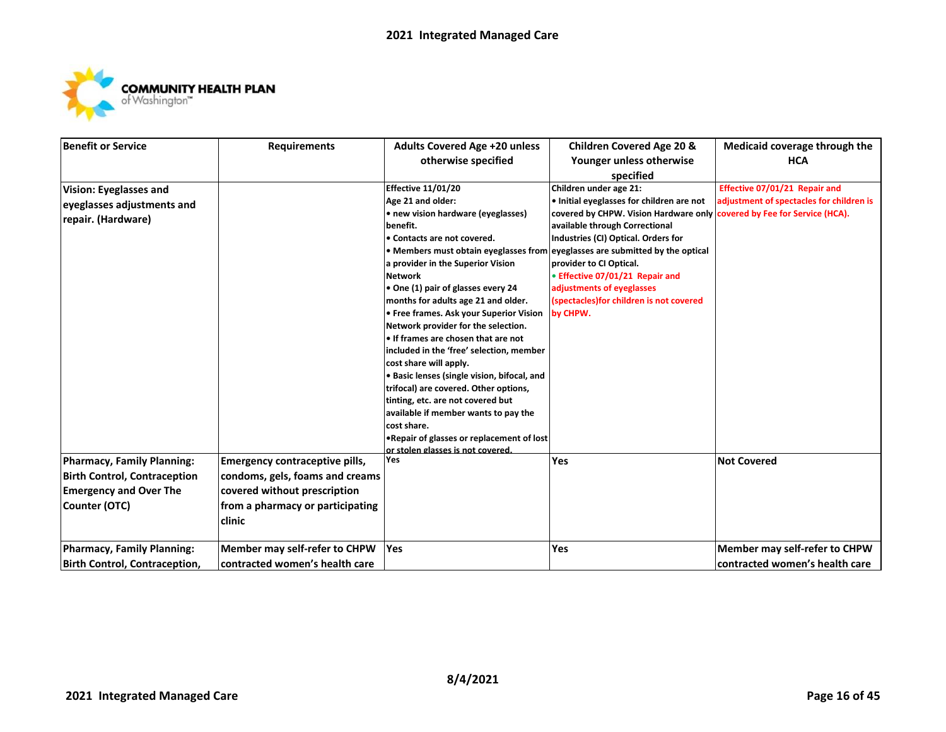

| <b>Benefit or Service</b>            | <b>Requirements</b>                   | <b>Adults Covered Age +20 unless</b>                                            | <b>Children Covered Age 20 &amp;</b>                                    | Medicaid coverage through the            |
|--------------------------------------|---------------------------------------|---------------------------------------------------------------------------------|-------------------------------------------------------------------------|------------------------------------------|
|                                      |                                       | otherwise specified                                                             | Younger unless otherwise                                                | <b>HCA</b>                               |
|                                      |                                       |                                                                                 | specified                                                               |                                          |
| Vision: Eyeglasses and               |                                       | <b>Effective 11/01/20</b>                                                       | Children under age 21:                                                  | Effective 07/01/21 Repair and            |
| eyeglasses adjustments and           |                                       | Age 21 and older:                                                               | . Initial eyeglasses for children are not                               | adjustment of spectacles for children is |
| repair. (Hardware)                   |                                       | • new vision hardware (eyeglasses)                                              | covered by CHPW. Vision Hardware only covered by Fee for Service (HCA). |                                          |
|                                      |                                       | benefit.                                                                        | available through Correctional                                          |                                          |
|                                      |                                       | • Contacts are not covered.                                                     | Industries (CI) Optical. Orders for                                     |                                          |
|                                      |                                       | • Members must obtain eyeglasses from                                           | eyeglasses are submitted by the optical                                 |                                          |
|                                      |                                       | a provider in the Superior Vision                                               | provider to CI Optical.                                                 |                                          |
|                                      |                                       | <b>Network</b>                                                                  | • Effective 07/01/21 Repair and                                         |                                          |
|                                      |                                       | • One (1) pair of glasses every 24                                              | adjustments of eyeglasses                                               |                                          |
|                                      |                                       | months for adults age 21 and older.                                             | (spectacles) for children is not covered                                |                                          |
|                                      |                                       | • Free frames. Ask your Superior Vision                                         | by CHPW.                                                                |                                          |
|                                      |                                       | Network provider for the selection.                                             |                                                                         |                                          |
|                                      |                                       | . If frames are chosen that are not                                             |                                                                         |                                          |
|                                      |                                       | included in the 'free' selection, member                                        |                                                                         |                                          |
|                                      |                                       | cost share will apply.                                                          |                                                                         |                                          |
|                                      |                                       | · Basic lenses (single vision, bifocal, and                                     |                                                                         |                                          |
|                                      |                                       | trifocal) are covered. Other options,                                           |                                                                         |                                          |
|                                      |                                       | tinting, etc. are not covered but                                               |                                                                         |                                          |
|                                      |                                       | available if member wants to pay the                                            |                                                                         |                                          |
|                                      |                                       | cost share.                                                                     |                                                                         |                                          |
|                                      |                                       | . Repair of glasses or replacement of lost<br>or stolen glasses is not covered. |                                                                         |                                          |
| Pharmacy, Family Planning:           | <b>Emergency contraceptive pills,</b> | <b>Yes</b>                                                                      | Yes                                                                     | <b>Not Covered</b>                       |
| <b>Birth Control, Contraception</b>  | condoms, gels, foams and creams       |                                                                                 |                                                                         |                                          |
| <b>Emergency and Over The</b>        | covered without prescription          |                                                                                 |                                                                         |                                          |
| Counter (OTC)                        | from a pharmacy or participating      |                                                                                 |                                                                         |                                          |
| clinic                               |                                       |                                                                                 |                                                                         |                                          |
|                                      |                                       |                                                                                 |                                                                         |                                          |
| Pharmacy, Family Planning:           | Member may self-refer to CHPW         | <b>Yes</b>                                                                      | Yes                                                                     | Member may self-refer to CHPW            |
| <b>Birth Control, Contraception,</b> | contracted women's health care        |                                                                                 |                                                                         | contracted women's health care           |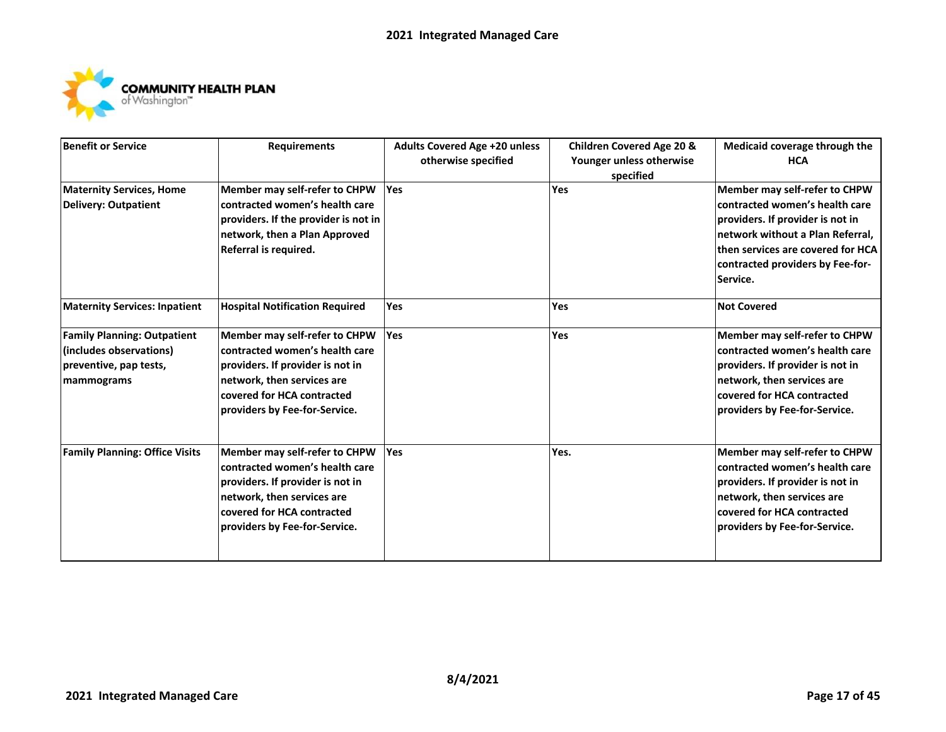

| <b>Benefit or Service</b>             | <b>Requirements</b>                   | <b>Adults Covered Age +20 unless</b> | <b>Children Covered Age 20 &amp;</b> | Medicaid coverage through the     |
|---------------------------------------|---------------------------------------|--------------------------------------|--------------------------------------|-----------------------------------|
|                                       |                                       | otherwise specified                  | Younger unless otherwise             | <b>HCA</b>                        |
|                                       |                                       |                                      | specified                            |                                   |
| <b>Maternity Services, Home</b>       | <b>Member may self-refer to CHPW</b>  | Yes                                  | Yes                                  | Member may self-refer to CHPW     |
| <b>Delivery: Outpatient</b>           | contracted women's health care        |                                      |                                      | contracted women's health care    |
|                                       | providers. If the provider is not in  |                                      |                                      | providers. If provider is not in  |
|                                       | network, then a Plan Approved         |                                      |                                      | network without a Plan Referral,  |
|                                       | Referral is required.                 |                                      |                                      | then services are covered for HCA |
|                                       |                                       |                                      |                                      | contracted providers by Fee-for-  |
|                                       |                                       |                                      |                                      | Service.                          |
| <b>Maternity Services: Inpatient</b>  | <b>Hospital Notification Required</b> | Yes                                  | Yes                                  | <b>Not Covered</b>                |
| <b>Family Planning: Outpatient</b>    | Member may self-refer to CHPW         | Yes                                  | <b>Yes</b>                           | Member may self-refer to CHPW     |
| (includes observations)               | contracted women's health care        |                                      |                                      | contracted women's health care    |
| preventive, pap tests,                | providers. If provider is not in      |                                      |                                      | providers. If provider is not in  |
| mammograms                            | network, then services are            |                                      |                                      | network, then services are        |
|                                       | covered for HCA contracted            |                                      |                                      | covered for HCA contracted        |
|                                       | providers by Fee-for-Service.         |                                      |                                      | providers by Fee-for-Service.     |
|                                       |                                       |                                      |                                      |                                   |
| <b>Family Planning: Office Visits</b> | Member may self-refer to CHPW         | Yes                                  | Yes.                                 | Member may self-refer to CHPW     |
|                                       | contracted women's health care        |                                      |                                      | contracted women's health care    |
|                                       | providers. If provider is not in      |                                      |                                      | providers. If provider is not in  |
|                                       | network, then services are            |                                      |                                      | network, then services are        |
|                                       | covered for HCA contracted            |                                      |                                      | covered for HCA contracted        |
|                                       | providers by Fee-for-Service.         |                                      |                                      | providers by Fee-for-Service.     |
|                                       |                                       |                                      |                                      |                                   |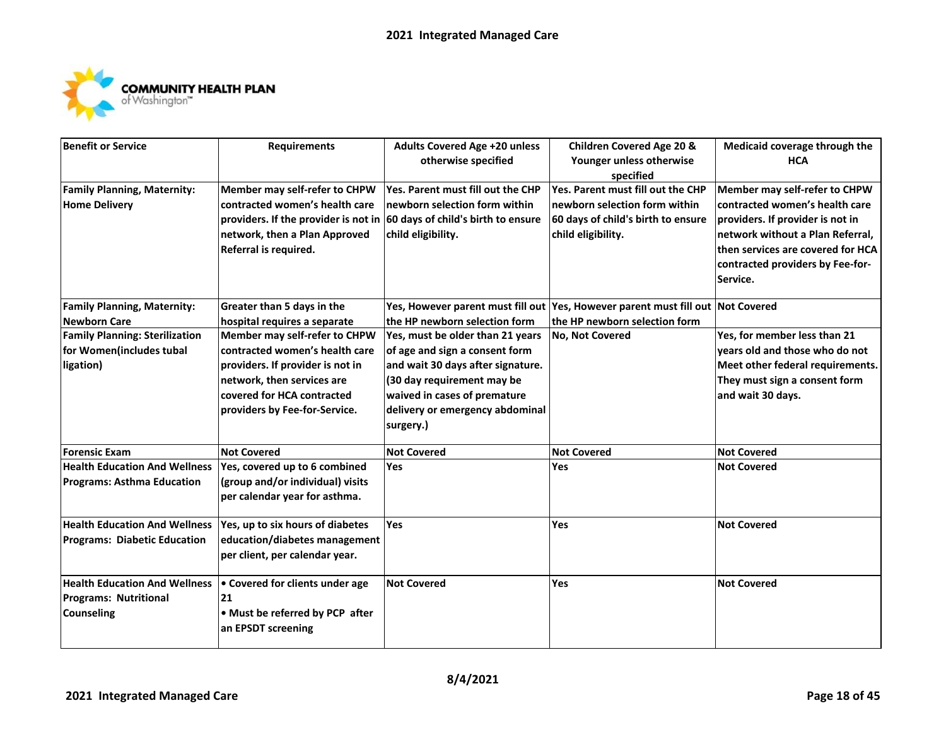

| <b>Benefit or Service</b>             | <b>Requirements</b>                                                                | <b>Adults Covered Age +20 unless</b> | <b>Children Covered Age 20 &amp;</b>                                            | Medicaid coverage through the     |
|---------------------------------------|------------------------------------------------------------------------------------|--------------------------------------|---------------------------------------------------------------------------------|-----------------------------------|
|                                       |                                                                                    | otherwise specified                  | Younger unless otherwise                                                        | <b>HCA</b>                        |
|                                       |                                                                                    |                                      | specified                                                                       |                                   |
| <b>Family Planning, Maternity:</b>    | Member may self-refer to CHPW                                                      | Yes. Parent must fill out the CHP    | Yes. Parent must fill out the CHP                                               | Member may self-refer to CHPW     |
| <b>Home Delivery</b>                  | contracted women's health care                                                     | newborn selection form within        | $\sf In$ ewborn selection form within                                           | contracted women's health care    |
|                                       | providers. If the provider is not in $ 60 \text{ days}$ of child's birth to ensure |                                      | 60 days of child's birth to ensure                                              | providers. If provider is not in  |
|                                       | network, then a Plan Approved                                                      | child eligibility.                   | child eligibility.                                                              | network without a Plan Referral,  |
|                                       | Referral is required.                                                              |                                      |                                                                                 | then services are covered for HCA |
|                                       |                                                                                    |                                      |                                                                                 | contracted providers by Fee-for-  |
|                                       |                                                                                    |                                      |                                                                                 | Service.                          |
|                                       |                                                                                    |                                      |                                                                                 |                                   |
| <b>Family Planning, Maternity:</b>    | Greater than 5 days in the                                                         |                                      | Yes, However parent must fill out Yes, However parent must fill out Not Covered |                                   |
| <b>Newborn Care</b>                   | hospital requires a separate                                                       | the HP newborn selection form        | the HP newborn selection form                                                   |                                   |
| <b>Family Planning: Sterilization</b> | Member may self-refer to CHPW                                                      | Yes, must be older than 21 years     | No, Not Covered                                                                 | Yes, for member less than 21      |
| for Women(includes tubal              | contracted women's health care                                                     | of age and sign a consent form       |                                                                                 | years old and those who do not    |
| ligation)                             | providers. If provider is not in                                                   | and wait 30 days after signature.    |                                                                                 | Meet other federal requirements.  |
|                                       | network, then services are                                                         | (30 day requirement may be           |                                                                                 | They must sign a consent form     |
|                                       | covered for HCA contracted                                                         | waived in cases of premature         |                                                                                 | and wait 30 days.                 |
|                                       | providers by Fee-for-Service.                                                      | delivery or emergency abdominal      |                                                                                 |                                   |
|                                       |                                                                                    | surgery.)                            |                                                                                 |                                   |
| <b>Forensic Exam</b>                  | <b>Not Covered</b>                                                                 | <b>Not Covered</b>                   | <b>Not Covered</b>                                                              | <b>Not Covered</b>                |
| <b>Health Education And Wellness</b>  | Yes, covered up to 6 combined                                                      | Yes                                  | <b>Yes</b>                                                                      | <b>Not Covered</b>                |
| <b>Programs: Asthma Education</b>     | (group and/or individual) visits                                                   |                                      |                                                                                 |                                   |
|                                       | per calendar year for asthma.                                                      |                                      |                                                                                 |                                   |
| <b>Health Education And Wellness</b>  | Yes, up to six hours of diabetes                                                   | Yes                                  | Yes                                                                             | <b>Not Covered</b>                |
| <b>Programs: Diabetic Education</b>   | education/diabetes management                                                      |                                      |                                                                                 |                                   |
|                                       | per client, per calendar year.                                                     |                                      |                                                                                 |                                   |
|                                       |                                                                                    |                                      |                                                                                 |                                   |
| <b>Health Education And Wellness</b>  | • Covered for clients under age                                                    | <b>Not Covered</b>                   | <b>Yes</b>                                                                      | <b>Not Covered</b>                |
| <b>Programs: Nutritional</b>          | 21                                                                                 |                                      |                                                                                 |                                   |
| <b>Counseling</b>                     | • Must be referred by PCP after                                                    |                                      |                                                                                 |                                   |
|                                       | an EPSDT screening                                                                 |                                      |                                                                                 |                                   |
|                                       |                                                                                    |                                      |                                                                                 |                                   |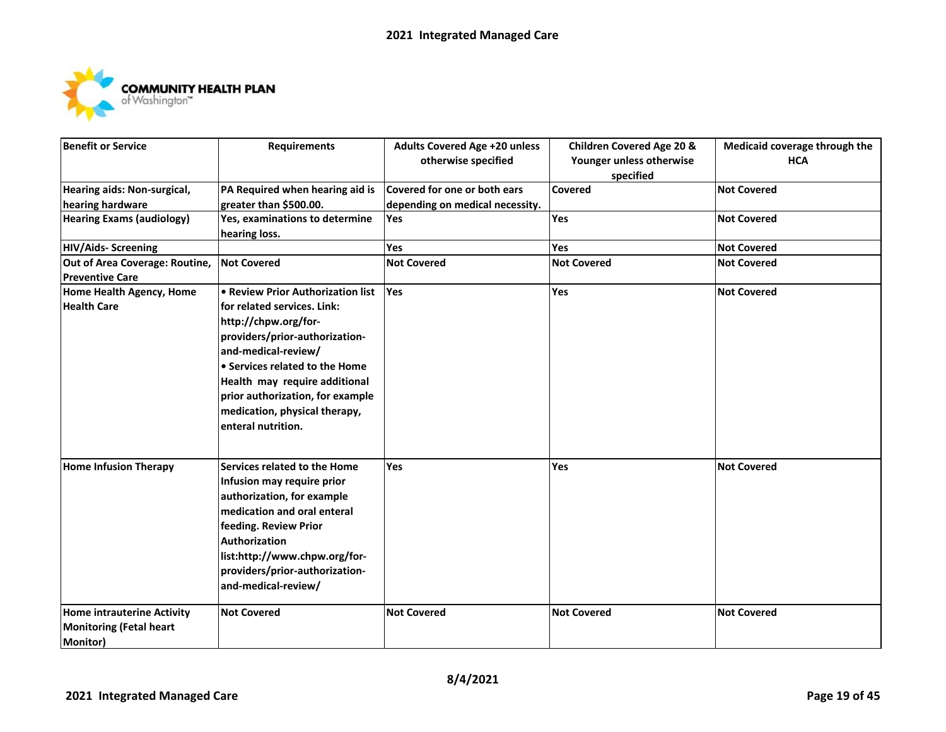

| <b>Benefit or Service</b>         | <b>Requirements</b>               | <b>Adults Covered Age +20 unless</b> | <b>Children Covered Age 20 &amp;</b> | Medicaid coverage through the |
|-----------------------------------|-----------------------------------|--------------------------------------|--------------------------------------|-------------------------------|
|                                   |                                   | otherwise specified                  | Younger unless otherwise             | <b>HCA</b>                    |
|                                   |                                   |                                      | specified                            |                               |
| Hearing aids: Non-surgical,       | PA Required when hearing aid is   | Covered for one or both ears         | Covered                              | <b>Not Covered</b>            |
| hearing hardware                  | greater than \$500.00.            | depending on medical necessity.      |                                      |                               |
| <b>Hearing Exams (audiology)</b>  | Yes, examinations to determine    | Yes                                  | <b>Yes</b>                           | <b>Not Covered</b>            |
|                                   | hearing loss.                     |                                      |                                      |                               |
| <b>HIV/Aids- Screening</b>        |                                   | Yes                                  | Yes                                  | <b>Not Covered</b>            |
| Out of Area Coverage: Routine,    | <b>Not Covered</b>                | <b>Not Covered</b>                   | <b>Not Covered</b>                   | <b>Not Covered</b>            |
| <b>Preventive Care</b>            |                                   |                                      |                                      |                               |
| Home Health Agency, Home          | • Review Prior Authorization list | <b>Yes</b>                           | Yes                                  | <b>Not Covered</b>            |
| <b>Health Care</b>                | for related services. Link:       |                                      |                                      |                               |
|                                   | http://chpw.org/for-              |                                      |                                      |                               |
|                                   | providers/prior-authorization-    |                                      |                                      |                               |
|                                   | and-medical-review/               |                                      |                                      |                               |
|                                   | • Services related to the Home    |                                      |                                      |                               |
|                                   | Health may require additional     |                                      |                                      |                               |
|                                   | prior authorization, for example  |                                      |                                      |                               |
|                                   | medication, physical therapy,     |                                      |                                      |                               |
|                                   | enteral nutrition.                |                                      |                                      |                               |
|                                   |                                   |                                      |                                      |                               |
|                                   |                                   |                                      |                                      |                               |
| <b>Home Infusion Therapy</b>      | Services related to the Home      | <b>Yes</b>                           | Yes                                  | <b>Not Covered</b>            |
|                                   | Infusion may require prior        |                                      |                                      |                               |
|                                   | authorization, for example        |                                      |                                      |                               |
|                                   | medication and oral enteral       |                                      |                                      |                               |
|                                   | feeding. Review Prior             |                                      |                                      |                               |
|                                   | Authorization                     |                                      |                                      |                               |
|                                   | list:http://www.chpw.org/for-     |                                      |                                      |                               |
|                                   | providers/prior-authorization-    |                                      |                                      |                               |
|                                   | and-medical-review/               |                                      |                                      |                               |
|                                   |                                   |                                      |                                      |                               |
| <b>Home intrauterine Activity</b> | <b>Not Covered</b>                | <b>Not Covered</b>                   | <b>Not Covered</b>                   | <b>Not Covered</b>            |
| <b>Monitoring (Fetal heart</b>    |                                   |                                      |                                      |                               |
| <b>Monitor)</b>                   |                                   |                                      |                                      |                               |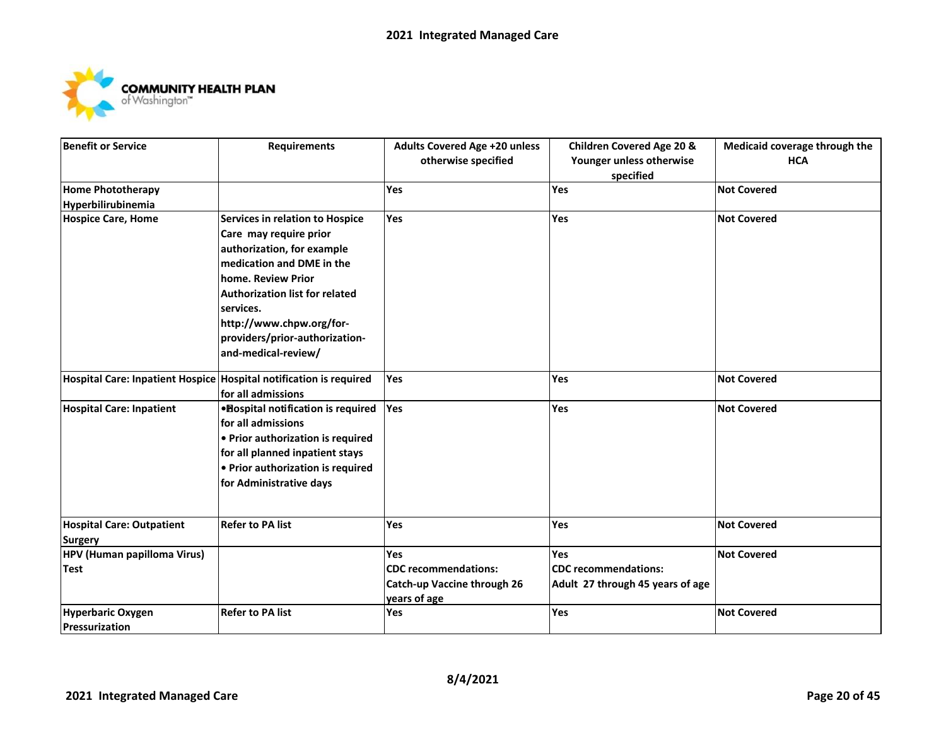

| Benefit or Service                            | <b>Requirements</b>                                                | <b>Adults Covered Age +20 unless</b> | <b>Children Covered Age 20 &amp;</b> | Medicaid coverage through the |
|-----------------------------------------------|--------------------------------------------------------------------|--------------------------------------|--------------------------------------|-------------------------------|
|                                               |                                                                    | otherwise specified                  | Younger unless otherwise             | <b>HCA</b>                    |
|                                               |                                                                    |                                      | specified                            |                               |
| <b>Home Phototherapy</b>                      |                                                                    | Yes                                  | Yes                                  | <b>Not Covered</b>            |
| Hyperbilirubinemia                            |                                                                    |                                      |                                      |                               |
| <b>Hospice Care, Home</b>                     | Services in relation to Hospice                                    | Yes                                  | Yes                                  | <b>Not Covered</b>            |
|                                               | Care may require prior                                             |                                      |                                      |                               |
|                                               | authorization, for example                                         |                                      |                                      |                               |
|                                               | medication and DME in the                                          |                                      |                                      |                               |
|                                               | home. Review Prior                                                 |                                      |                                      |                               |
|                                               | <b>Authorization list for related</b>                              |                                      |                                      |                               |
|                                               | services.                                                          |                                      |                                      |                               |
|                                               | http://www.chpw.org/for-                                           |                                      |                                      |                               |
|                                               | providers/prior-authorization-                                     |                                      |                                      |                               |
|                                               | and-medical-review/                                                |                                      |                                      |                               |
|                                               | Hospital Care: Inpatient Hospice Hospital notification is required | <b>Yes</b>                           | <b>Yes</b>                           | <b>Not Covered</b>            |
|                                               | for all admissions                                                 |                                      |                                      |                               |
| <b>Hospital Care: Inpatient</b>               | • Bospital notification is required                                | Yes                                  | Yes                                  | <b>Not Covered</b>            |
|                                               | for all admissions                                                 |                                      |                                      |                               |
|                                               | • Prior authorization is required                                  |                                      |                                      |                               |
|                                               | for all planned inpatient stays                                    |                                      |                                      |                               |
|                                               | • Prior authorization is required                                  |                                      |                                      |                               |
|                                               | for Administrative days                                            |                                      |                                      |                               |
|                                               | <b>Refer to PA list</b>                                            | <b>Yes</b>                           | <b>Yes</b>                           | <b>Not Covered</b>            |
| <b>Hospital Care: Outpatient</b>              |                                                                    |                                      |                                      |                               |
| <b>Surgery</b><br>HPV (Human papilloma Virus) |                                                                    | Yes                                  | Yes                                  | <b>Not Covered</b>            |
| <b>Test</b>                                   |                                                                    | <b>CDC</b> recommendations:          | <b>CDC</b> recommendations:          |                               |
|                                               |                                                                    | Catch-up Vaccine through 26          | Adult 27 through 45 years of age     |                               |
|                                               |                                                                    | years of age                         |                                      |                               |
| Hyperbaric Oxygen                             | <b>Refer to PA list</b>                                            | Yes                                  | Yes                                  | <b>Not Covered</b>            |
| <b>Pressurization</b>                         |                                                                    |                                      |                                      |                               |
|                                               |                                                                    |                                      |                                      |                               |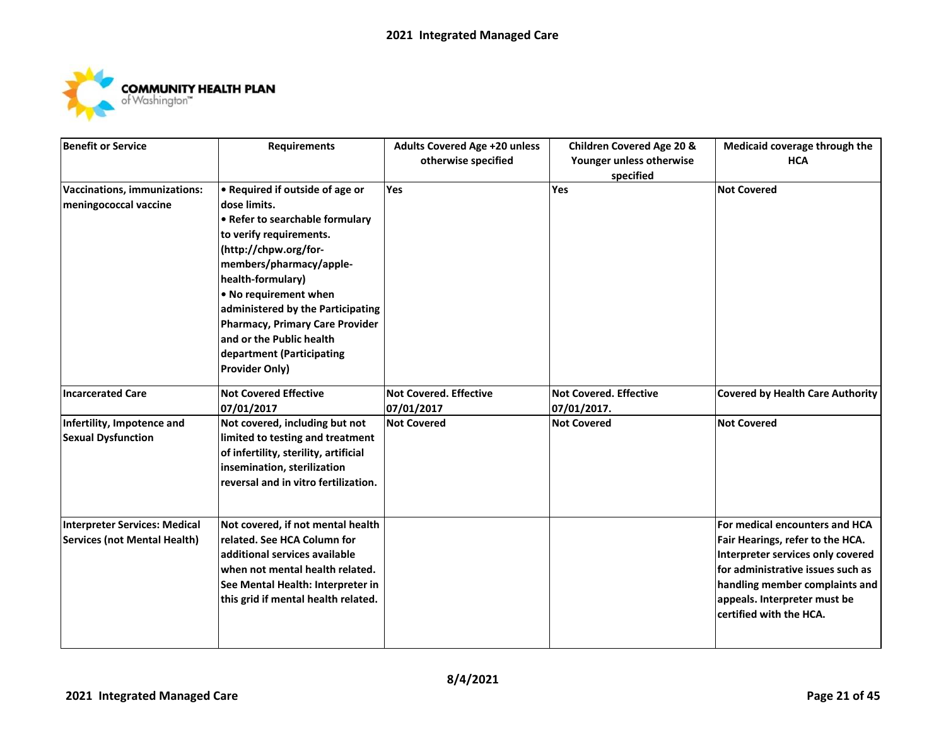

| <b>Benefit or Service</b>            | <b>Requirements</b>                    | Adults Covered Age +20 unless | <b>Children Covered Age 20 &amp;</b> | Medicaid coverage through the           |
|--------------------------------------|----------------------------------------|-------------------------------|--------------------------------------|-----------------------------------------|
|                                      |                                        | otherwise specified           | Younger unless otherwise             | <b>HCA</b>                              |
|                                      |                                        |                               | specified                            |                                         |
| Vaccinations, immunizations:         | • Required if outside of age or        | Yes                           | Yes                                  | <b>Not Covered</b>                      |
| meningococcal vaccine                | dose limits.                           |                               |                                      |                                         |
|                                      | • Refer to searchable formulary        |                               |                                      |                                         |
|                                      | to verify requirements.                |                               |                                      |                                         |
|                                      | (http://chpw.org/for-                  |                               |                                      |                                         |
|                                      | members/pharmacy/apple-                |                               |                                      |                                         |
|                                      | health-formulary)                      |                               |                                      |                                         |
|                                      | . No requirement when                  |                               |                                      |                                         |
|                                      | administered by the Participating      |                               |                                      |                                         |
|                                      | <b>Pharmacy, Primary Care Provider</b> |                               |                                      |                                         |
|                                      | and or the Public health               |                               |                                      |                                         |
|                                      | department (Participating              |                               |                                      |                                         |
|                                      | <b>Provider Only)</b>                  |                               |                                      |                                         |
| <b>Incarcerated Care</b>             | <b>Not Covered Effective</b>           | Not Covered. Effective        | <b>Not Covered. Effective</b>        | <b>Covered by Health Care Authority</b> |
|                                      | 07/01/2017                             | 07/01/2017                    | 07/01/2017.                          |                                         |
| Infertility, Impotence and           | Not covered, including but not         | <b>Not Covered</b>            | <b>Not Covered</b>                   | <b>Not Covered</b>                      |
| <b>Sexual Dysfunction</b>            | limited to testing and treatment       |                               |                                      |                                         |
|                                      | of infertility, sterility, artificial  |                               |                                      |                                         |
|                                      | insemination, sterilization            |                               |                                      |                                         |
|                                      | reversal and in vitro fertilization.   |                               |                                      |                                         |
|                                      |                                        |                               |                                      |                                         |
| <b>Interpreter Services: Medical</b> | Not covered, if not mental health      |                               |                                      | For medical encounters and HCA          |
| <b>Services (not Mental Health)</b>  | related. See HCA Column for            |                               |                                      | Fair Hearings, refer to the HCA.        |
|                                      | additional services available          |                               |                                      | Interpreter services only covered       |
|                                      | when not mental health related.        |                               |                                      | for administrative issues such as       |
|                                      | See Mental Health: Interpreter in      |                               |                                      | handling member complaints and          |
|                                      | this grid if mental health related.    |                               |                                      | appeals. Interpreter must be            |
|                                      |                                        |                               |                                      | certified with the HCA.                 |
|                                      |                                        |                               |                                      |                                         |
|                                      |                                        |                               |                                      |                                         |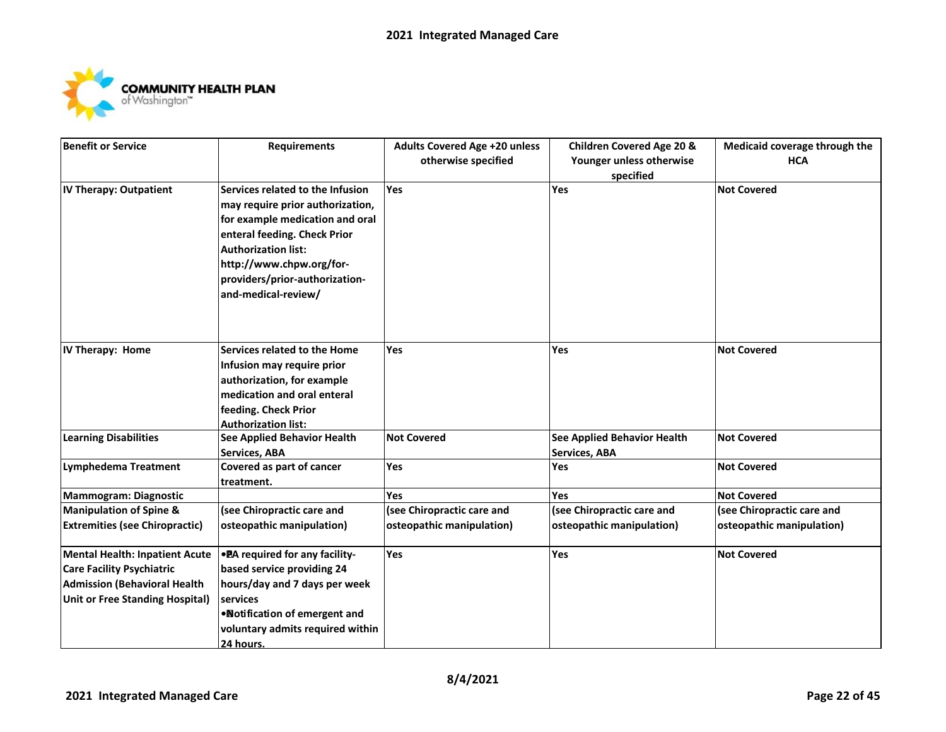

| Benefit or Service                     | <b>Requirements</b>              | <b>Adults Covered Age +20 unless</b> | <b>Children Covered Age 20 &amp;</b> | Medicaid coverage through the |
|----------------------------------------|----------------------------------|--------------------------------------|--------------------------------------|-------------------------------|
|                                        |                                  | otherwise specified                  | Younger unless otherwise             | <b>HCA</b>                    |
|                                        |                                  |                                      | specified                            |                               |
| IV Therapy: Outpatient                 | Services related to the Infusion | <b>Yes</b>                           | Yes                                  | <b>Not Covered</b>            |
|                                        | may require prior authorization, |                                      |                                      |                               |
|                                        | for example medication and oral  |                                      |                                      |                               |
|                                        | enteral feeding. Check Prior     |                                      |                                      |                               |
|                                        | <b>Authorization list:</b>       |                                      |                                      |                               |
|                                        | http://www.chpw.org/for-         |                                      |                                      |                               |
|                                        | providers/prior-authorization-   |                                      |                                      |                               |
|                                        | and-medical-review/              |                                      |                                      |                               |
|                                        |                                  |                                      |                                      |                               |
|                                        |                                  |                                      |                                      |                               |
| IV Therapy: Home                       | Services related to the Home     | <b>Yes</b>                           | Yes                                  | <b>Not Covered</b>            |
|                                        | Infusion may require prior       |                                      |                                      |                               |
|                                        | authorization, for example       |                                      |                                      |                               |
|                                        | medication and oral enteral      |                                      |                                      |                               |
|                                        | feeding. Check Prior             |                                      |                                      |                               |
|                                        | <b>Authorization list:</b>       |                                      |                                      |                               |
| <b>Learning Disabilities</b>           | See Applied Behavior Health      | <b>Not Covered</b>                   | <b>See Applied Behavior Health</b>   | <b>Not Covered</b>            |
|                                        | Services, ABA                    |                                      | Services, ABA                        |                               |
| <b>Lymphedema Treatment</b>            | Covered as part of cancer        | Yes                                  | Yes                                  | <b>Not Covered</b>            |
|                                        | treatment.                       |                                      |                                      |                               |
| <b>Mammogram: Diagnostic</b>           |                                  | Yes                                  | Yes                                  | <b>Not Covered</b>            |
| <b>Manipulation of Spine &amp;</b>     | (see Chiropractic care and       | (see Chiropractic care and           | (see Chiropractic care and           | (see Chiropractic care and    |
| <b>Extremities (see Chiropractic)</b>  | osteopathic manipulation)        | osteopathic manipulation)            | osteopathic manipulation)            | osteopathic manipulation)     |
| Mental Health: Inpatient Acute         | • PA required for any facility-  | Yes                                  | Yes                                  | <b>Not Covered</b>            |
| <b>Care Facility Psychiatric</b>       | based service providing 24       |                                      |                                      |                               |
| <b>Admission (Behavioral Health</b>    | hours/day and 7 days per week    |                                      |                                      |                               |
| <b>Unit or Free Standing Hospital)</b> | services                         |                                      |                                      |                               |
|                                        | •Notification of emergent and    |                                      |                                      |                               |
|                                        | voluntary admits required within |                                      |                                      |                               |
|                                        | 24 hours.                        |                                      |                                      |                               |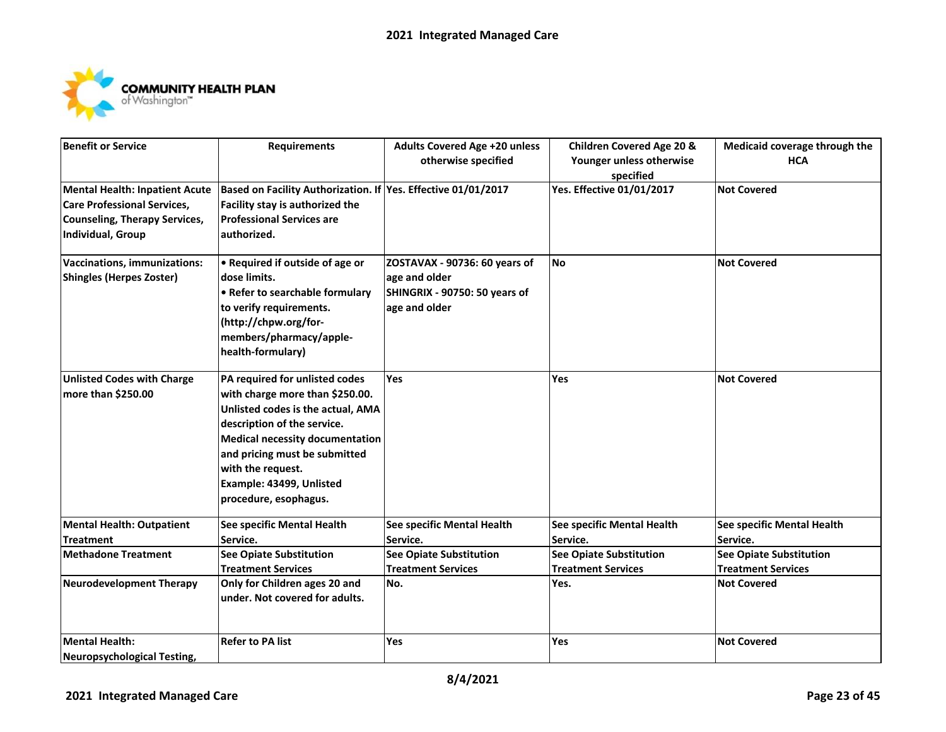

| <b>Benefit or Service</b>                                                                                                                       | <b>Requirements</b>                                                                                                                                                                                                                                                                        | <b>Adults Covered Age +20 unless</b><br>otherwise specified                                      | <b>Children Covered Age 20 &amp;</b><br>Younger unless otherwise<br>specified | Medicaid coverage through the<br><b>HCA</b>                 |
|-------------------------------------------------------------------------------------------------------------------------------------------------|--------------------------------------------------------------------------------------------------------------------------------------------------------------------------------------------------------------------------------------------------------------------------------------------|--------------------------------------------------------------------------------------------------|-------------------------------------------------------------------------------|-------------------------------------------------------------|
| <b>Mental Health: Inpatient Acute</b><br><b>Care Professional Services,</b><br><b>Counseling, Therapy Services,</b><br><b>Individual, Group</b> | Based on Facility Authorization. If Yes. Effective 01/01/2017<br>Facility stay is authorized the<br><b>Professional Services are</b><br>authorized.                                                                                                                                        |                                                                                                  | Yes. Effective 01/01/2017                                                     | <b>Not Covered</b>                                          |
| Vaccinations, immunizations:<br><b>Shingles (Herpes Zoster)</b>                                                                                 | • Required if outside of age or<br>dose limits.<br>• Refer to searchable formulary<br>to verify requirements.<br>(http://chpw.org/for-<br>members/pharmacy/apple-<br>health-formulary)                                                                                                     | ZOSTAVAX - 90736: 60 years of<br>age and older<br>SHINGRIX - 90750: 50 years of<br>age and older | <b>No</b>                                                                     | <b>Not Covered</b>                                          |
| <b>Unlisted Codes with Charge</b><br>more than \$250.00                                                                                         | PA required for unlisted codes<br>with charge more than \$250.00.<br>Unlisted codes is the actual, AMA<br>description of the service.<br><b>Medical necessity documentation</b><br>and pricing must be submitted<br>with the request.<br>Example: 43499, Unlisted<br>procedure, esophagus. | <b>Yes</b>                                                                                       | <b>Yes</b>                                                                    | <b>Not Covered</b>                                          |
| <b>Mental Health: Outpatient</b><br><b>Treatment</b>                                                                                            | See specific Mental Health<br>Service.                                                                                                                                                                                                                                                     | See specific Mental Health<br>Service.                                                           | See specific Mental Health<br>Service.                                        | See specific Mental Health<br>Service.                      |
| <b>Methadone Treatment</b>                                                                                                                      | <b>See Opiate Substitution</b><br><b>Treatment Services</b>                                                                                                                                                                                                                                | <b>See Opiate Substitution</b><br><b>Treatment Services</b>                                      | <b>See Opiate Substitution</b><br><b>Treatment Services</b>                   | <b>See Opiate Substitution</b><br><b>Treatment Services</b> |
| <b>Neurodevelopment Therapy</b>                                                                                                                 | Only for Children ages 20 and<br>under. Not covered for adults.                                                                                                                                                                                                                            | No.                                                                                              | Yes.                                                                          | <b>Not Covered</b>                                          |
| <b>Mental Health:</b><br><b>Neuropsychological Testing,</b>                                                                                     | <b>Refer to PA list</b>                                                                                                                                                                                                                                                                    | Yes                                                                                              | Yes                                                                           | <b>Not Covered</b>                                          |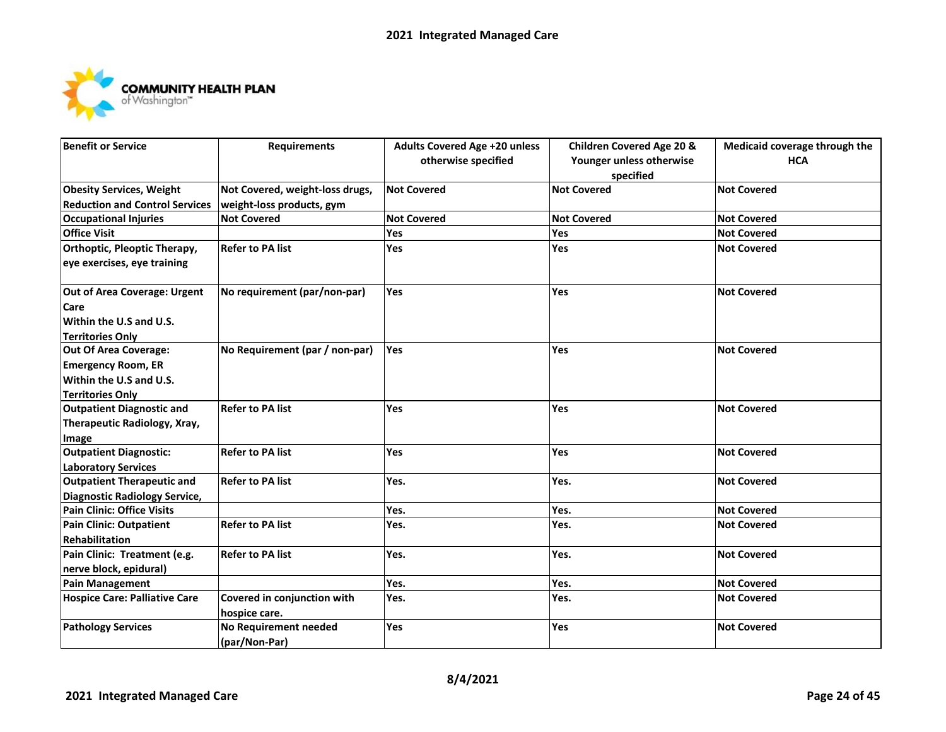

| <b>Benefit or Service</b>             | <b>Requirements</b>             | <b>Adults Covered Age +20 unless</b> | <b>Children Covered Age 20 &amp;</b> | Medicaid coverage through the |
|---------------------------------------|---------------------------------|--------------------------------------|--------------------------------------|-------------------------------|
|                                       |                                 | otherwise specified                  | Younger unless otherwise             | <b>HCA</b>                    |
|                                       |                                 |                                      | specified                            |                               |
| <b>Obesity Services, Weight</b>       | Not Covered, weight-loss drugs, | <b>Not Covered</b>                   | <b>Not Covered</b>                   | <b>Not Covered</b>            |
| <b>Reduction and Control Services</b> | weight-loss products, gym       |                                      |                                      |                               |
| <b>Occupational Injuries</b>          | <b>Not Covered</b>              | <b>Not Covered</b>                   | <b>Not Covered</b>                   | <b>Not Covered</b>            |
| <b>Office Visit</b>                   |                                 | Yes                                  | Yes                                  | <b>Not Covered</b>            |
| Orthoptic, Pleoptic Therapy,          | <b>Refer to PA list</b>         | Yes                                  | Yes                                  | <b>Not Covered</b>            |
| eye exercises, eye training           |                                 |                                      |                                      |                               |
| Out of Area Coverage: Urgent          | No requirement (par/non-par)    | <b>Yes</b>                           | Yes                                  | <b>Not Covered</b>            |
| Care                                  |                                 |                                      |                                      |                               |
| Within the U.S and U.S.               |                                 |                                      |                                      |                               |
| <b>Territories Only</b>               |                                 |                                      |                                      |                               |
| <b>Out Of Area Coverage:</b>          | No Requirement (par / non-par)  | Yes                                  | Yes                                  | <b>Not Covered</b>            |
| <b>Emergency Room, ER</b>             |                                 |                                      |                                      |                               |
| Within the U.S and U.S.               |                                 |                                      |                                      |                               |
| <b>Territories Only</b>               |                                 |                                      |                                      |                               |
| <b>Outpatient Diagnostic and</b>      | <b>Refer to PA list</b>         | Yes                                  | Yes                                  | <b>Not Covered</b>            |
| Therapeutic Radiology, Xray,          |                                 |                                      |                                      |                               |
| Image                                 |                                 |                                      |                                      |                               |
| <b>Outpatient Diagnostic:</b>         | <b>Refer to PA list</b>         | Yes                                  | Yes                                  | <b>Not Covered</b>            |
| <b>Laboratory Services</b>            |                                 |                                      |                                      |                               |
| <b>Outpatient Therapeutic and</b>     | <b>Refer to PA list</b>         | Yes.                                 | Yes.                                 | <b>Not Covered</b>            |
| <b>Diagnostic Radiology Service,</b>  |                                 |                                      |                                      |                               |
| Pain Clinic: Office Visits            |                                 | Yes.                                 | Yes.                                 | <b>Not Covered</b>            |
| Pain Clinic: Outpatient               | <b>Refer to PA list</b>         | Yes.                                 | Yes.                                 | <b>Not Covered</b>            |
| Rehabilitation                        |                                 |                                      |                                      |                               |
| Pain Clinic: Treatment (e.g.          | <b>Refer to PA list</b>         | Yes.                                 | Yes.                                 | <b>Not Covered</b>            |
| nerve block, epidural)                |                                 |                                      |                                      |                               |
| <b>Pain Management</b>                |                                 | Yes.                                 | Yes.                                 | <b>Not Covered</b>            |
| <b>Hospice Care: Palliative Care</b>  | Covered in conjunction with     | Yes.                                 | Yes.                                 | <b>Not Covered</b>            |
|                                       | hospice care.                   |                                      |                                      |                               |
| <b>Pathology Services</b>             | No Requirement needed           | Yes                                  | Yes                                  | <b>Not Covered</b>            |
|                                       | (par/Non-Par)                   |                                      |                                      |                               |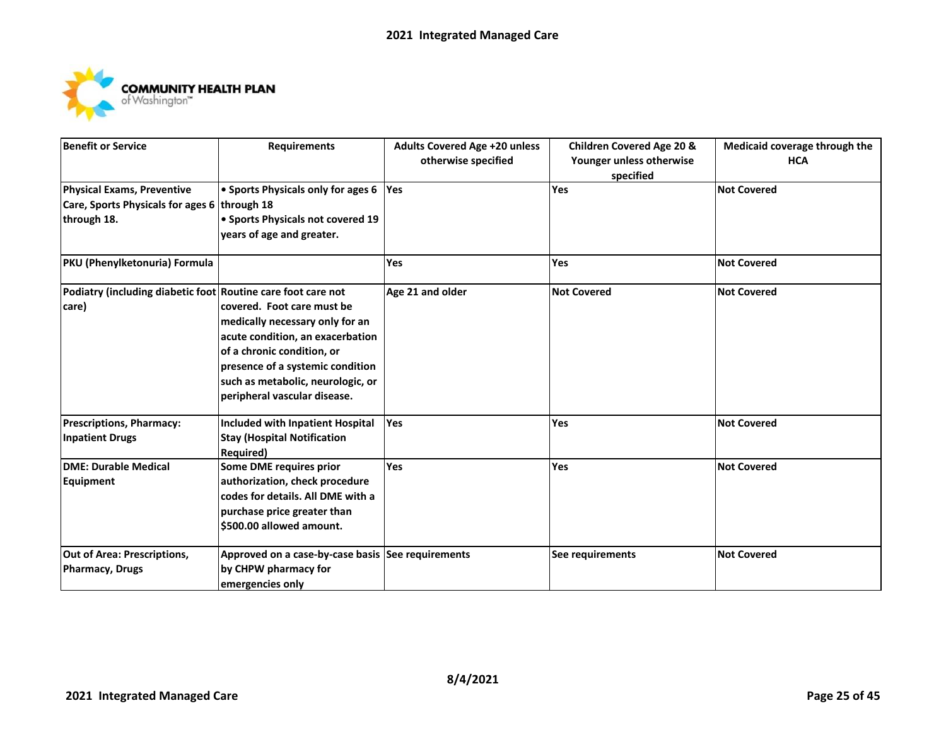

| <b>Benefit or Service</b>                                    | <b>Requirements</b>                               | <b>Adults Covered Age +20 unless</b> | <b>Children Covered Age 20 &amp;</b> | Medicaid coverage through the |
|--------------------------------------------------------------|---------------------------------------------------|--------------------------------------|--------------------------------------|-------------------------------|
|                                                              |                                                   | otherwise specified                  | Younger unless otherwise             | <b>HCA</b>                    |
|                                                              |                                                   |                                      | specified                            |                               |
| <b>Physical Exams, Preventive</b>                            | • Sports Physicals only for ages 6                | Yes                                  | Yes                                  | <b>Not Covered</b>            |
| Care, Sports Physicals for ages 6 through 18                 |                                                   |                                      |                                      |                               |
| through 18.                                                  | • Sports Physicals not covered 19                 |                                      |                                      |                               |
|                                                              | years of age and greater.                         |                                      |                                      |                               |
| PKU (Phenylketonuria) Formula                                |                                                   | <b>Yes</b>                           | Yes                                  | <b>Not Covered</b>            |
| Podiatry (including diabetic foot Routine care foot care not |                                                   | Age 21 and older                     | <b>Not Covered</b>                   | <b>Not Covered</b>            |
| care)                                                        | covered. Foot care must be                        |                                      |                                      |                               |
|                                                              | medically necessary only for an                   |                                      |                                      |                               |
|                                                              | acute condition, an exacerbation                  |                                      |                                      |                               |
|                                                              | of a chronic condition, or                        |                                      |                                      |                               |
|                                                              | presence of a systemic condition                  |                                      |                                      |                               |
|                                                              | such as metabolic, neurologic, or                 |                                      |                                      |                               |
|                                                              | peripheral vascular disease.                      |                                      |                                      |                               |
| <b>Prescriptions, Pharmacy:</b>                              | <b>Included with Inpatient Hospital</b>           | Yes                                  | Yes                                  | <b>Not Covered</b>            |
| <b>Inpatient Drugs</b>                                       | <b>Stay (Hospital Notification</b>                |                                      |                                      |                               |
|                                                              | Required)                                         |                                      |                                      |                               |
| <b>DME: Durable Medical</b>                                  | Some DME requires prior                           | <b>Yes</b>                           | <b>Yes</b>                           | <b>Not Covered</b>            |
| Equipment                                                    | authorization, check procedure                    |                                      |                                      |                               |
|                                                              | codes for details. All DME with a                 |                                      |                                      |                               |
|                                                              | purchase price greater than                       |                                      |                                      |                               |
|                                                              | \$500.00 allowed amount.                          |                                      |                                      |                               |
| <b>Out of Area: Prescriptions,</b>                           | Approved on a case-by-case basis See requirements |                                      | See requirements                     | <b>Not Covered</b>            |
| <b>Pharmacy, Drugs</b>                                       | by CHPW pharmacy for                              |                                      |                                      |                               |
|                                                              | emergencies only                                  |                                      |                                      |                               |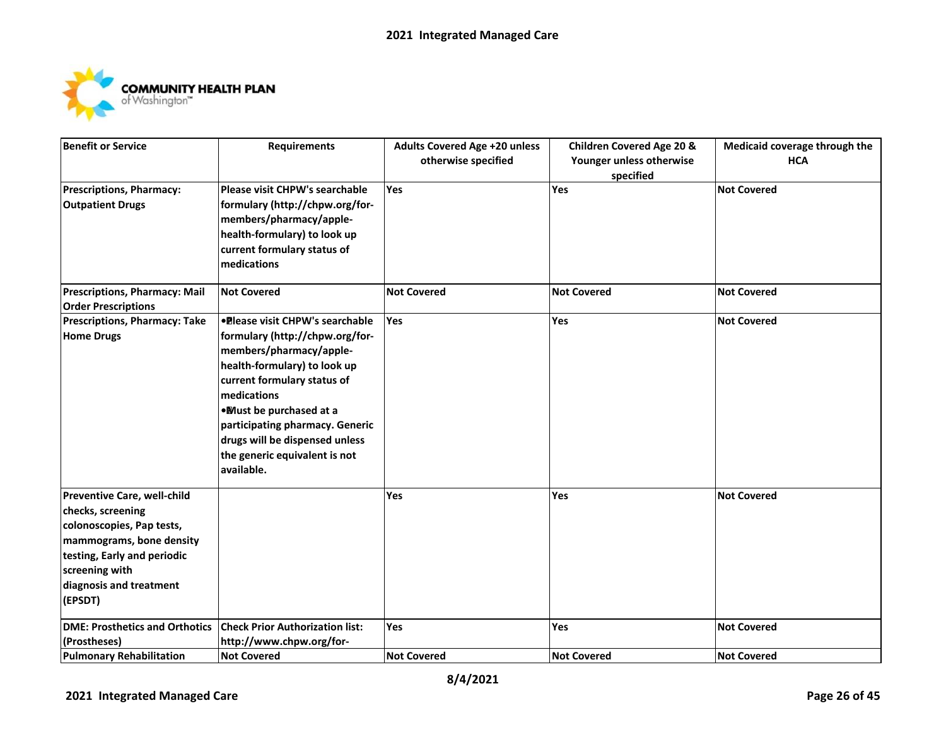

| <b>Benefit or Service</b>             | <b>Requirements</b>                     | <b>Adults Covered Age +20 unless</b> | <b>Children Covered Age 20 &amp;</b> | Medicaid coverage through the |
|---------------------------------------|-----------------------------------------|--------------------------------------|--------------------------------------|-------------------------------|
|                                       |                                         | otherwise specified                  | Younger unless otherwise             | <b>HCA</b>                    |
|                                       |                                         |                                      | specified                            |                               |
| <b>Prescriptions, Pharmacy:</b>       | Please visit CHPW's searchable          | Yes                                  | Yes                                  | <b>Not Covered</b>            |
| <b>Outpatient Drugs</b>               | formulary (http://chpw.org/for-         |                                      |                                      |                               |
|                                       | members/pharmacy/apple-                 |                                      |                                      |                               |
|                                       | health-formulary) to look up            |                                      |                                      |                               |
|                                       | current formulary status of             |                                      |                                      |                               |
|                                       | medications                             |                                      |                                      |                               |
| Prescriptions, Pharmacy: Mail         | <b>Not Covered</b>                      | <b>Not Covered</b>                   | <b>Not Covered</b>                   | <b>Not Covered</b>            |
| <b>Order Prescriptions</b>            |                                         |                                      |                                      |                               |
| <b>Prescriptions, Pharmacy: Take</b>  | <b>.</b> Please visit CHPW's searchable | Yes                                  | Yes                                  | <b>Not Covered</b>            |
| <b>Home Drugs</b>                     | formulary (http://chpw.org/for-         |                                      |                                      |                               |
|                                       | members/pharmacy/apple-                 |                                      |                                      |                               |
|                                       | health-formulary) to look up            |                                      |                                      |                               |
|                                       | current formulary status of             |                                      |                                      |                               |
|                                       | medications                             |                                      |                                      |                               |
|                                       | . Must be purchased at a                |                                      |                                      |                               |
|                                       | participating pharmacy. Generic         |                                      |                                      |                               |
|                                       | drugs will be dispensed unless          |                                      |                                      |                               |
|                                       | the generic equivalent is not           |                                      |                                      |                               |
|                                       | available.                              |                                      |                                      |                               |
| Preventive Care, well-child           |                                         | Yes                                  | Yes                                  | <b>Not Covered</b>            |
| checks, screening                     |                                         |                                      |                                      |                               |
| colonoscopies, Pap tests,             |                                         |                                      |                                      |                               |
| mammograms, bone density              |                                         |                                      |                                      |                               |
| testing, Early and periodic           |                                         |                                      |                                      |                               |
| screening with                        |                                         |                                      |                                      |                               |
| diagnosis and treatment               |                                         |                                      |                                      |                               |
| (EPSDT)                               |                                         |                                      |                                      |                               |
| <b>DME: Prosthetics and Orthotics</b> | <b>Check Prior Authorization list:</b>  | Yes                                  | Yes                                  | <b>Not Covered</b>            |
| (Prostheses)                          | http://www.chpw.org/for-                |                                      |                                      |                               |
| <b>Pulmonary Rehabilitation</b>       | <b>Not Covered</b>                      | <b>Not Covered</b>                   | <b>Not Covered</b>                   | <b>Not Covered</b>            |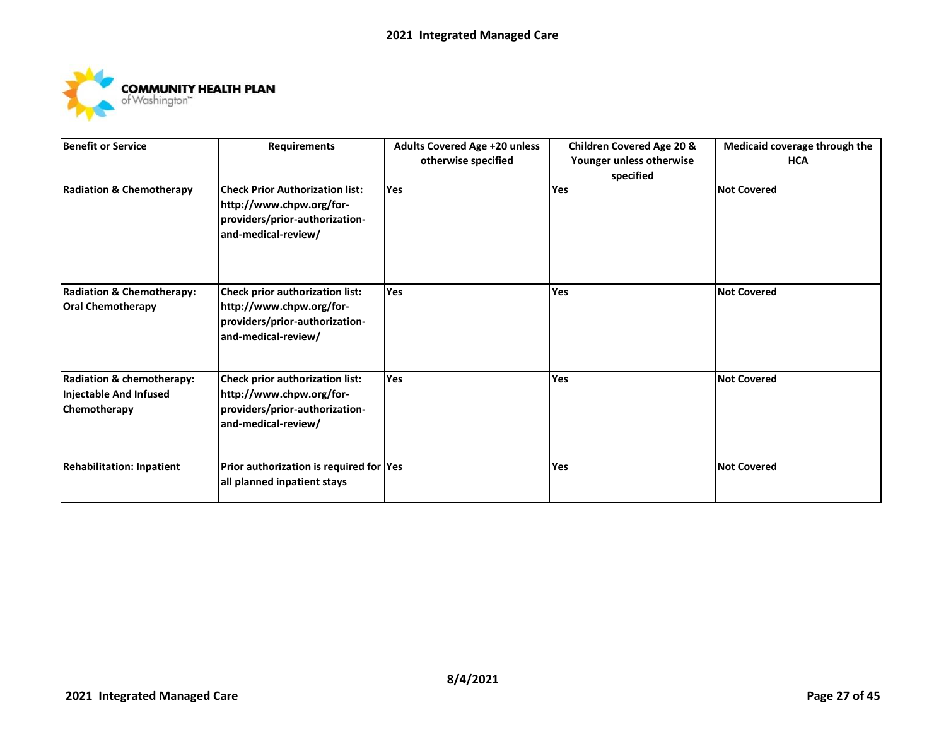

| <b>Benefit or Service</b>                                                      | <b>Requirements</b>                                                                                                         | <b>Adults Covered Age +20 unless</b><br>otherwise specified | <b>Children Covered Age 20 &amp;</b><br>Younger unless otherwise<br>specified | Medicaid coverage through the<br><b>HCA</b> |
|--------------------------------------------------------------------------------|-----------------------------------------------------------------------------------------------------------------------------|-------------------------------------------------------------|-------------------------------------------------------------------------------|---------------------------------------------|
| <b>Radiation &amp; Chemotherapy</b>                                            | <b>Check Prior Authorization list:</b><br>http://www.chpw.org/for-<br>providers/prior-authorization-<br>and-medical-review/ | <b>Yes</b>                                                  | <b>Yes</b>                                                                    | <b>Not Covered</b>                          |
| <b>Radiation &amp; Chemotherapy:</b><br><b>Oral Chemotherapy</b>               | Check prior authorization list:<br>http://www.chpw.org/for-<br>providers/prior-authorization-<br>and-medical-review/        | Yes                                                         | Yes                                                                           | <b>Not Covered</b>                          |
| <b>Radiation &amp; chemotherapy:</b><br>Injectable And Infused<br>Chemotherapy | Check prior authorization list:<br>http://www.chpw.org/for-<br>providers/prior-authorization-<br>and-medical-review/        | Yes                                                         | Yes                                                                           | <b>Not Covered</b>                          |
| <b>Rehabilitation: Inpatient</b>                                               | Prior authorization is required for Yes<br>all planned inpatient stays                                                      |                                                             | Yes                                                                           | <b>Not Covered</b>                          |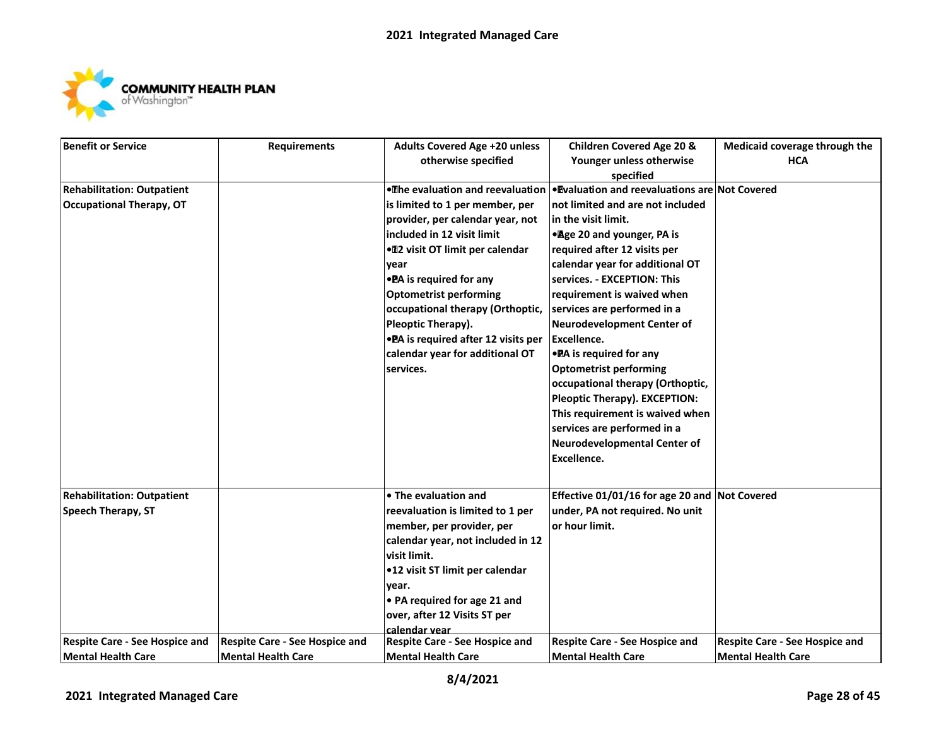

| Benefit or Service                    | <b>Requirements</b>                   | <b>Adults Covered Age +20 unless</b>  | <b>Children Covered Age 20 &amp;</b>           | Medicaid coverage through the  |
|---------------------------------------|---------------------------------------|---------------------------------------|------------------------------------------------|--------------------------------|
|                                       |                                       | otherwise specified                   | Younger unless otherwise                       | <b>HCA</b>                     |
|                                       |                                       |                                       | specified                                      |                                |
| <b>Rehabilitation: Outpatient</b>     |                                       | . The evaluation and reevaluation     | . Evaluation and reevaluations are Not Covered |                                |
| <b>Occupational Therapy, OT</b>       |                                       | is limited to 1 per member, per       | not limited and are not included               |                                |
|                                       |                                       | provider, per calendar year, not      | in the visit limit.                            |                                |
|                                       |                                       | included in 12 visit limit            | • Age 20 and younger, PA is                    |                                |
|                                       |                                       | ● 12 visit OT limit per calendar      | required after 12 visits per                   |                                |
|                                       |                                       | year                                  | calendar year for additional OT                |                                |
|                                       |                                       | • PA is required for any              | services. - EXCEPTION: This                    |                                |
|                                       |                                       | <b>Optometrist performing</b>         | requirement is waived when                     |                                |
|                                       |                                       | occupational therapy (Orthoptic,      | services are performed in a                    |                                |
|                                       |                                       | Pleoptic Therapy).                    | <b>Neurodevelopment Center of</b>              |                                |
|                                       |                                       | • PA is required after 12 visits per  | <b>Excellence.</b>                             |                                |
|                                       |                                       | calendar year for additional OT       | • PA is required for any                       |                                |
|                                       |                                       | services.                             | <b>Optometrist performing</b>                  |                                |
|                                       |                                       |                                       | occupational therapy (Orthoptic,               |                                |
|                                       |                                       |                                       | Pleoptic Therapy). EXCEPTION:                  |                                |
|                                       |                                       |                                       | This requirement is waived when                |                                |
|                                       |                                       |                                       | services are performed in a                    |                                |
|                                       |                                       |                                       | Neurodevelopmental Center of                   |                                |
|                                       |                                       |                                       | Excellence.                                    |                                |
|                                       |                                       |                                       |                                                |                                |
| <b>Rehabilitation: Outpatient</b>     |                                       | • The evaluation and                  | Effective 01/01/16 for age 20 and Not Covered  |                                |
| <b>Speech Therapy, ST</b>             |                                       | reevaluation is limited to 1 per      | under, PA not required. No unit                |                                |
|                                       |                                       | member, per provider, per             | or hour limit.                                 |                                |
|                                       |                                       | calendar year, not included in 12     |                                                |                                |
|                                       |                                       | visit limit.                          |                                                |                                |
|                                       |                                       | •12 visit ST limit per calendar       |                                                |                                |
|                                       |                                       | year.                                 |                                                |                                |
|                                       |                                       | • PA required for age 21 and          |                                                |                                |
|                                       |                                       | over, after 12 Visits ST per          |                                                |                                |
|                                       |                                       | calendar vear                         |                                                |                                |
| <b>Respite Care - See Hospice and</b> | <b>Respite Care - See Hospice and</b> | <b>Respite Care - See Hospice and</b> | <b>Respite Care - See Hospice and</b>          | Respite Care - See Hospice and |
| Mental Health Care                    | <b>Mental Health Care</b>             | Mental Health Care                    | <b>Mental Health Care</b>                      | <b>Mental Health Care</b>      |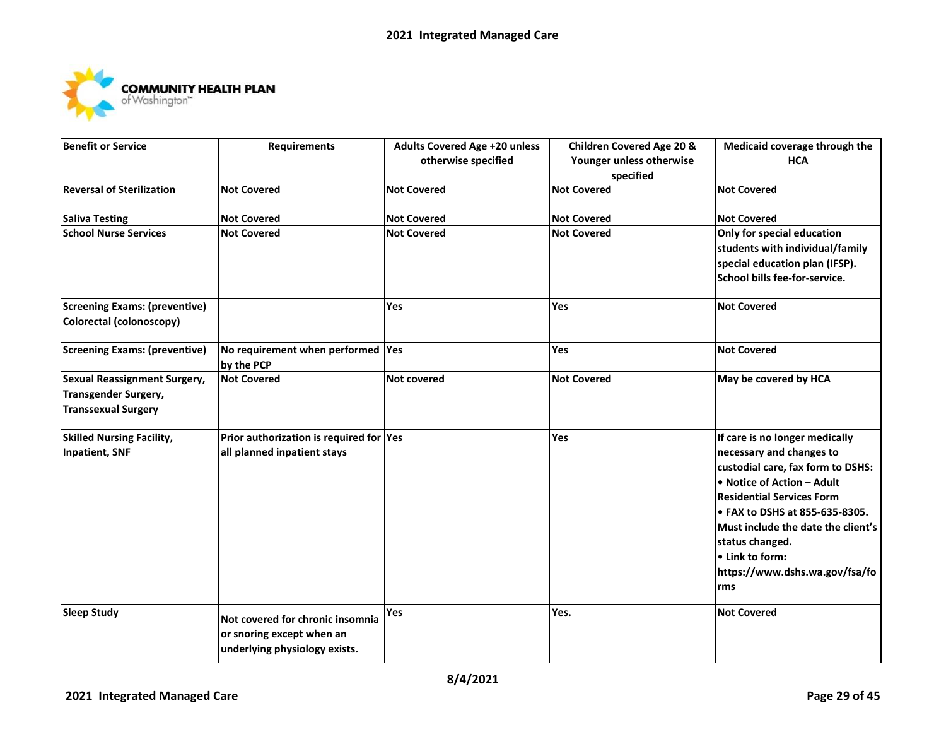

| <b>Benefit or Service</b>            | <b>Requirements</b>                     | <b>Adults Covered Age +20 unless</b> | <b>Children Covered Age 20 &amp;</b> | Medicaid coverage through the      |
|--------------------------------------|-----------------------------------------|--------------------------------------|--------------------------------------|------------------------------------|
|                                      |                                         | otherwise specified                  | Younger unless otherwise             | <b>HCA</b>                         |
|                                      |                                         |                                      | specified                            |                                    |
| <b>Reversal of Sterilization</b>     | <b>Not Covered</b>                      | <b>Not Covered</b>                   | <b>Not Covered</b>                   | <b>Not Covered</b>                 |
| <b>Saliva Testing</b>                | <b>Not Covered</b>                      | <b>Not Covered</b>                   | <b>Not Covered</b>                   | <b>Not Covered</b>                 |
| <b>School Nurse Services</b>         | <b>Not Covered</b>                      | <b>Not Covered</b>                   | <b>Not Covered</b>                   | Only for special education         |
|                                      |                                         |                                      |                                      | students with individual/family    |
|                                      |                                         |                                      |                                      | special education plan (IFSP).     |
|                                      |                                         |                                      |                                      | School bills fee-for-service.      |
| <b>Screening Exams: (preventive)</b> |                                         | Yes                                  | Yes                                  | <b>Not Covered</b>                 |
| Colorectal (colonoscopy)             |                                         |                                      |                                      |                                    |
| <b>Screening Exams: (preventive)</b> | No requirement when performed  Yes      |                                      | <b>Yes</b>                           | <b>Not Covered</b>                 |
|                                      | by the PCP                              |                                      |                                      |                                    |
| <b>Sexual Reassignment Surgery,</b>  | <b>Not Covered</b>                      | <b>Not covered</b>                   | <b>Not Covered</b>                   | May be covered by HCA              |
| Transgender Surgery,                 |                                         |                                      |                                      |                                    |
| <b>Transsexual Surgery</b>           |                                         |                                      |                                      |                                    |
| <b>Skilled Nursing Facility,</b>     | Prior authorization is required for Yes |                                      | Yes                                  | If care is no longer medically     |
| Inpatient, SNF                       | all planned inpatient stays             |                                      |                                      | necessary and changes to           |
|                                      |                                         |                                      |                                      | custodial care, fax form to DSHS:  |
|                                      |                                         |                                      |                                      | . Notice of Action - Adult         |
|                                      |                                         |                                      |                                      | <b>Residential Services Form</b>   |
|                                      |                                         |                                      |                                      | • FAX to DSHS at 855-635-8305.     |
|                                      |                                         |                                      |                                      | Must include the date the client's |
|                                      |                                         |                                      |                                      | status changed.                    |
|                                      |                                         |                                      |                                      | • Link to form:                    |
|                                      |                                         |                                      |                                      | https://www.dshs.wa.gov/fsa/fo     |
|                                      |                                         |                                      |                                      | rms                                |
| <b>Sleep Study</b>                   | Not covered for chronic insomnia        | Yes                                  | Yes.                                 | <b>Not Covered</b>                 |
|                                      | or snoring except when an               |                                      |                                      |                                    |
|                                      | underlying physiology exists.           |                                      |                                      |                                    |
|                                      |                                         |                                      |                                      |                                    |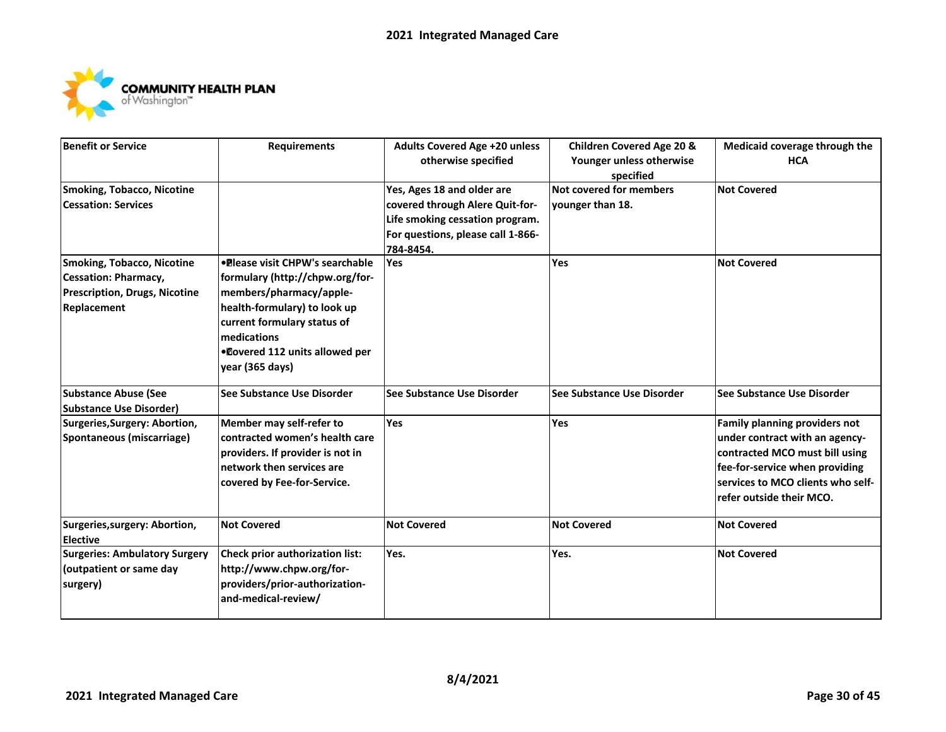

| <b>Benefit or Service</b>            | <b>Requirements</b>                    | <b>Adults Covered Age +20 unless</b> | <b>Children Covered Age 20 &amp;</b> | Medicaid coverage through the     |
|--------------------------------------|----------------------------------------|--------------------------------------|--------------------------------------|-----------------------------------|
|                                      |                                        | otherwise specified                  | Younger unless otherwise             | <b>HCA</b>                        |
|                                      |                                        |                                      | specified                            |                                   |
| <b>Smoking, Tobacco, Nicotine</b>    |                                        | Yes, Ages 18 and older are           | <b>Not covered for members</b>       | <b>Not Covered</b>                |
| <b>Cessation: Services</b>           |                                        | covered through Alere Quit-for-      | younger than 18.                     |                                   |
|                                      |                                        | Life smoking cessation program.      |                                      |                                   |
|                                      |                                        | For questions, please call 1-866-    |                                      |                                   |
|                                      |                                        | 784-8454.                            |                                      |                                   |
| <b>Smoking, Tobacco, Nicotine</b>    | •Please visit CHPW's searchable        | <b>Yes</b>                           | <b>Yes</b>                           | <b>Not Covered</b>                |
| <b>Cessation: Pharmacy,</b>          | formulary (http://chpw.org/for-        |                                      |                                      |                                   |
| <b>Prescription, Drugs, Nicotine</b> | members/pharmacy/apple-                |                                      |                                      |                                   |
| Replacement                          | health-formulary) to look up           |                                      |                                      |                                   |
|                                      | current formulary status of            |                                      |                                      |                                   |
|                                      | medications                            |                                      |                                      |                                   |
|                                      | .Dovered 112 units allowed per         |                                      |                                      |                                   |
|                                      | year (365 days)                        |                                      |                                      |                                   |
| <b>Substance Abuse (See</b>          | See Substance Use Disorder             | See Substance Use Disorder           | See Substance Use Disorder           | <b>See Substance Use Disorder</b> |
| <b>Substance Use Disorder)</b>       |                                        |                                      |                                      |                                   |
| Surgeries, Surgery: Abortion,        | Member may self-refer to               | <b>Yes</b>                           | Yes                                  | Family planning providers not     |
| Spontaneous (miscarriage)            | contracted women's health care         |                                      |                                      | under contract with an agency-    |
|                                      | providers. If provider is not in       |                                      |                                      | contracted MCO must bill using    |
|                                      | network then services are              |                                      |                                      | fee-for-service when providing    |
|                                      | covered by Fee-for-Service.            |                                      |                                      | services to MCO clients who self- |
|                                      |                                        |                                      |                                      | refer outside their MCO.          |
| Surgeries, surgery: Abortion,        | <b>Not Covered</b>                     | <b>Not Covered</b>                   | <b>Not Covered</b>                   | <b>Not Covered</b>                |
| <b>Elective</b>                      |                                        |                                      |                                      |                                   |
| <b>Surgeries: Ambulatory Surgery</b> | <b>Check prior authorization list:</b> | Yes.                                 | Yes.                                 | <b>Not Covered</b>                |
| (outpatient or same day              | http://www.chpw.org/for-               |                                      |                                      |                                   |
| surgery)                             | providers/prior-authorization-         |                                      |                                      |                                   |
|                                      | and-medical-review/                    |                                      |                                      |                                   |
|                                      |                                        |                                      |                                      |                                   |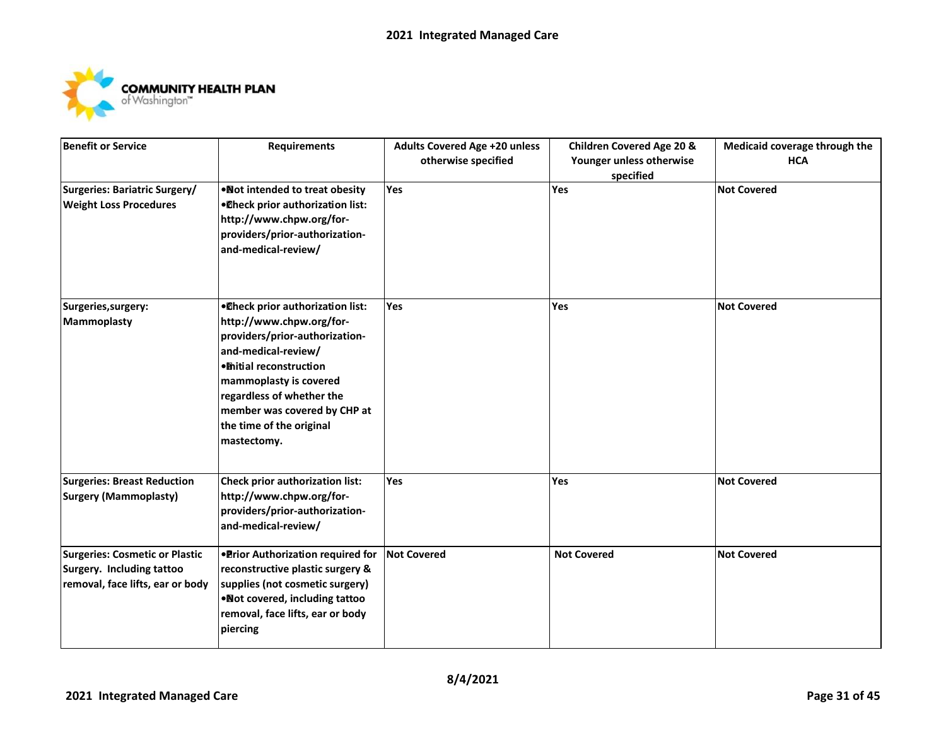

| <b>Benefit or Service</b>             | <b>Requirements</b>                    | <b>Adults Covered Age +20 unless</b> | <b>Children Covered Age 20 &amp;</b> | Medicaid coverage through the |
|---------------------------------------|----------------------------------------|--------------------------------------|--------------------------------------|-------------------------------|
|                                       |                                        | otherwise specified                  | Younger unless otherwise             | <b>HCA</b>                    |
|                                       |                                        |                                      | specified                            |                               |
| Surgeries: Bariatric Surgery/         | . Not intended to treat obesity        | <b>Yes</b>                           | Yes                                  | <b>Not Covered</b>            |
| <b>Weight Loss Procedures</b>         | . Oheck prior authorization list:      |                                      |                                      |                               |
|                                       | http://www.chpw.org/for-               |                                      |                                      |                               |
|                                       | providers/prior-authorization-         |                                      |                                      |                               |
|                                       | and-medical-review/                    |                                      |                                      |                               |
| Surgeries, surgery:                   | . Oheck prior authorization list:      | <b>Yes</b>                           | Yes                                  | <b>Not Covered</b>            |
| <b>Mammoplasty</b>                    | http://www.chpw.org/for-               |                                      |                                      |                               |
|                                       | providers/prior-authorization-         |                                      |                                      |                               |
|                                       | and-medical-review/                    |                                      |                                      |                               |
|                                       | · mitial reconstruction                |                                      |                                      |                               |
|                                       | mammoplasty is covered                 |                                      |                                      |                               |
|                                       | regardless of whether the              |                                      |                                      |                               |
|                                       | member was covered by CHP at           |                                      |                                      |                               |
|                                       | the time of the original               |                                      |                                      |                               |
|                                       | mastectomy.                            |                                      |                                      |                               |
| <b>Surgeries: Breast Reduction</b>    | <b>Check prior authorization list:</b> | <b>Yes</b>                           | Yes                                  | <b>Not Covered</b>            |
| <b>Surgery (Mammoplasty)</b>          | http://www.chpw.org/for-               |                                      |                                      |                               |
|                                       | providers/prior-authorization-         |                                      |                                      |                               |
|                                       | and-medical-review/                    |                                      |                                      |                               |
| <b>Surgeries: Cosmetic or Plastic</b> | . Prior Authorization required for     | <b>Not Covered</b>                   | <b>Not Covered</b>                   | <b>Not Covered</b>            |
| <b>Surgery. Including tattoo</b>      | reconstructive plastic surgery &       |                                      |                                      |                               |
| removal, face lifts, ear or body      | supplies (not cosmetic surgery)        |                                      |                                      |                               |
|                                       | . Not covered, including tattoo        |                                      |                                      |                               |
|                                       | removal, face lifts, ear or body       |                                      |                                      |                               |
|                                       | piercing                               |                                      |                                      |                               |
|                                       |                                        |                                      |                                      |                               |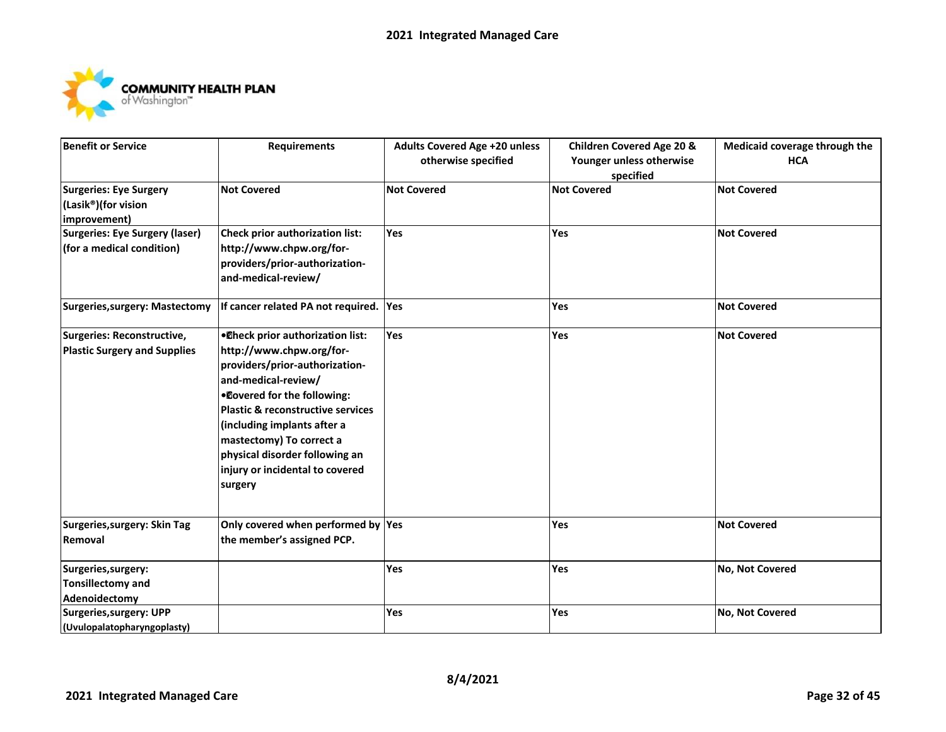

| <b>Benefit or Service</b>                                          | <b>Requirements</b>                                                                                                                                                                                                                                                                                                                   | <b>Adults Covered Age +20 unless</b><br>otherwise specified | <b>Children Covered Age 20 &amp;</b><br>Younger unless otherwise | Medicaid coverage through the<br><b>HCA</b> |
|--------------------------------------------------------------------|---------------------------------------------------------------------------------------------------------------------------------------------------------------------------------------------------------------------------------------------------------------------------------------------------------------------------------------|-------------------------------------------------------------|------------------------------------------------------------------|---------------------------------------------|
| Surgeries: Eye Surgery<br>(Lasik®)(for vision<br>improvement)      | <b>Not Covered</b>                                                                                                                                                                                                                                                                                                                    | <b>Not Covered</b>                                          | specified<br><b>Not Covered</b>                                  | <b>Not Covered</b>                          |
| <b>Surgeries: Eye Surgery (laser)</b><br>(for a medical condition) | Check prior authorization list:<br>http://www.chpw.org/for-<br>providers/prior-authorization-<br>and-medical-review/                                                                                                                                                                                                                  | <b>Yes</b>                                                  | <b>Yes</b>                                                       | <b>Not Covered</b>                          |
| Surgeries, surgery: Mastectomy                                     | If cancer related PA not required.                                                                                                                                                                                                                                                                                                    | Yes                                                         | Yes                                                              | <b>Not Covered</b>                          |
| Surgeries: Reconstructive,<br><b>Plastic Surgery and Supplies</b>  | . Oheck prior authorization list:<br>http://www.chpw.org/for-<br>providers/prior-authorization-<br>and-medical-review/<br>.Dovered for the following:<br>Plastic & reconstructive services<br>(including implants after a<br>mastectomy) To correct a<br>physical disorder following an<br>injury or incidental to covered<br>surgery | Yes                                                         | Yes                                                              | <b>Not Covered</b>                          |
| Surgeries, surgery: Skin Tag<br>Removal                            | Only covered when performed by Yes<br>the member's assigned PCP.                                                                                                                                                                                                                                                                      |                                                             | Yes                                                              | <b>Not Covered</b>                          |
| Surgeries, surgery:<br><b>Tonsillectomy and</b><br>Adenoidectomy   |                                                                                                                                                                                                                                                                                                                                       | Yes                                                         | <b>Yes</b>                                                       | No, Not Covered                             |
| <b>Surgeries, surgery: UPP</b><br>(Uvulopalatopharyngoplasty)      |                                                                                                                                                                                                                                                                                                                                       | Yes                                                         | Yes                                                              | No, Not Covered                             |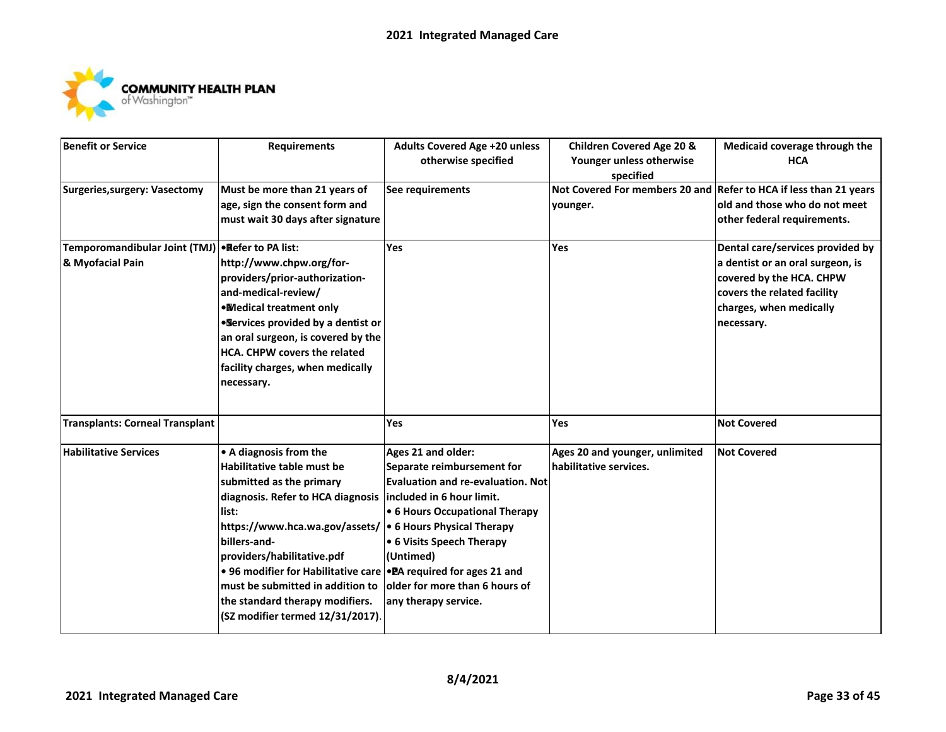

| <b>Benefit or Service</b>              | <b>Requirements</b>                                                 | <b>Adults Covered Age +20 unless</b> | <b>Children Covered Age 20 &amp;</b>                              | Medicaid coverage through the    |
|----------------------------------------|---------------------------------------------------------------------|--------------------------------------|-------------------------------------------------------------------|----------------------------------|
|                                        |                                                                     | otherwise specified                  | Younger unless otherwise                                          | <b>HCA</b>                       |
|                                        |                                                                     |                                      | specified                                                         |                                  |
| <b>Surgeries, surgery: Vasectomy</b>   | Must be more than 21 years of                                       | See requirements                     | Not Covered For members 20 and Refer to HCA if less than 21 years |                                  |
|                                        | age, sign the consent form and                                      |                                      | younger.                                                          | old and those who do not meet    |
|                                        | must wait 30 days after signature                                   |                                      |                                                                   | other federal requirements.      |
| Temporomandibular Joint (TMJ)          | <b>Befer to PA list:</b>                                            | Yes                                  | <b>Yes</b>                                                        | Dental care/services provided by |
| & Myofacial Pain                       | http://www.chpw.org/for-                                            |                                      |                                                                   | a dentist or an oral surgeon, is |
|                                        | providers/prior-authorization-                                      |                                      |                                                                   | covered by the HCA. CHPW         |
|                                        | and-medical-review/                                                 |                                      |                                                                   | covers the related facility      |
|                                        | . Medical treatment only                                            |                                      |                                                                   | charges, when medically          |
|                                        | . Services provided by a dentist or                                 |                                      |                                                                   | necessary.                       |
|                                        | an oral surgeon, is covered by the                                  |                                      |                                                                   |                                  |
|                                        | <b>HCA. CHPW covers the related</b>                                 |                                      |                                                                   |                                  |
|                                        | facility charges, when medically                                    |                                      |                                                                   |                                  |
|                                        | necessary.                                                          |                                      |                                                                   |                                  |
|                                        |                                                                     |                                      |                                                                   |                                  |
| <b>Transplants: Corneal Transplant</b> |                                                                     | Yes                                  | Yes                                                               | <b>Not Covered</b>               |
| <b>Habilitative Services</b>           | • A diagnosis from the                                              | Ages 21 and older:                   | Ages 20 and younger, unlimited                                    | <b>Not Covered</b>               |
|                                        | Habilitative table must be                                          | Separate reimbursement for           | habilitative services.                                            |                                  |
|                                        | submitted as the primary                                            | Evaluation and re-evaluation. Not    |                                                                   |                                  |
|                                        | diagnosis. Refer to HCA diagnosis   included in 6 hour limit.       |                                      |                                                                   |                                  |
|                                        | list:                                                               | • 6 Hours Occupational Therapy       |                                                                   |                                  |
|                                        | https://www.hca.wa.gov/assets/  • 6 Hours Physical Therapy          |                                      |                                                                   |                                  |
|                                        | billers-and-                                                        | • 6 Visits Speech Therapy            |                                                                   |                                  |
|                                        | providers/habilitative.pdf                                          | (Untimed)                            |                                                                   |                                  |
|                                        | • 96 modifier for Habilitative care   • PA required for ages 21 and |                                      |                                                                   |                                  |
|                                        | must be submitted in addition to                                    | older for more than 6 hours of       |                                                                   |                                  |
|                                        | the standard therapy modifiers.                                     | any therapy service.                 |                                                                   |                                  |
|                                        | (SZ modifier termed 12/31/2017).                                    |                                      |                                                                   |                                  |
|                                        |                                                                     |                                      |                                                                   |                                  |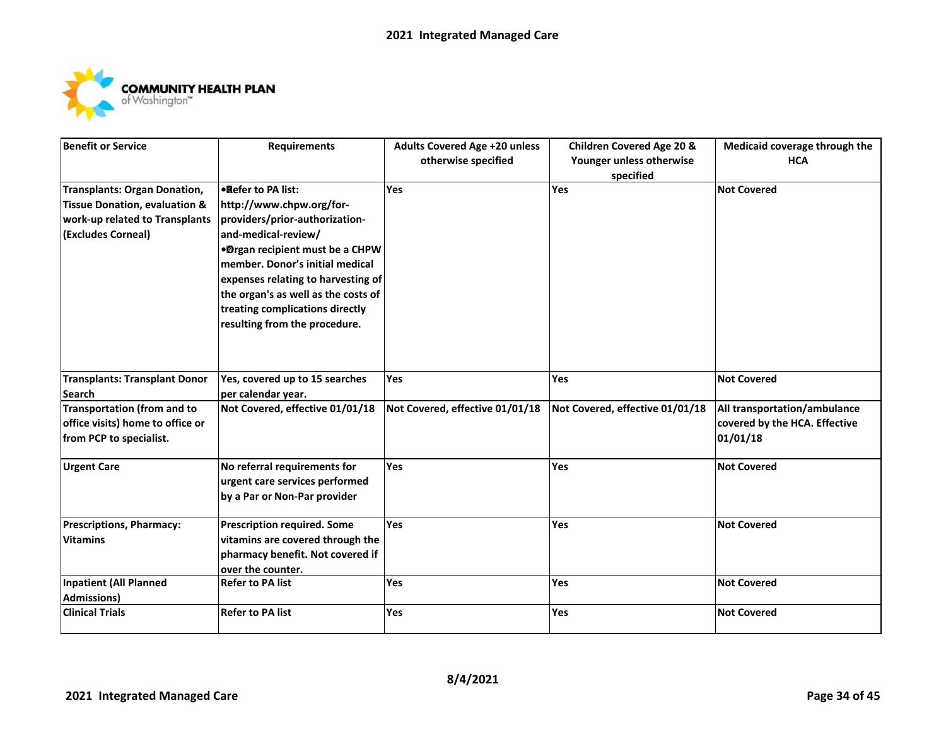

| <b>Benefit or Service</b>                | <b>Requirements</b>                 | <b>Adults Covered Age +20 unless</b> | <b>Children Covered Age 20 &amp;</b> | Medicaid coverage through the |
|------------------------------------------|-------------------------------------|--------------------------------------|--------------------------------------|-------------------------------|
|                                          |                                     | otherwise specified                  | Younger unless otherwise             | <b>HCA</b>                    |
|                                          |                                     |                                      | specified                            |                               |
| <b>Transplants: Organ Donation,</b>      | .Refer to PA list:                  | Yes                                  | Yes                                  | <b>Not Covered</b>            |
| <b>Tissue Donation, evaluation &amp;</b> | http://www.chpw.org/for-            |                                      |                                      |                               |
| work-up related to Transplants           | providers/prior-authorization-      |                                      |                                      |                               |
| (Excludes Corneal)                       | and-medical-review/                 |                                      |                                      |                               |
|                                          | .Drgan recipient must be a CHPW     |                                      |                                      |                               |
|                                          | member. Donor's initial medical     |                                      |                                      |                               |
|                                          | expenses relating to harvesting of  |                                      |                                      |                               |
|                                          | the organ's as well as the costs of |                                      |                                      |                               |
|                                          | treating complications directly     |                                      |                                      |                               |
|                                          | resulting from the procedure.       |                                      |                                      |                               |
|                                          |                                     |                                      |                                      |                               |
|                                          |                                     |                                      |                                      |                               |
| <b>Transplants: Transplant Donor</b>     | Yes, covered up to 15 searches      | Yes                                  | <b>Yes</b>                           | <b>Not Covered</b>            |
| <b>Search</b>                            | per calendar year.                  |                                      |                                      |                               |
| <b>Transportation (from and to</b>       | Not Covered, effective 01/01/18     | Not Covered, effective 01/01/18      | Not Covered, effective 01/01/18      | All transportation/ambulance  |
| office visits) home to office or         |                                     |                                      |                                      | covered by the HCA. Effective |
| from PCP to specialist.                  |                                     |                                      |                                      | 01/01/18                      |
| <b>Urgent Care</b>                       | No referral requirements for        | Yes                                  | Yes                                  | <b>Not Covered</b>            |
|                                          | urgent care services performed      |                                      |                                      |                               |
|                                          | by a Par or Non-Par provider        |                                      |                                      |                               |
|                                          |                                     |                                      |                                      |                               |
| <b>Prescriptions, Pharmacy:</b>          | <b>Prescription required. Some</b>  | Yes                                  | Yes                                  | <b>Not Covered</b>            |
| <b>Vitamins</b>                          | vitamins are covered through the    |                                      |                                      |                               |
|                                          | pharmacy benefit. Not covered if    |                                      |                                      |                               |
|                                          | over the counter.                   |                                      |                                      |                               |
| <b>Inpatient (All Planned</b>            | <b>Refer to PA list</b>             | Yes                                  | <b>Yes</b>                           | <b>Not Covered</b>            |
| <b>Admissions)</b>                       |                                     |                                      |                                      |                               |
| <b>Clinical Trials</b>                   | <b>Refer to PA list</b>             | Yes                                  | Yes                                  | <b>Not Covered</b>            |
|                                          |                                     |                                      |                                      |                               |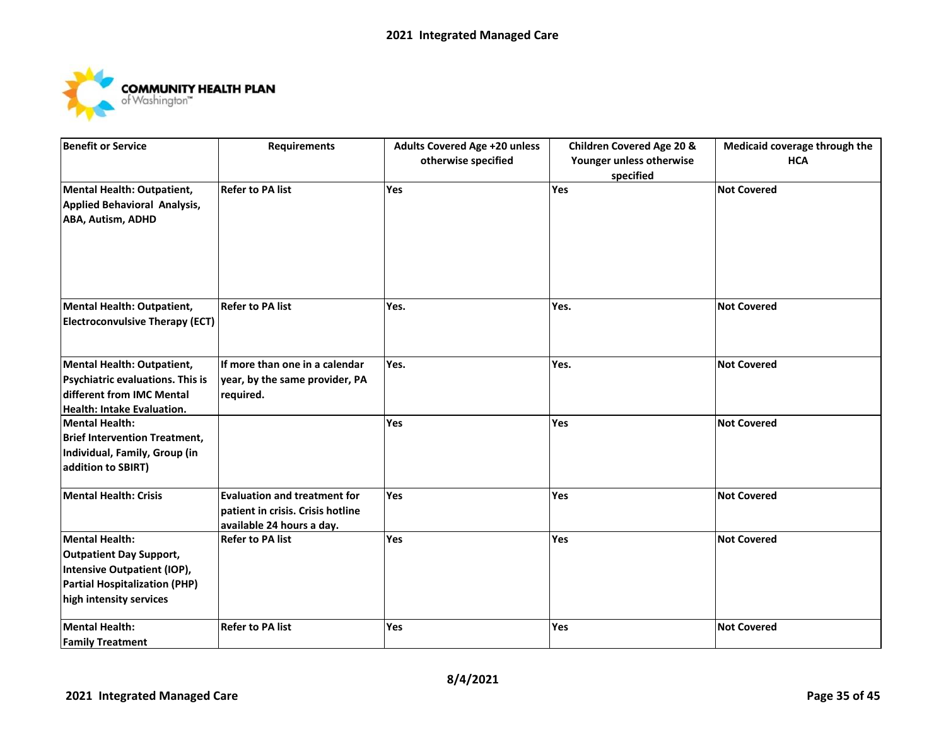

| <b>Benefit or Service</b>              | <b>Requirements</b>                                  | <b>Adults Covered Age +20 unless</b> | <b>Children Covered Age 20 &amp;</b> | Medicaid coverage through the |
|----------------------------------------|------------------------------------------------------|--------------------------------------|--------------------------------------|-------------------------------|
|                                        |                                                      | otherwise specified                  | Younger unless otherwise             | <b>HCA</b>                    |
|                                        |                                                      |                                      | specified                            |                               |
| Mental Health: Outpatient,             | <b>Refer to PA list</b>                              | Yes                                  | Yes                                  | <b>Not Covered</b>            |
| Applied Behavioral Analysis,           |                                                      |                                      |                                      |                               |
| ABA, Autism, ADHD                      |                                                      |                                      |                                      |                               |
|                                        |                                                      |                                      |                                      |                               |
|                                        |                                                      |                                      |                                      |                               |
|                                        |                                                      |                                      |                                      |                               |
|                                        |                                                      |                                      |                                      |                               |
| Mental Health: Outpatient,             | <b>Refer to PA list</b>                              | Yes.                                 | Yes.                                 | <b>Not Covered</b>            |
| <b>Electroconvulsive Therapy (ECT)</b> |                                                      |                                      |                                      |                               |
|                                        |                                                      |                                      |                                      |                               |
|                                        |                                                      |                                      |                                      |                               |
| <b>Mental Health: Outpatient,</b>      | If more than one in a calendar                       | Yes.                                 | Yes.                                 | <b>Not Covered</b>            |
| Psychiatric evaluations. This is       | year, by the same provider, PA                       |                                      |                                      |                               |
| different from IMC Mental              | required.                                            |                                      |                                      |                               |
| Health: Intake Evaluation.             |                                                      |                                      |                                      |                               |
| <b>Mental Health:</b>                  |                                                      | Yes                                  | Yes                                  | <b>Not Covered</b>            |
| <b>Brief Intervention Treatment,</b>   |                                                      |                                      |                                      |                               |
| Individual, Family, Group (in          |                                                      |                                      |                                      |                               |
| addition to SBIRT)                     |                                                      |                                      |                                      |                               |
| <b>Mental Health: Crisis</b>           | <b>Evaluation and treatment for</b>                  | Yes                                  | Yes                                  | <b>Not Covered</b>            |
|                                        | patient in crisis. Crisis hotline                    |                                      |                                      |                               |
|                                        |                                                      |                                      |                                      |                               |
| <b>Mental Health:</b>                  | available 24 hours a day.<br><b>Refer to PA list</b> | Yes                                  | Yes                                  | <b>Not Covered</b>            |
| <b>Outpatient Day Support,</b>         |                                                      |                                      |                                      |                               |
| Intensive Outpatient (IOP),            |                                                      |                                      |                                      |                               |
| <b>Partial Hospitalization (PHP)</b>   |                                                      |                                      |                                      |                               |
| high intensity services                |                                                      |                                      |                                      |                               |
|                                        |                                                      |                                      |                                      |                               |
| <b>Mental Health:</b>                  | <b>Refer to PA list</b>                              | Yes                                  | Yes                                  | <b>Not Covered</b>            |
| <b>Family Treatment</b>                |                                                      |                                      |                                      |                               |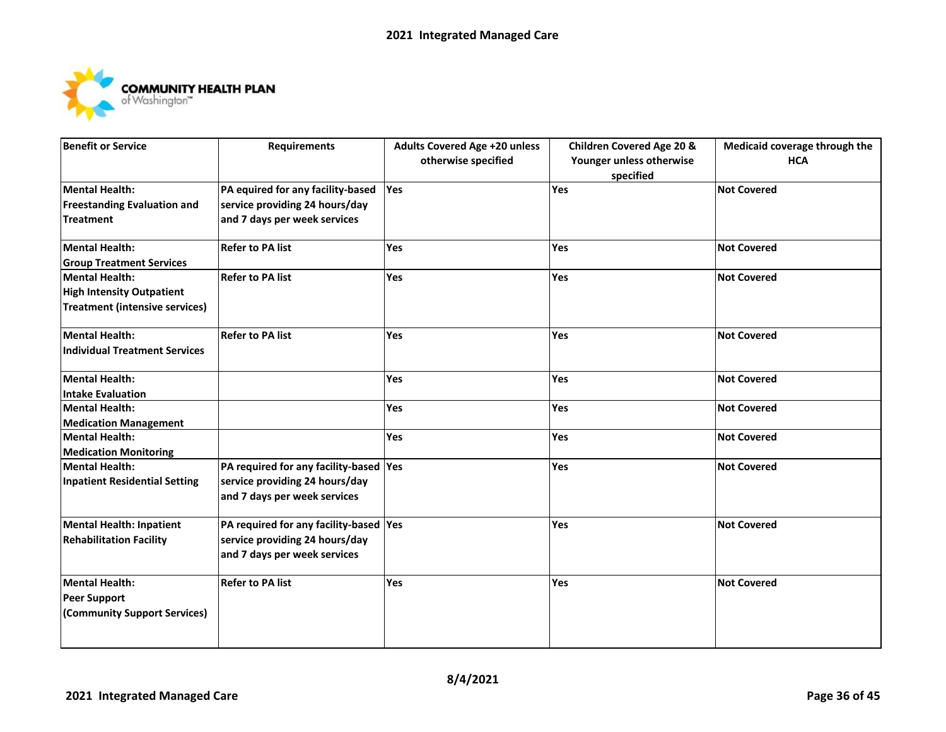

| <b>Benefit or Service</b>             | <b>Requirements</b>                    | <b>Adults Covered Age +20 unless</b> | <b>Children Covered Age 20 &amp;</b> | Medicaid coverage through the |
|---------------------------------------|----------------------------------------|--------------------------------------|--------------------------------------|-------------------------------|
|                                       |                                        | otherwise specified                  | Younger unless otherwise             | <b>HCA</b>                    |
|                                       |                                        |                                      | specified                            |                               |
| Mental Health:                        | PA equired for any facility-based      | Yes                                  | Yes                                  | <b>Not Covered</b>            |
| <b>Freestanding Evaluation and</b>    | service providing 24 hours/day         |                                      |                                      |                               |
| <b>Treatment</b>                      | and 7 days per week services           |                                      |                                      |                               |
| Mental Health:                        | <b>Refer to PA list</b>                | Yes                                  | Yes                                  | <b>Not Covered</b>            |
| <b>Group Treatment Services</b>       |                                        |                                      |                                      |                               |
| Mental Health:                        | <b>Refer to PA list</b>                | Yes                                  | <b>Yes</b>                           | <b>Not Covered</b>            |
| <b>High Intensity Outpatient</b>      |                                        |                                      |                                      |                               |
| <b>Treatment (intensive services)</b> |                                        |                                      |                                      |                               |
| Mental Health:                        | <b>Refer to PA list</b>                | Yes                                  | Yes                                  | <b>Not Covered</b>            |
| <b>Individual Treatment Services</b>  |                                        |                                      |                                      |                               |
| Mental Health:                        |                                        | Yes                                  | Yes                                  | <b>Not Covered</b>            |
| Intake Evaluation                     |                                        |                                      |                                      |                               |
| <b>Mental Health:</b>                 |                                        | <b>Yes</b>                           | Yes                                  | <b>Not Covered</b>            |
| <b>Medication Management</b>          |                                        |                                      |                                      |                               |
| Mental Health:                        |                                        | Yes                                  | Yes                                  | <b>Not Covered</b>            |
| <b>Medication Monitoring</b>          |                                        |                                      |                                      |                               |
| Mental Health:                        | PA required for any facility-based Yes |                                      | <b>Yes</b>                           | <b>Not Covered</b>            |
| <b>Inpatient Residential Setting</b>  | service providing 24 hours/day         |                                      |                                      |                               |
|                                       | and 7 days per week services           |                                      |                                      |                               |
| <b>Mental Health: Inpatient</b>       | PA required for any facility-based Yes |                                      | Yes                                  | <b>Not Covered</b>            |
| <b>Rehabilitation Facility</b>        | service providing 24 hours/day         |                                      |                                      |                               |
|                                       | and 7 days per week services           |                                      |                                      |                               |
| Mental Health:                        | <b>Refer to PA list</b>                | Yes                                  | <b>Yes</b>                           | <b>Not Covered</b>            |
| Peer Support                          |                                        |                                      |                                      |                               |
| (Community Support Services)          |                                        |                                      |                                      |                               |
|                                       |                                        |                                      |                                      |                               |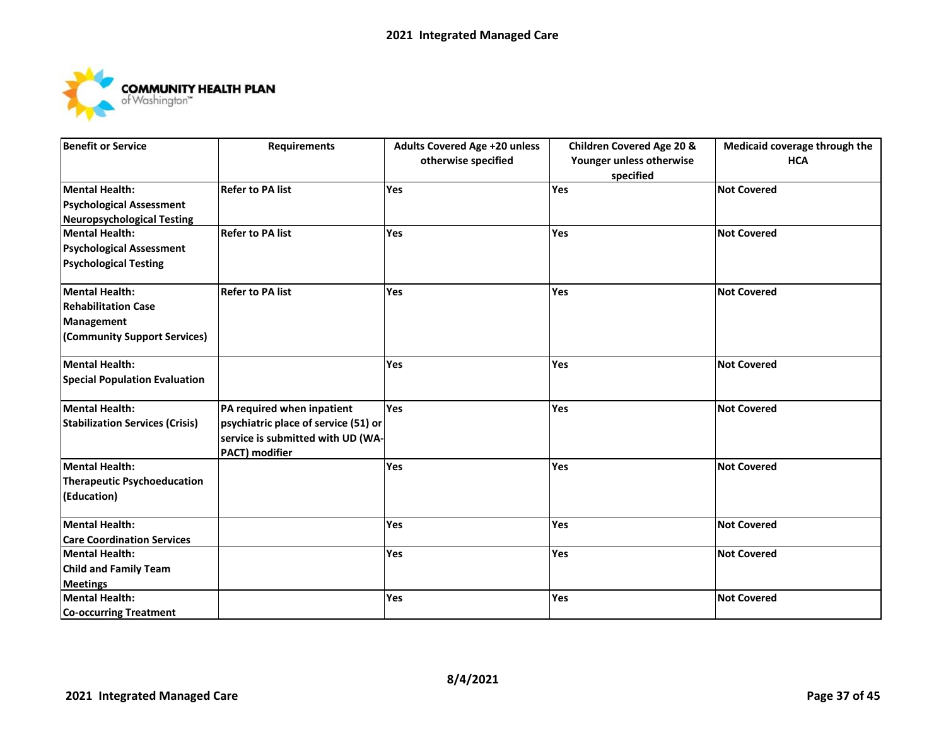

| <b>Benefit or Service</b>              | <b>Requirements</b>                  | <b>Adults Covered Age +20 unless</b> | <b>Children Covered Age 20 &amp;</b> | Medicaid coverage through the |
|----------------------------------------|--------------------------------------|--------------------------------------|--------------------------------------|-------------------------------|
|                                        |                                      | otherwise specified                  | Younger unless otherwise             | <b>HCA</b>                    |
|                                        |                                      |                                      | specified                            |                               |
| <b>Mental Health:</b>                  | <b>Refer to PA list</b>              | Yes                                  | Yes                                  | <b>Not Covered</b>            |
| <b>Psychological Assessment</b>        |                                      |                                      |                                      |                               |
| <b>Neuropsychological Testing</b>      |                                      |                                      |                                      |                               |
| <b>Mental Health:</b>                  | <b>Refer to PA list</b>              | Yes                                  | Yes                                  | <b>Not Covered</b>            |
| <b>Psychological Assessment</b>        |                                      |                                      |                                      |                               |
| <b>Psychological Testing</b>           |                                      |                                      |                                      |                               |
| <b>Mental Health:</b>                  | <b>Refer to PA list</b>              | Yes                                  | Yes                                  | <b>Not Covered</b>            |
| <b>Rehabilitation Case</b>             |                                      |                                      |                                      |                               |
| Management                             |                                      |                                      |                                      |                               |
| (Community Support Services)           |                                      |                                      |                                      |                               |
|                                        |                                      |                                      |                                      |                               |
| <b>Mental Health:</b>                  |                                      | Yes                                  | Yes                                  | <b>Not Covered</b>            |
| <b>Special Population Evaluation</b>   |                                      |                                      |                                      |                               |
| <b>Mental Health:</b>                  | PA required when inpatient           | Yes                                  | Yes                                  | <b>Not Covered</b>            |
| <b>Stabilization Services (Crisis)</b> | psychiatric place of service (51) or |                                      |                                      |                               |
|                                        | service is submitted with UD (WA-    |                                      |                                      |                               |
|                                        | <b>PACT)</b> modifier                |                                      |                                      |                               |
| <b>Mental Health:</b>                  |                                      | Yes                                  | Yes                                  | <b>Not Covered</b>            |
| <b>Therapeutic Psychoeducation</b>     |                                      |                                      |                                      |                               |
| (Education)                            |                                      |                                      |                                      |                               |
| <b>Mental Health:</b>                  |                                      | Yes                                  | Yes                                  | <b>Not Covered</b>            |
| <b>Care Coordination Services</b>      |                                      |                                      |                                      |                               |
| <b>Mental Health:</b>                  |                                      | Yes                                  | Yes                                  | <b>Not Covered</b>            |
| <b>Child and Family Team</b>           |                                      |                                      |                                      |                               |
| <b>Meetings</b>                        |                                      |                                      |                                      |                               |
| <b>Mental Health:</b>                  |                                      | Yes                                  | Yes                                  | <b>Not Covered</b>            |
| <b>Co-occurring Treatment</b>          |                                      |                                      |                                      |                               |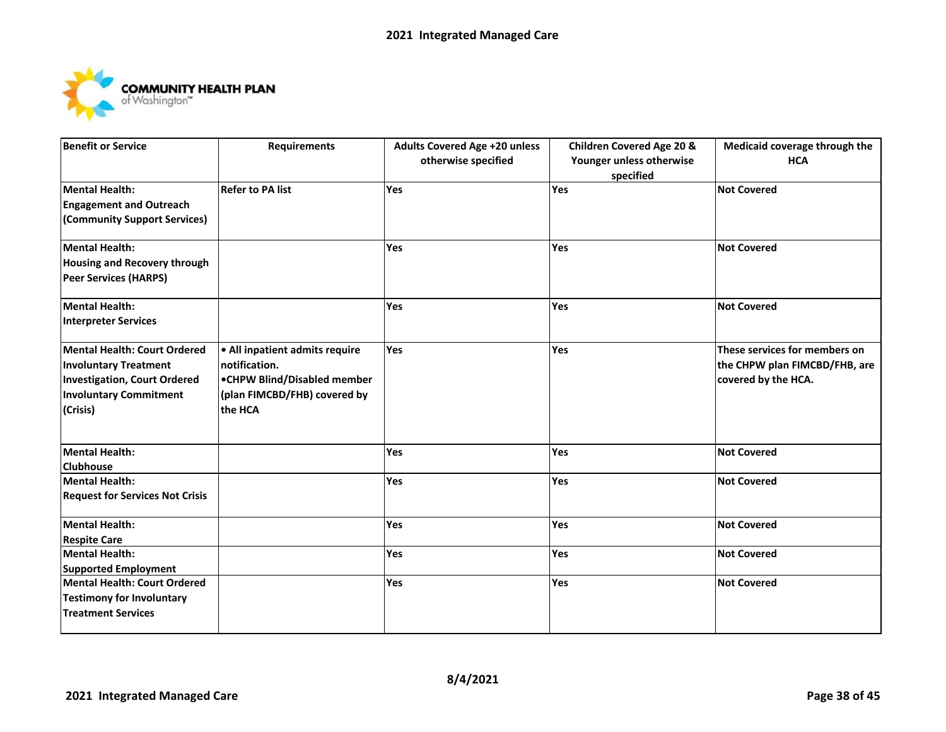

| <b>Benefit or Service</b>              | <b>Requirements</b>            | <b>Adults Covered Age +20 unless</b> | <b>Children Covered Age 20 &amp;</b> | Medicaid coverage through the |
|----------------------------------------|--------------------------------|--------------------------------------|--------------------------------------|-------------------------------|
|                                        |                                | otherwise specified                  | Younger unless otherwise             | <b>HCA</b>                    |
|                                        |                                |                                      | specified                            |                               |
| Mental Health:                         | <b>Refer to PA list</b>        | Yes                                  | Yes                                  | <b>Not Covered</b>            |
| <b>Engagement and Outreach</b>         |                                |                                      |                                      |                               |
| (Community Support Services)           |                                |                                      |                                      |                               |
| Mental Health:                         |                                | <b>Yes</b>                           | Yes                                  | <b>Not Covered</b>            |
| Housing and Recovery through           |                                |                                      |                                      |                               |
| Peer Services (HARPS)                  |                                |                                      |                                      |                               |
| Mental Health:                         |                                | Yes                                  | <b>Yes</b>                           | <b>Not Covered</b>            |
| Interpreter Services                   |                                |                                      |                                      |                               |
| Mental Health: Court Ordered           | . All inpatient admits require | Yes                                  | Yes                                  | These services for members on |
| <b>Involuntary Treatment</b>           | notification.                  |                                      |                                      | the CHPW plan FIMCBD/FHB, are |
| Investigation, Court Ordered           | •CHPW Blind/Disabled member    |                                      |                                      | covered by the HCA.           |
| <b>Involuntary Commitment</b>          | (plan FIMCBD/FHB) covered by   |                                      |                                      |                               |
| (Crisis)                               | the HCA                        |                                      |                                      |                               |
|                                        |                                |                                      |                                      |                               |
| Mental Health:                         |                                | Yes                                  | <b>Yes</b>                           | <b>Not Covered</b>            |
| <b>Clubhouse</b>                       |                                |                                      |                                      |                               |
| Mental Health:                         |                                | Yes                                  | <b>Yes</b>                           | <b>Not Covered</b>            |
| <b>Request for Services Not Crisis</b> |                                |                                      |                                      |                               |
| Mental Health:                         |                                | Yes                                  | Yes                                  | <b>Not Covered</b>            |
| <b>Respite Care</b>                    |                                |                                      |                                      |                               |
| Mental Health:                         |                                | Yes                                  | Yes                                  | <b>Not Covered</b>            |
| <b>Supported Employment</b>            |                                |                                      |                                      |                               |
| Mental Health: Court Ordered           |                                | Yes                                  | Yes                                  | <b>Not Covered</b>            |
| <b>Testimony for Involuntary</b>       |                                |                                      |                                      |                               |
| <b>Treatment Services</b>              |                                |                                      |                                      |                               |
|                                        |                                |                                      |                                      |                               |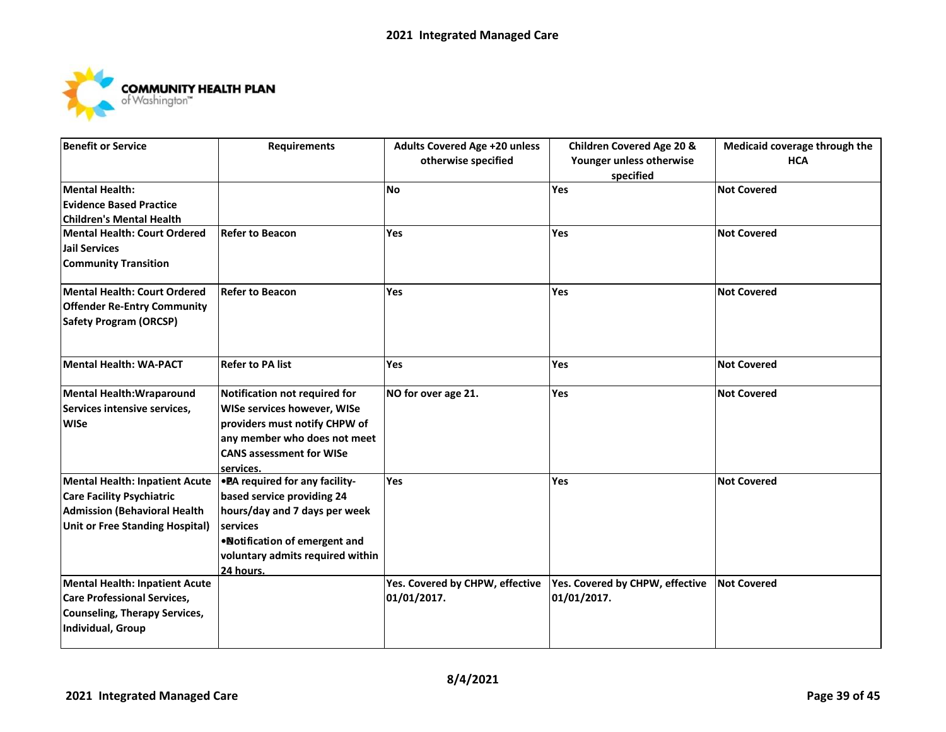

| <b>Benefit or Service</b>              | <b>Requirements</b>                    | <b>Adults Covered Age +20 unless</b> | <b>Children Covered Age 20 &amp;</b> | Medicaid coverage through the |
|----------------------------------------|----------------------------------------|--------------------------------------|--------------------------------------|-------------------------------|
|                                        |                                        | otherwise specified                  | Younger unless otherwise             | <b>HCA</b>                    |
|                                        |                                        |                                      | specified                            |                               |
| Mental Health:                         |                                        | <b>No</b>                            | Yes                                  | <b>Not Covered</b>            |
| <b>Evidence Based Practice</b>         |                                        |                                      |                                      |                               |
| <b>Children's Mental Health</b>        |                                        |                                      |                                      |                               |
| Mental Health: Court Ordered           | <b>Refer to Beacon</b>                 | Yes                                  | <b>Yes</b>                           | <b>Not Covered</b>            |
| <b>Jail Services</b>                   |                                        |                                      |                                      |                               |
| <b>Community Transition</b>            |                                        |                                      |                                      |                               |
| Mental Health: Court Ordered           | <b>Refer to Beacon</b>                 | Yes                                  | <b>Yes</b>                           | <b>Not Covered</b>            |
| <b>Offender Re-Entry Community</b>     |                                        |                                      |                                      |                               |
| <b>Safety Program (ORCSP)</b>          |                                        |                                      |                                      |                               |
| Mental Health: WA-PACT                 | <b>Refer to PA list</b>                | Yes                                  | Yes                                  | <b>Not Covered</b>            |
|                                        |                                        |                                      |                                      |                               |
| Mental Health: Wraparound              | Notification not required for          | NO for over age 21.                  | Yes                                  | <b>Not Covered</b>            |
| Services intensive services,           | <b>WISe services however, WISe</b>     |                                      |                                      |                               |
| <b>WISe</b>                            | providers must notify CHPW of          |                                      |                                      |                               |
|                                        | any member who does not meet           |                                      |                                      |                               |
|                                        | <b>CANS assessment for WISe</b>        |                                      |                                      |                               |
|                                        | services.                              |                                      |                                      |                               |
| Mental Health: Inpatient Acute         | <b>. PA</b> required for any facility- | Yes                                  | <b>Yes</b>                           | <b>Not Covered</b>            |
| <b>Care Facility Psychiatric</b>       | based service providing 24             |                                      |                                      |                               |
| <b>Admission (Behavioral Health</b>    | hours/day and 7 days per week          |                                      |                                      |                               |
| <b>Unit or Free Standing Hospital)</b> | services                               |                                      |                                      |                               |
|                                        | . Notification of emergent and         |                                      |                                      |                               |
|                                        | voluntary admits required within       |                                      |                                      |                               |
|                                        | 24 hours.                              |                                      |                                      |                               |
| <b>Mental Health: Inpatient Acute</b>  |                                        | Yes. Covered by CHPW, effective      | Yes. Covered by CHPW, effective      | <b>Not Covered</b>            |
| <b>Care Professional Services,</b>     |                                        | 01/01/2017.                          | 01/01/2017.                          |                               |
| Counseling, Therapy Services,          |                                        |                                      |                                      |                               |
| Individual, Group                      |                                        |                                      |                                      |                               |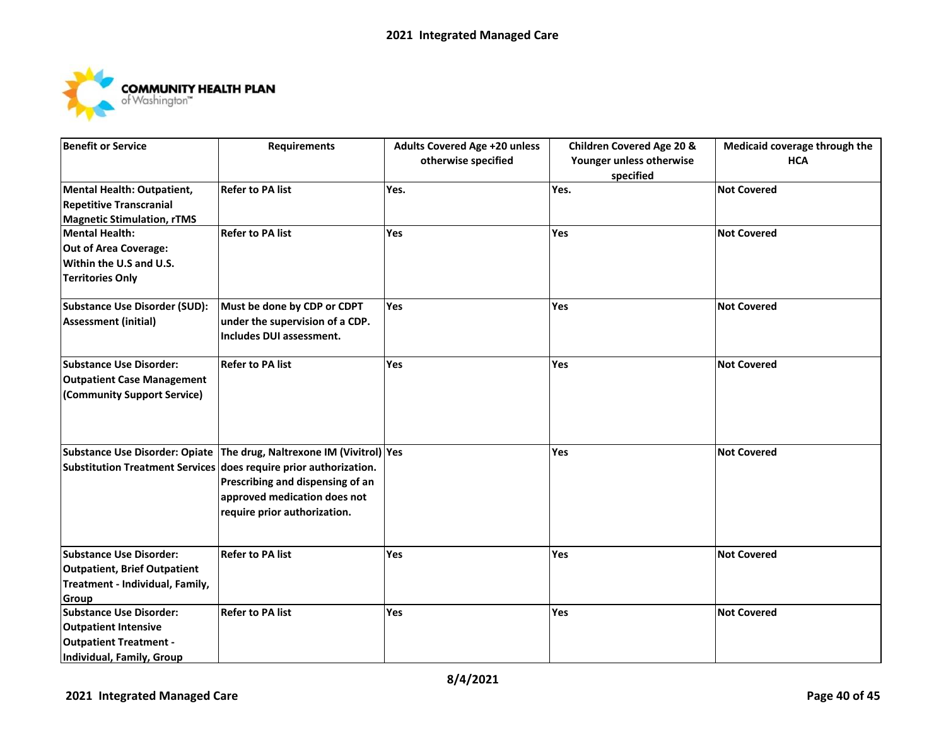

| <b>Benefit or Service</b>           | <b>Requirements</b>                                                   | <b>Adults Covered Age +20 unless</b> | <b>Children Covered Age 20 &amp;</b> | Medicaid coverage through the |
|-------------------------------------|-----------------------------------------------------------------------|--------------------------------------|--------------------------------------|-------------------------------|
|                                     |                                                                       | otherwise specified                  | Younger unless otherwise             | <b>HCA</b>                    |
|                                     |                                                                       |                                      | specified                            |                               |
| Mental Health: Outpatient,          | <b>Refer to PA list</b>                                               | Yes.                                 | Yes.                                 | <b>Not Covered</b>            |
| <b>Repetitive Transcranial</b>      |                                                                       |                                      |                                      |                               |
| <b>Magnetic Stimulation, rTMS</b>   |                                                                       |                                      |                                      |                               |
| Mental Health:                      | <b>Refer to PA list</b>                                               | Yes                                  | Yes                                  | <b>Not Covered</b>            |
| <b>Out of Area Coverage:</b>        |                                                                       |                                      |                                      |                               |
| Within the U.S and U.S.             |                                                                       |                                      |                                      |                               |
| <b>Territories Only</b>             |                                                                       |                                      |                                      |                               |
| Substance Use Disorder (SUD):       | Must be done by CDP or CDPT                                           | <b>Yes</b>                           | <b>Yes</b>                           | <b>Not Covered</b>            |
| <b>Assessment (initial)</b>         | under the supervision of a CDP.                                       |                                      |                                      |                               |
|                                     | Includes DUI assessment.                                              |                                      |                                      |                               |
| <b>Substance Use Disorder:</b>      | <b>Refer to PA list</b>                                               | Yes                                  | Yes                                  | <b>Not Covered</b>            |
| <b>Outpatient Case Management</b>   |                                                                       |                                      |                                      |                               |
| (Community Support Service)         |                                                                       |                                      |                                      |                               |
|                                     |                                                                       |                                      |                                      |                               |
|                                     |                                                                       |                                      |                                      |                               |
|                                     | Substance Use Disorder: Opiate The drug, Naltrexone IM (Vivitrol) Yes |                                      | <b>Yes</b>                           | <b>Not Covered</b>            |
|                                     | Substitution Treatment Services does require prior authorization.     |                                      |                                      |                               |
|                                     | Prescribing and dispensing of an                                      |                                      |                                      |                               |
|                                     | approved medication does not                                          |                                      |                                      |                               |
|                                     | require prior authorization.                                          |                                      |                                      |                               |
|                                     |                                                                       |                                      |                                      |                               |
| <b>Substance Use Disorder:</b>      | <b>Refer to PA list</b>                                               | Yes                                  | Yes                                  | <b>Not Covered</b>            |
| <b>Outpatient, Brief Outpatient</b> |                                                                       |                                      |                                      |                               |
| Treatment - Individual, Family,     |                                                                       |                                      |                                      |                               |
| <b>Group</b>                        |                                                                       |                                      |                                      |                               |
| Substance Use Disorder:             | <b>Refer to PA list</b>                                               | Yes                                  | Yes                                  | <b>Not Covered</b>            |
| <b>Outpatient Intensive</b>         |                                                                       |                                      |                                      |                               |
| <b>Outpatient Treatment -</b>       |                                                                       |                                      |                                      |                               |
| <b>Individual, Family, Group</b>    |                                                                       |                                      |                                      |                               |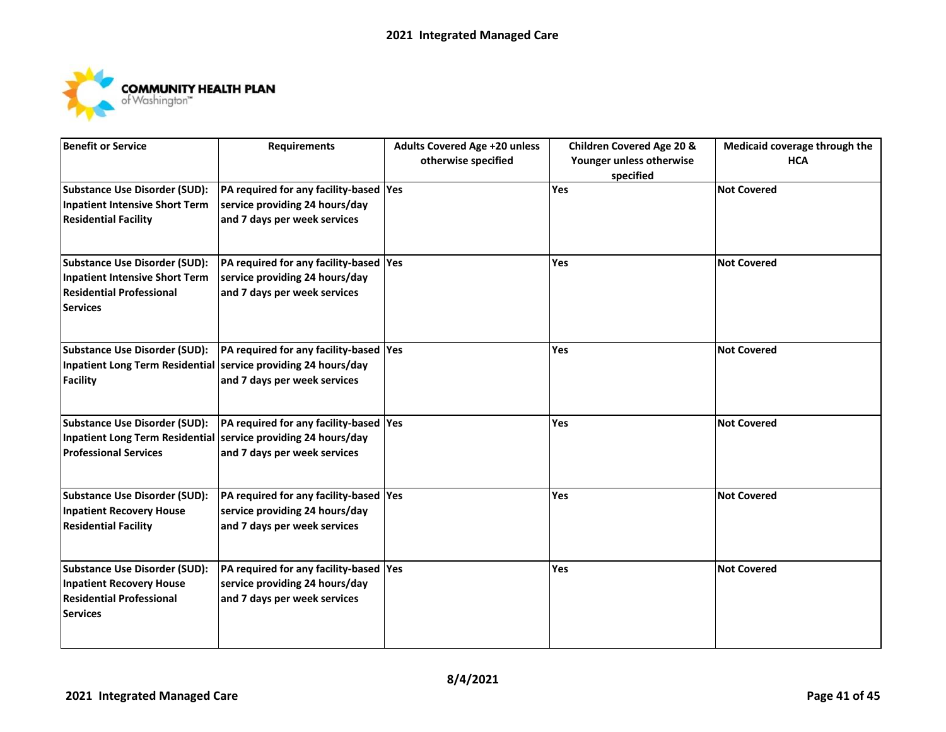

| <b>Benefit or Service</b>                                      | <b>Requirements</b>                     | <b>Adults Covered Age +20 unless</b> | <b>Children Covered Age 20 &amp;</b>  | Medicaid coverage through the |
|----------------------------------------------------------------|-----------------------------------------|--------------------------------------|---------------------------------------|-------------------------------|
|                                                                |                                         | otherwise specified                  | Younger unless otherwise<br>specified | <b>HCA</b>                    |
| <b>Substance Use Disorder (SUD):</b>                           | PA required for any facility-based Yes  |                                      | Yes                                   | <b>Not Covered</b>            |
| <b>Inpatient Intensive Short Term</b>                          | service providing 24 hours/day          |                                      |                                       |                               |
| <b>Residential Facility</b>                                    | and 7 days per week services            |                                      |                                       |                               |
| <b>Substance Use Disorder (SUD):</b>                           | PA required for any facility-based Yes  |                                      | Yes                                   | <b>Not Covered</b>            |
| <b>Inpatient Intensive Short Term</b>                          | service providing 24 hours/day          |                                      |                                       |                               |
| <b>Residential Professional</b><br><b>Services</b>             | and 7 days per week services            |                                      |                                       |                               |
| <b>Substance Use Disorder (SUD):</b>                           | PA required for any facility-based Yes  |                                      | Yes                                   | <b>Not Covered</b>            |
| Inpatient Long Term Residential service providing 24 hours/day |                                         |                                      |                                       |                               |
| <b>Facility</b>                                                | and 7 days per week services            |                                      |                                       |                               |
| <b>Substance Use Disorder (SUD):</b>                           | PA required for any facility-based Yes  |                                      | Yes                                   | <b>Not Covered</b>            |
| Inpatient Long Term Residential service providing 24 hours/day |                                         |                                      |                                       |                               |
| <b>Professional Services</b>                                   | and 7 days per week services            |                                      |                                       |                               |
| <b>Substance Use Disorder (SUD):</b>                           | PA required for any facility-based Yes  |                                      | Yes                                   | <b>Not Covered</b>            |
| <b>Inpatient Recovery House</b>                                | service providing 24 hours/day          |                                      |                                       |                               |
| <b>Residential Facility</b>                                    | and 7 days per week services            |                                      |                                       |                               |
| <b>Substance Use Disorder (SUD):</b>                           | PA required for any facility-based  Yes |                                      | Yes                                   | <b>Not Covered</b>            |
| <b>Inpatient Recovery House</b>                                | service providing 24 hours/day          |                                      |                                       |                               |
| <b>Residential Professional</b>                                | and 7 days per week services            |                                      |                                       |                               |
| <b>Services</b>                                                |                                         |                                      |                                       |                               |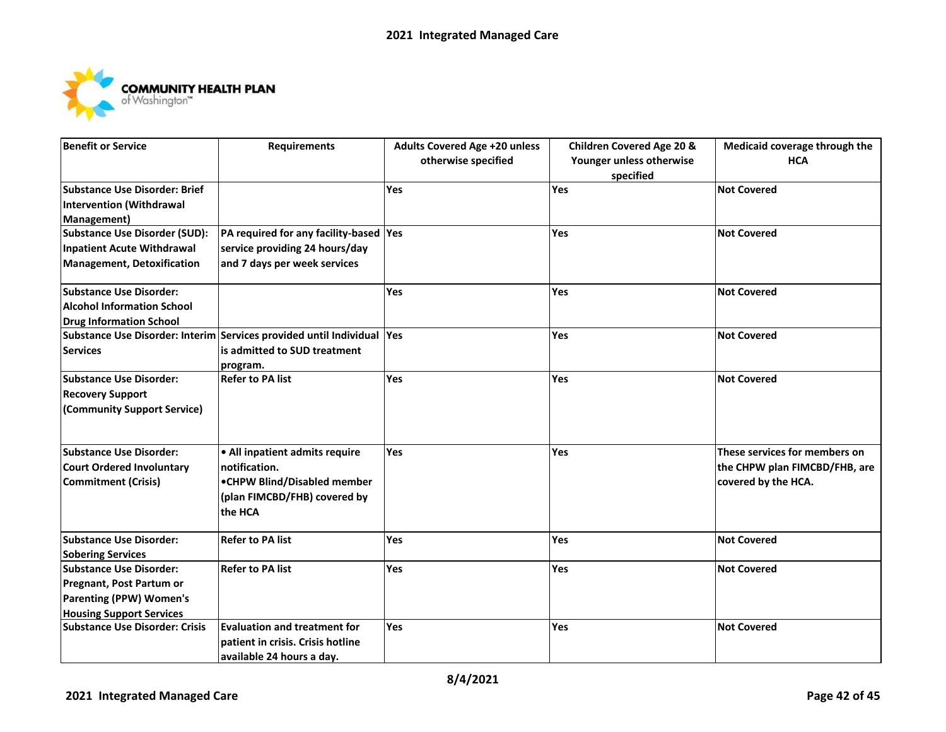

| Benefit or Service                    | <b>Requirements</b>                                                    | <b>Adults Covered Age +20 unless</b><br>otherwise specified | <b>Children Covered Age 20 &amp;</b><br>Younger unless otherwise<br>specified | Medicaid coverage through the<br><b>HCA</b> |
|---------------------------------------|------------------------------------------------------------------------|-------------------------------------------------------------|-------------------------------------------------------------------------------|---------------------------------------------|
| Substance Use Disorder: Brief         |                                                                        | Yes                                                         | Yes                                                                           | <b>Not Covered</b>                          |
| <b>Intervention (Withdrawal</b>       |                                                                        |                                                             |                                                                               |                                             |
| Management)                           |                                                                        |                                                             |                                                                               |                                             |
| <b>Substance Use Disorder (SUD):</b>  | PA required for any facility-based Yes                                 |                                                             | Yes                                                                           | <b>Not Covered</b>                          |
| Inpatient Acute Withdrawal            | service providing 24 hours/day                                         |                                                             |                                                                               |                                             |
| Management, Detoxification            | and 7 days per week services                                           |                                                             |                                                                               |                                             |
| <b>Substance Use Disorder:</b>        |                                                                        | Yes                                                         | Yes                                                                           | <b>Not Covered</b>                          |
| <b>Alcohol Information School</b>     |                                                                        |                                                             |                                                                               |                                             |
| <b>Drug Information School</b>        |                                                                        |                                                             |                                                                               |                                             |
|                                       | Substance Use Disorder: Interim Services provided until Individual Yes |                                                             | <b>Yes</b>                                                                    | <b>Not Covered</b>                          |
| <b>Services</b>                       | is admitted to SUD treatment                                           |                                                             |                                                                               |                                             |
|                                       | program.                                                               |                                                             |                                                                               |                                             |
| <b>Substance Use Disorder:</b>        | <b>Refer to PA list</b>                                                | Yes                                                         | Yes                                                                           | <b>Not Covered</b>                          |
| <b>Recovery Support</b>               |                                                                        |                                                             |                                                                               |                                             |
| (Community Support Service)           |                                                                        |                                                             |                                                                               |                                             |
| <b>Substance Use Disorder:</b>        | . All inpatient admits require                                         | Yes                                                         | Yes                                                                           | These services for members on               |
| <b>Court Ordered Involuntary</b>      | notification.                                                          |                                                             |                                                                               | the CHPW plan FIMCBD/FHB, are               |
| <b>Commitment (Crisis)</b>            | •CHPW Blind/Disabled member                                            |                                                             |                                                                               | covered by the HCA.                         |
|                                       | (plan FIMCBD/FHB) covered by                                           |                                                             |                                                                               |                                             |
|                                       | the HCA                                                                |                                                             |                                                                               |                                             |
| <b>Substance Use Disorder:</b>        | <b>Refer to PA list</b>                                                | Yes                                                         | Yes                                                                           | <b>Not Covered</b>                          |
| <b>Sobering Services</b>              |                                                                        |                                                             |                                                                               |                                             |
| <b>Substance Use Disorder:</b>        | <b>Refer to PA list</b>                                                | Yes                                                         | Yes                                                                           | <b>Not Covered</b>                          |
| Pregnant, Post Partum or              |                                                                        |                                                             |                                                                               |                                             |
| <b>Parenting (PPW) Women's</b>        |                                                                        |                                                             |                                                                               |                                             |
| <b>Housing Support Services</b>       |                                                                        |                                                             |                                                                               |                                             |
| <b>Substance Use Disorder: Crisis</b> | <b>Evaluation and treatment for</b>                                    | Yes                                                         | Yes                                                                           | <b>Not Covered</b>                          |
|                                       | patient in crisis. Crisis hotline                                      |                                                             |                                                                               |                                             |
|                                       | available 24 hours a day.                                              |                                                             |                                                                               |                                             |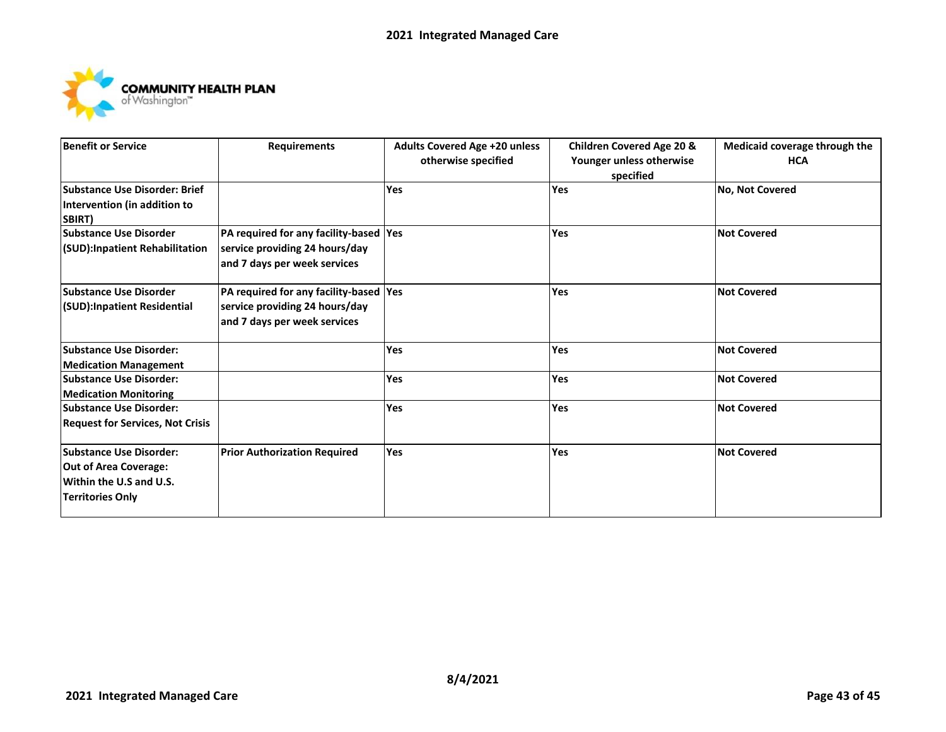

| <b>Benefit or Service</b>               | <b>Requirements</b>                     | <b>Adults Covered Age +20 unless</b><br>otherwise specified | <b>Children Covered Age 20 &amp;</b><br>Younger unless otherwise<br>specified | Medicaid coverage through the<br><b>HCA</b> |
|-----------------------------------------|-----------------------------------------|-------------------------------------------------------------|-------------------------------------------------------------------------------|---------------------------------------------|
| <b>Substance Use Disorder: Brief</b>    |                                         | <b>Yes</b>                                                  | Yes                                                                           | <b>No, Not Covered</b>                      |
| Intervention (in addition to            |                                         |                                                             |                                                                               |                                             |
| SBIRT)                                  |                                         |                                                             |                                                                               |                                             |
| <b>Substance Use Disorder</b>           | PA required for any facility-based  Yes |                                                             | <b>Yes</b>                                                                    | <b>Not Covered</b>                          |
| <b>(SUD):Inpatient Rehabilitation</b>   | service providing 24 hours/day          |                                                             |                                                                               |                                             |
|                                         | and 7 days per week services            |                                                             |                                                                               |                                             |
| <b>Substance Use Disorder</b>           | PA required for any facility-based  Yes |                                                             | Yes                                                                           | <b>Not Covered</b>                          |
| <b>(SUD):Inpatient Residential</b>      | service providing 24 hours/day          |                                                             |                                                                               |                                             |
|                                         | and 7 days per week services            |                                                             |                                                                               |                                             |
| <b>Substance Use Disorder:</b>          |                                         | <b>Yes</b>                                                  | Yes                                                                           | <b>Not Covered</b>                          |
| <b>Medication Management</b>            |                                         |                                                             |                                                                               |                                             |
| <b>Substance Use Disorder:</b>          |                                         | <b>Yes</b>                                                  | Yes                                                                           | <b>Not Covered</b>                          |
| <b>Medication Monitoring</b>            |                                         |                                                             |                                                                               |                                             |
| <b>Substance Use Disorder:</b>          |                                         | Yes                                                         | Yes                                                                           | <b>Not Covered</b>                          |
| <b>Request for Services, Not Crisis</b> |                                         |                                                             |                                                                               |                                             |
| <b>Substance Use Disorder:</b>          | <b>Prior Authorization Required</b>     | <b>Yes</b>                                                  | Yes                                                                           | <b>Not Covered</b>                          |
| Out of Area Coverage:                   |                                         |                                                             |                                                                               |                                             |
| Within the U.S and U.S.                 |                                         |                                                             |                                                                               |                                             |
| Territories Only                        |                                         |                                                             |                                                                               |                                             |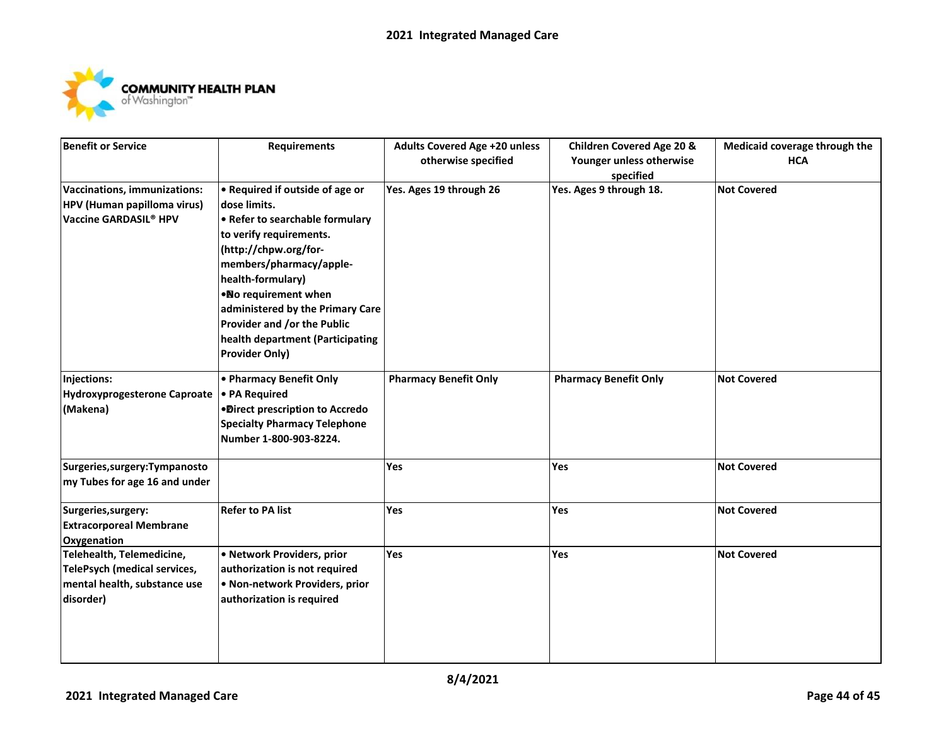

| <b>Benefit or Service</b>         | <b>Requirements</b>                 | <b>Adults Covered Age +20 unless</b> | <b>Children Covered Age 20 &amp;</b> | Medicaid coverage through the |
|-----------------------------------|-------------------------------------|--------------------------------------|--------------------------------------|-------------------------------|
|                                   |                                     | otherwise specified                  | Younger unless otherwise             | <b>HCA</b>                    |
|                                   |                                     |                                      | specified                            |                               |
| Vaccinations, immunizations:      | • Required if outside of age or     | Yes. Ages 19 through 26              | Yes. Ages 9 through 18.              | <b>Not Covered</b>            |
| HPV (Human papilloma virus)       | dose limits.                        |                                      |                                      |                               |
| Vaccine GARDASIL <sup>®</sup> HPV | • Refer to searchable formulary     |                                      |                                      |                               |
|                                   | to verify requirements.             |                                      |                                      |                               |
|                                   | (http://chpw.org/for-               |                                      |                                      |                               |
|                                   | members/pharmacy/apple-             |                                      |                                      |                               |
|                                   | health-formulary)                   |                                      |                                      |                               |
|                                   | . No requirement when               |                                      |                                      |                               |
|                                   | administered by the Primary Care    |                                      |                                      |                               |
|                                   | Provider and /or the Public         |                                      |                                      |                               |
|                                   | health department (Participating    |                                      |                                      |                               |
|                                   | <b>Provider Only)</b>               |                                      |                                      |                               |
| Injections:                       | • Pharmacy Benefit Only             | <b>Pharmacy Benefit Only</b>         | <b>Pharmacy Benefit Only</b>         | <b>Not Covered</b>            |
| Hydroxyprogesterone Caproate      | • PA Required                       |                                      |                                      |                               |
| (Makena)                          | ·Direct prescription to Accredo     |                                      |                                      |                               |
|                                   | <b>Specialty Pharmacy Telephone</b> |                                      |                                      |                               |
|                                   | Number 1-800-903-8224.              |                                      |                                      |                               |
| Surgeries, surgery: Tympanosto    |                                     | Yes                                  | Yes                                  | <b>Not Covered</b>            |
| my Tubes for age 16 and under     |                                     |                                      |                                      |                               |
| Surgeries, surgery:               | <b>Refer to PA list</b>             | Yes                                  | Yes                                  | <b>Not Covered</b>            |
| <b>Extracorporeal Membrane</b>    |                                     |                                      |                                      |                               |
| Oxygenation                       |                                     |                                      |                                      |                               |
| Telehealth, Telemedicine,         | · Network Providers, prior          | Yes                                  | Yes                                  | <b>Not Covered</b>            |
| TelePsych (medical services,      | authorization is not required       |                                      |                                      |                               |
| mental health, substance use      | • Non-network Providers, prior      |                                      |                                      |                               |
| disorder)                         | authorization is required           |                                      |                                      |                               |
|                                   |                                     |                                      |                                      |                               |
|                                   |                                     |                                      |                                      |                               |
|                                   |                                     |                                      |                                      |                               |
|                                   |                                     |                                      |                                      |                               |